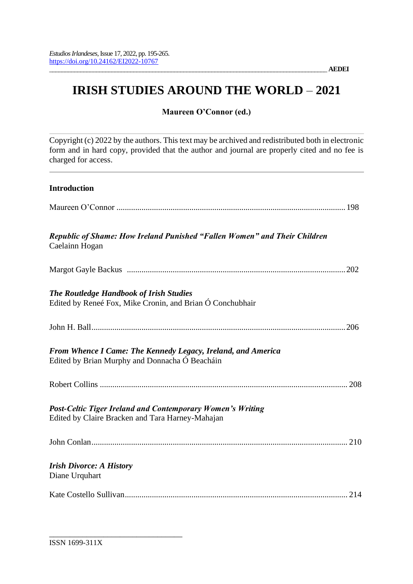# **IRISH STUDIES AROUND THE WORLD – 2021**

# **Maureen O'Connor (ed.)**

Copyright (c) 2022 by the authors. This text may be archived and redistributed both in electronic form and in hard copy, provided that the author and journal are properly cited and no fee is charged for access.

# **Introduction**

| Republic of Shame: How Ireland Punished "Fallen Women" and Their Children<br>Caelainn Hogan                           |
|-----------------------------------------------------------------------------------------------------------------------|
|                                                                                                                       |
| <b>The Routledge Handbook of Irish Studies</b><br>Edited by Reneé Fox, Mike Cronin, and Brian Ó Conchubhair           |
|                                                                                                                       |
| From Whence I Came: The Kennedy Legacy, Ireland, and America<br>Edited by Brian Murphy and Donnacha Ó Beacháin        |
|                                                                                                                       |
| <b>Post-Celtic Tiger Ireland and Contemporary Women's Writing</b><br>Edited by Claire Bracken and Tara Harney-Mahajan |
|                                                                                                                       |
| <b>Irish Divorce: A History</b><br>Diane Urquhart                                                                     |
|                                                                                                                       |

\_\_\_\_\_\_\_\_\_\_\_\_\_\_\_\_\_\_\_\_\_\_\_\_\_\_\_\_\_\_\_\_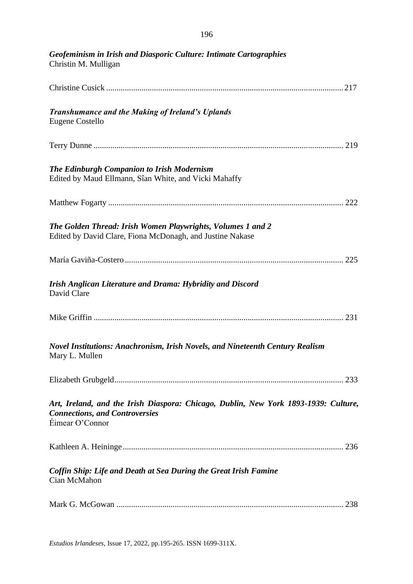| Geofeminism in Irish and Diasporic Culture: Intimate Cartographies<br>Christin M. Mulligan                                                      |
|-------------------------------------------------------------------------------------------------------------------------------------------------|
|                                                                                                                                                 |
| <b>Transhumance and the Making of Ireland's Uplands</b><br>Eugene Costello                                                                      |
|                                                                                                                                                 |
| The Edinburgh Companion to Irish Modernism<br>Edited by Maud Ellmann, Sîan White, and Vicki Mahaffy                                             |
|                                                                                                                                                 |
| The Golden Thread: Irish Women Playwrights, Volumes 1 and 2<br>Edited by David Clare, Fiona McDonagh, and Justine Nakase                        |
|                                                                                                                                                 |
| Irish Anglican Literature and Drama: Hybridity and Discord<br>David Clare                                                                       |
|                                                                                                                                                 |
| Novel Institutions: Anachronism, Irish Novels, and Nineteenth Century Realism<br>Mary L. Mullen                                                 |
|                                                                                                                                                 |
| Art, Ireland, and the Irish Diaspora: Chicago, Dublin, New York 1893-1939: Culture,<br><b>Connections, and Controversies</b><br>Éimear O'Connor |
|                                                                                                                                                 |
| Coffin Ship: Life and Death at Sea During the Great Irish Famine<br>Cian McMahon                                                                |
|                                                                                                                                                 |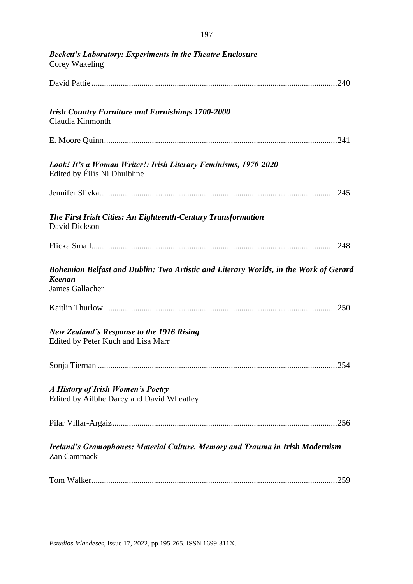| <b>Beckett's Laboratory: Experiments in the Theatre Enclosure</b><br>Corey Wakeling                                      |
|--------------------------------------------------------------------------------------------------------------------------|
|                                                                                                                          |
| <b>Irish Country Furniture and Furnishings 1700-2000</b><br>Claudia Kinmonth                                             |
|                                                                                                                          |
| Look! It's a Woman Writer!: Irish Literary Feminisms, 1970-2020<br>Edited by Eilís Ní Dhuibhne                           |
|                                                                                                                          |
| The First Irish Cities: An Eighteenth-Century Transformation<br>David Dickson                                            |
|                                                                                                                          |
| Bohemian Belfast and Dublin: Two Artistic and Literary Worlds, in the Work of Gerard<br><b>Keenan</b><br>James Gallacher |
|                                                                                                                          |
| <b>New Zealand's Response to the 1916 Rising</b><br>Edited by Peter Kuch and Lisa Marr                                   |
|                                                                                                                          |
| A History of Irish Women's Poetry<br>Edited by Ailbhe Darcy and David Wheatley                                           |
|                                                                                                                          |
| Ireland's Gramophones: Material Culture, Memory and Trauma in Irish Modernism<br>Zan Cammack                             |
|                                                                                                                          |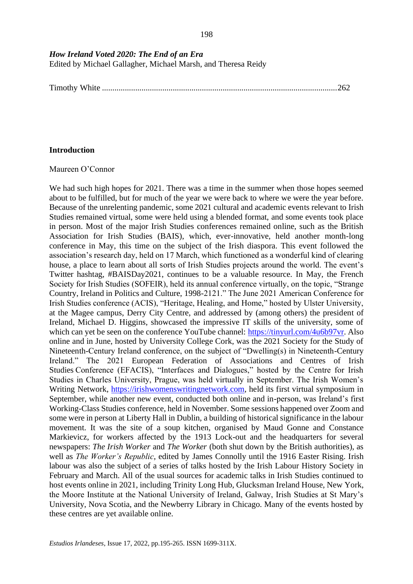*How Ireland Voted 2020: The End of an Era*

Edited by Michael Gallagher, Michael Marsh, and Theresa Reidy

Timothy White .................................................................................................................262

## **Introduction**

### Maureen O'Connor

We had such high hopes for 2021. There was a time in the summer when those hopes seemed about to be fulfilled, but for much of the year we were back to where we were the year before. Because of the unrelenting pandemic, some 2021 cultural and academic events relevant to Irish Studies remained virtual, some were held using a blended format, and some events took place in person. Most of the major Irish Studies conferences remained online, such as the British Association for Irish Studies (BAIS), which, ever-innovative, held another month-long conference in May, this time on the subject of the Irish diaspora. This event followed the association's research day, held on 17 March, which functioned as a wonderful kind of clearing house, a place to learn about all sorts of Irish Studies projects around the world. The event's Twitter hashtag, #BAISDay2021, continues to be a valuable resource. In May, the French Society for Irish Studies (SOFEIR), held its annual conference virtually, on the topic, "Strange Country, Ireland in Politics and Culture, 1998-2121." The June 2021 American Conference for Irish Studies conference (ACIS), "Heritage, Healing, and Home," hosted by Ulster University, at the Magee campus, Derry City Centre, and addressed by (among others) the president of Ireland, Michael D. Higgins, showcased the impressive IT skills of the university, some of which can yet be seen on the conference YouTube channel: [https://tinyurl.com/4u6b97vr.](https://tinyurl.com/4u6b97vr) Also online and in June, hosted by University College Cork, was the 2021 Society for the Study of Nineteenth-Century Ireland conference, on the subject of "Dwelling(s) in Nineteenth-Century Ireland." The 2021 European Federation of Associations and Centres of Irish Studies Conference (EFACIS), "Interfaces and Dialogues," hosted by the Centre for Irish Studies in Charles University, Prague, was held virtually in September. The Irish Women's Writing Network, [https://irishwomenswritingnetwork.com,](https://irishwomenswritingnetwork.com/) held its first virtual symposium in September, while another new event, conducted both online and in-person, was Ireland's first Working-Class Studies conference, held in November. Some sessions happened over Zoom and some were in person at Liberty Hall in Dublin, a building of historical significance in the labour movement. It was the site of a soup kitchen, organised by Maud Gonne and Constance Markievicz, for workers affected by the 1913 Lock-out and the headquarters for several newspapers: *The Irish Worker* and *The Worker* (both shut down by the British authorities), as well as *The Worker's Republic*, edited by James Connolly until the 1916 Easter Rising. Irish labour was also the subject of a series of talks hosted by the Irish Labour History Society in February and March. All of the usual sources for academic talks in Irish Studies continued to host events online in 2021, including Trinity Long Hub, Glucksman Ireland House, New York, the Moore Institute at the National University of Ireland, Galway, Irish Studies at St Mary's University, Nova Scotia, and the Newberry Library in Chicago. Many of the events hosted by these centres are yet available online.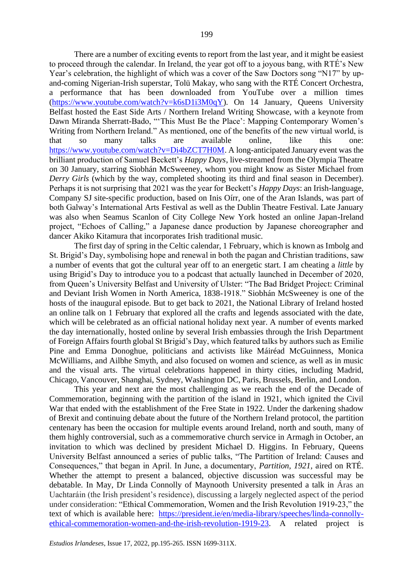There are a number of exciting events to report from the last year, and it might be easiest to proceed through the calendar. In Ireland, the year got off to a joyous bang, with RTÉ's New Year's celebration, the highlight of which was a cover of the Saw Doctors song "N17" by upand-coming Nigerian-Irish superstar, Tolü Makay, who sang with the RTÉ Concert Orchestra, a performance that has been downloaded from YouTube over a million times [\(https://www.youtube.com/watch?v=k6sD1i3M0qY\)](https://www.youtube.com/watch?v=k6sD1i3M0qY). On 14 January, Queens University Belfast hosted the East Side Arts / Northern Ireland Writing Showcase, with a keynote from Dawn Miranda Sherratt-Bado, "'This Must Be the Place': Mapping Contemporary Women's Writing from Northern Ireland." As mentioned, one of the benefits of the new virtual world, is that so many talks are available online, like this one: [https://www.youtube.com/watch?v=Di4bZCT7H0M.](https://www.youtube.com/watch?v=Di4bZCT7H0M) A long-anticipated January event was the brilliant production of Samuel Beckett's *Happy Days*, live-streamed from the Olympia Theatre on 30 January, starring Siobhán McSweeney, whom you might know as Sister Michael from *Derry Girls* (which by the way, completed shooting its third and final season in December). Perhaps it is not surprising that 2021 was the year for Beckett's *Happy Days*: an Irish-language, Company SJ site-specific production, based on Inis Oírr, one of the Aran Islands, was part of both Galway's International Arts Festival as well as the Dublin Theatre Festival. Late January was also when Seamus Scanlon of City College New York hosted an online Japan-Ireland project, "Echoes of Calling," a Japanese dance production by Japanese choreographer and dancer Akiko Kitamura that incorporates Irish traditional music.

The first day of spring in the Celtic calendar, 1 February, which is known as Imbolg and St. Brigid's Day, symbolising hope and renewal in both the pagan and Christian traditions, saw a number of events that got the cultural year off to an energetic start. I am cheating a *little* by using Brigid's Day to introduce you to a podcast that actually launched in December of 2020, from Queen's University Belfast and University of Ulster: "The Bad Bridget Project: Criminal and Deviant Irish Women in North America, 1838-1918." Siobhán McSweeney is one of the hosts of the inaugural episode. But to get back to 2021, the National Library of Ireland hosted an online talk on 1 February that explored all the crafts and legends associated with the date, which will be celebrated as an official national holiday next year. A number of events marked the day internationally, hosted online by several Irish embassies through the Irish Department of Foreign Affairs fourth global St Brigid's Day, which featured talks by authors such as Emilie Pine and Emma Donoghue, politicians and activists like Máiréad McGuinness, Monica McWilliams, and Ailbhe Smyth, and also focused on women and science, as well as in music and the visual arts. The virtual celebrations happened in thirty cities, including Madrid, Chicago, Vancouver, Shanghai, Sydney, Washington DC, Paris, Brussels, Berlin, and London.

This year and next are the most challenging as we reach the end of the Decade of Commemoration, beginning with the partition of the island in 1921, which ignited the Civil War that ended with the establishment of the Free State in 1922. Under the darkening shadow of Brexit and continuing debate about the future of the Northern Ireland protocol, the partition centenary has been the occasion for multiple events around Ireland, north and south, many of them highly controversial, such as a commemorative church service in Armagh in October, an invitation to which was declined by president Michael D. Higgins. In February, Queens University Belfast announced a series of public talks, "The Partition of Ireland: Causes and Consequences," that began in April. In June, a documentary, *Partition, 1921,* aired on RTÉ. Whether the attempt to present a balanced, objective discussion was successful may be debatable. In May, Dr Linda Connolly of Maynooth University presented a talk in Áras an Uachtaráin (the Irish president's residence), discussing a largely neglected aspect of the period under consideration: "Ethical Commemoration, Women and the Irish Revolution 1919-23," the text of which is available here: [https://president.ie/en/media-library/speeches/linda-connolly](https://president.ie/en/media-library/speeches/linda-connolly-ethical-commemoration-women-and-the-irish-revolution-1919-23)[ethical-commemoration-women-and-the-irish-revolution-1919-23.](https://president.ie/en/media-library/speeches/linda-connolly-ethical-commemoration-women-and-the-irish-revolution-1919-23) A related project is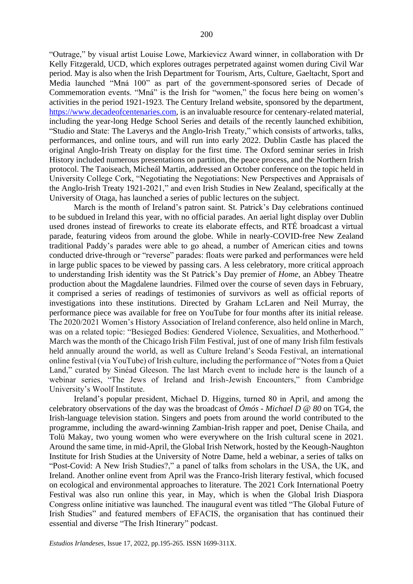"Outrage," by visual artist Louise Lowe, Markievicz Award winner, in collaboration with Dr Kelly Fitzgerald, UCD, which explores outrages perpetrated against women during Civil War period. May is also when the Irish Department for Tourism, Arts, Culture, Gaeltacht, Sport and Media launched "Mná 100" as part of the government-sponsored series of Decade of Commemoration events. "Mná" is the Irish for "women," the focus here being on women's activities in the period 1921-1923. The Century Ireland website, sponsored by the department, [https://www.decadeofcentenaries.com,](https://www.decadeofcentenaries.com/) is an invaluable resource for centenary-related material, including the year-long Hedge School Series and details of the recently launched exhibition, "Studio and State: The Laverys and the Anglo-Irish Treaty," which consists of artworks, talks, performances, and online tours, and will run into early 2022. Dublin Castle has placed the original Anglo-Irish Treaty on display for the first time. The Oxford seminar series in Irish History included numerous presentations on partition, the peace process, and the Northern Irish protocol. The Taoiseach, Micheál Martin, addressed an October conference on the topic held in University College Cork, "Negotiating the Negotiations: New Perspectives and Appraisals of the Anglo-Irish Treaty 1921-2021," and even Irish Studies in New Zealand, specifically at the University of Otaga, has launched a series of public lectures on the subject.

March is the month of Ireland's patron saint. St. Patrick's Day celebrations continued to be subdued in Ireland this year, with no official parades. An aerial light display over Dublin used drones instead of fireworks to create its elaborate effects, and RTÉ broadcast a virtual parade, featuring videos from around the globe. While in nearly-COVID-free New Zealand traditional Paddy's parades were able to go ahead, a number of American cities and towns conducted drive-through or "reverse" parades: floats were parked and performances were held in large public spaces to be viewed by passing cars. A less celebratory, more critical approach to understanding Irish identity was the St Patrick's Day premier of *Home*, an Abbey Theatre production about the Magdalene laundries. Filmed over the course of seven days in February, it comprised a series of readings of testimonies of survivors as well as official reports of investigations into these institutions. Directed by Graham LcLaren and Neil Murray, the performance piece was available for free on YouTube for four months after its initial release. The 2020/2021 Women's History Association of Ireland conference, also held online in March, was on a related topic: "Besieged Bodies: Gendered Violence, Sexualities, and Motherhood." March was the month of the Chicago Irish Film Festival, just of one of many Irish film festivals held annually around the world, as well as Culture Ireland's Seoda Festival, an international online festival (via YouTube) of Irish culture, including the performance of "Notes from a Quiet Land," curated by Sinéad Gleeson. The last March event to include here is the launch of a webinar series, "The Jews of Ireland and Irish-Jewish Encounters," from Cambridge University's Woolf Institute.

Ireland's popular president, Michael D. Higgins, turned 80 in April, and among the celebratory observations of the day was the broadcast of *Ómós - Michael D @ 80* on TG4, the Irish-language television station. Singers and poets from around the world contributed to the programme, including the award-winning Zambian-Irish rapper and poet, Denise Chaila, and Tolü Makay, two young women who were everywhere on the Irish cultural scene in 2021. Around the same time, in mid-April, the Global Irish Network, hosted by the Keough-Naughton Institute for Irish Studies at the University of Notre Dame, held a webinar, a series of talks on "Post-Covid: A New Irish Studies?," a panel of talks from scholars in the USA, the UK, and Ireland. Another online event from April was the Franco-Irish literary festival, which focused on ecological and environmental approaches to literature. The 2021 Cork International Poetry Festival was also run online this year, in May, which is when the Global Irish Diaspora Congress online initiative was launched. The inaugural event was titled "The Global Future of Irish Studies" and featured members of EFACIS, the organisation that has continued their essential and diverse "The Irish Itinerary" podcast.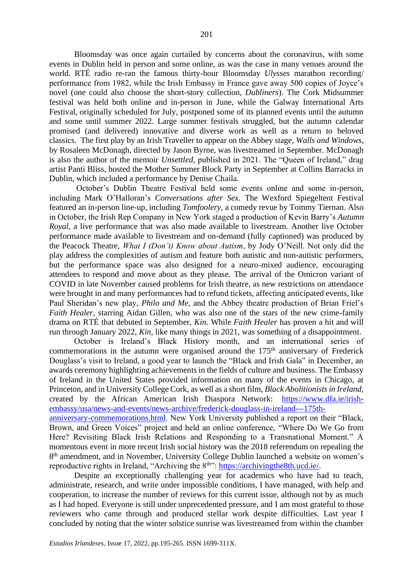Bloomsday was once again curtailed by concerns about the coronavirus, with some events in Dublin held in person and some online, as was the case in many venues around the world. RTÉ radio re-ran the famous thirty-hour Bloomsday *Ulysses* marathon recording/ performance from 1982, while the Irish Embassy in France gave away 500 copies of Joyce's novel (one could also choose the short-story collection, *Dubliners*). The Cork Midsummer festival was held both online and in-person in June, while the Galway International Arts Festival, originally scheduled for July, postponed some of its planned events until the autumn and some until summer 2022. Large summer festivals struggled, but the autumn calendar promised (and delivered) innovative and diverse work as well as a return to beloved classics. The first play by an Irish Traveller to appear on the Abbey stage, *Walls and Windows*, by Rosaleen McDonagh, directed by Jason Byrne, was livestreamed in September. McDonagh is also the author of the memoir *Unsettled,* published in 2021. The "Queen of Ireland," drag artist Panti Bliss, hosted the Mother Summer Block Party in September at Collins Barracks in Dublin, which included a performance by Denise Chaila.

October's Dublin Theatre Festival held some events online and some in-person, including Mark O'Halloran's *Conversations after Sex.* The Wexford Spiegeltent Festival featured an in-person line-up, including *Tomfoolery*, a comedy revue by Tommy Tiernan. Also in October, the Irish Rep Company in New York staged a production of Kevin Barry's *Autumn Royal*, a live performance that was also made available to livestream. Another live October performance made available to livestream and on-demand (fully captioned) was produced by the Peacock Theatre, *What I (Don't) Know about Autism*, by Jody O'Neill. Not only did the play address the complexities of autism and feature both autistic and non-autistic performers, but the performance space was also designed for a neuro-mixed audience, encouraging attendees to respond and move about as they please. The arrival of the Omicron variant of COVID in late November caused problems for Irish theatre, as new restrictions on attendance were brought in and many performances had to refund tickets, affecting anticipated events, like Paul Sheridan's new play, *Philo and Me*, and the Abbey theatre production of Brian Friel's *Faith Healer*, starring Aidan Gillen, who was also one of the stars of the new crime-family drama on RTÉ that debuted in September, *Kin*. While *Faith Healer* has proven a hit and will run through January 2022, *Kin*, like many things in 2021, was something of a disappointment.

October is Ireland's Black History month, and an international series of commemorations in the autumn were organised around the 175<sup>th</sup> anniversary of Frederick Douglass's visit to Ireland, a good year to launch the "Black and Irish Gala" in December, an awards ceremony highlighting achievements in the fields of culture and business. The Embassy of Ireland in the United States provided information on many of the events in Chicago, at Princeton, and in University College Cork, as well as a short film, *Black Abolitionists in Ireland,* created by the African American Irish Diaspora Network: [https://www.dfa.ie/irish](https://www.dfa.ie/irish-embassy/usa/news-and-events/news-archive/frederick-douglass-in-ireland---175th-anniversary-commemorations.html)[embassy/usa/news-and-events/news-archive/frederick-douglass-in-ireland---175th](https://www.dfa.ie/irish-embassy/usa/news-and-events/news-archive/frederick-douglass-in-ireland---175th-anniversary-commemorations.html)[anniversary-commemorations.html.](https://www.dfa.ie/irish-embassy/usa/news-and-events/news-archive/frederick-douglass-in-ireland---175th-anniversary-commemorations.html) New York University published a report on their "Black, Brown, and Green Voices" project and held an online conference, "Where Do We Go from

Here? Revisiting Black Irish Relations and Responding to a Transnational Moment." A momentous event in more recent Irish social history was the 2018 referendum on repealing the 8<sup>th</sup> amendment, and in November, University College Dublin launched a website on women's reproductive rights in Ireland, "Archiving the 8<sup>th</sup>": [https://archivingthe8th.ucd.ie/.](https://archivingthe8th.ucd.ie/)

Despite an exceptionally challenging year for academics who have had to teach, administrate, research, and write under impossible conditions, I have managed, with help and cooperation, to increase the number of reviews for this current issue, although not by as much as I had hoped. Everyone is still under unprecedented pressure, and I am most grateful to those reviewers who came through and produced stellar work despite difficulties. Last year I concluded by noting that the winter solstice sunrise was livestreamed from within the chamber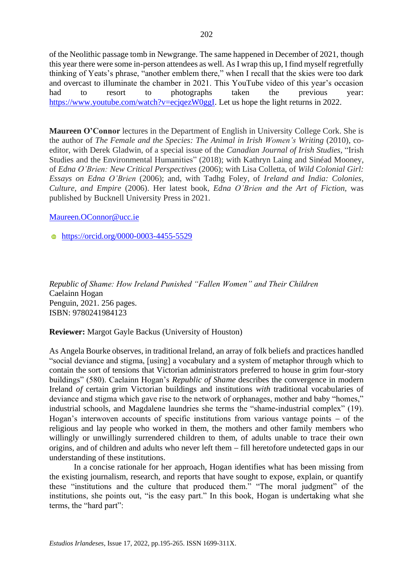of the Neolithic passage tomb in Newgrange. The same happened in December of 2021, though this year there were some in-person attendees as well. As I wrap this up, I find myself regretfully thinking of Yeats's phrase, "another emblem there," when I recall that the skies were too dark and overcast to illuminate the chamber in 2021. This YouTube video of this year's occasion had to resort to photographs taken the previous year: [https://www.youtube.com/watch?v=ecjqezW0ggI.](https://www.youtube.com/watch?v=ecjqezW0ggI) Let us hope the light returns in 2022.

**Maureen O'Connor** lectures in the Department of English in University College Cork. She is the author of *The Female and the Species: The Animal in Irish Women's Writing* (2010), coeditor, with Derek Gladwin, of a special issue of the *Canadian Journal of Irish Studies*, "Irish Studies and the Environmental Humanities" (2018); with Kathryn Laing and Sinéad Mooney, of *Edna O'Brien: New Critical Perspectives* (2006); with Lisa Colletta, of *Wild Colonial Girl: Essays on Edna O'Brien* (2006); and, with Tadhg Foley, of *Ireland and India: Colonies, Culture, and Empire* (2006). Her latest book, *Edna O'Brien and the Art of Fiction*, was published by Bucknell University Press in 2021.

### [Maureen.OConnor@ucc.ie](mailto:Maureen.OConnor@ucc.ie)

**<https://orcid.org/0000-0003-4455-5529>** 

*Republic of Shame: How Ireland Punished "Fallen Women" and Their Children* Caelainn Hogan Penguin, 2021. 256 pages. ISBN: 9780241984123

**Reviewer:** Margot Gayle Backus (University of Houston)

As Angela Bourke observes, in traditional Ireland, an array of folk beliefs and practices handled "social deviance and stigma, [using] a vocabulary and a system of metaphor through which to contain the sort of tensions that Victorian administrators preferred to house in grim four-story buildings" (580). Caelainn Hogan's *Republic of Shame* describes the convergence in modern Ireland *of* certain grim Victorian buildings and institutions *with* traditional vocabularies of deviance and stigma which gave rise to the network of orphanages, mother and baby "homes," industrial schools, and Magdalene laundries she terms the "shame-industrial complex" (19). Hogan's interwoven accounts of specific institutions from various vantage points − of the religious and lay people who worked in them, the mothers and other family members who willingly or unwillingly surrendered children to them, of adults unable to trace their own origins, and of children and adults who never left them − fill heretofore undetected gaps in our understanding of these institutions.

In a concise rationale for her approach, Hogan identifies what has been missing from the existing journalism, research, and reports that have sought to expose, explain, or quantify these "institutions and the culture that produced them." "The moral judgment" of the institutions, she points out, "is the easy part." In this book, Hogan is undertaking what she terms, the "hard part":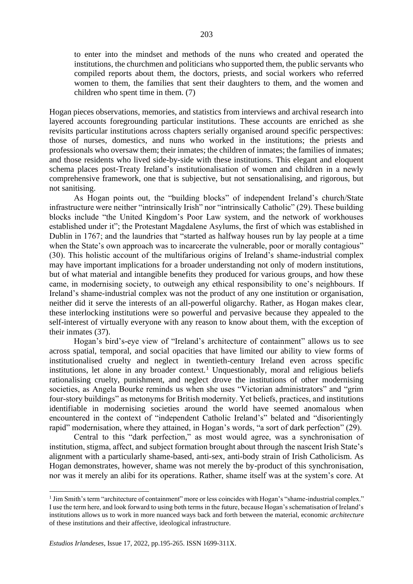to enter into the mindset and methods of the nuns who created and operated the institutions, the churchmen and politicians who supported them, the public servants who compiled reports about them, the doctors, priests, and social workers who referred women to them, the families that sent their daughters to them, and the women and children who spent time in them. (7)

Hogan pieces observations, memories, and statistics from interviews and archival research into layered accounts foregrounding particular institutions. These accounts are enriched as she revisits particular institutions across chapters serially organised around specific perspectives: those of nurses, domestics, and nuns who worked in the institutions; the priests and professionals who oversaw them; their inmates; the children of inmates; the families of inmates; and those residents who lived side-by-side with these institutions. This elegant and eloquent schema places post-Treaty Ireland's institutionalisation of women and children in a newly comprehensive framework, one that is subjective, but not sensationalising, and rigorous, but not sanitising.

As Hogan points out, the "building blocks" of independent Ireland's church/State infrastructure were neither "intrinsically Irish" nor "intrinsically Catholic" (29). These building blocks include "the United Kingdom's Poor Law system, and the network of workhouses established under it"; the Protestant Magdalene Asylums, the first of which was established in Dublin in 1767; and the laundries that "started as halfway houses run by lay people at a time when the State's own approach was to incarcerate the vulnerable, poor or morally contagious" (30). This holistic account of the multifarious origins of Ireland's shame-industrial complex may have important implications for a broader understanding not only of modern institutions, but of what material and intangible benefits they produced for various groups, and how these came, in modernising society, to outweigh any ethical responsibility to one's neighbours. If Ireland's shame-industrial complex was not the product of any one institution or organisation, neither did it serve the interests of an all-powerful oligarchy. Rather, as Hogan makes clear, these interlocking institutions were so powerful and pervasive because they appealed to the self-interest of virtually everyone with any reason to know about them, with the exception of their inmates (37).

Hogan's bird's-eye view of "Ireland's architecture of containment" allows us to see across spatial, temporal, and social opacities that have limited our ability to view forms of institutionalised cruelty and neglect in twentieth-century Ireland even across specific institutions, let alone in any broader context.<sup>1</sup> Unquestionably, moral and religious beliefs rationalising cruelty, punishment, and neglect drove the institutions of other modernising societies, as Angela Bourke reminds us when she uses "Victorian administrators" and "grim four-story buildings" as metonyms for British modernity. Yet beliefs, practices, and institutions identifiable in modernising societies around the world have seemed anomalous when encountered in the context of "independent Catholic Ireland's" belated and "disorientingly rapid" modernisation, where they attained, in Hogan's words, "a sort of dark perfection" (29).

Central to this "dark perfection," as most would agree, was a synchronisation of institution, stigma, affect, and subject formation brought about through the nascent Irish State's alignment with a particularly shame-based, anti-sex, anti-body strain of Irish Catholicism. As Hogan demonstrates, however, shame was not merely the by-product of this synchronisation, nor was it merely an alibi for its operations. Rather, shame itself was at the system's core. At

<sup>1</sup> Jim Smith's term "architecture of containment" more or less coincides with Hogan's "shame-industrial complex." I use the term here, and look forward to using both terms in the future, because Hogan's schematisation of Ireland's institutions allows us to work in more nuanced ways back and forth between the material, economic *architecture*  of these institutions and their affective, ideological infrastructure.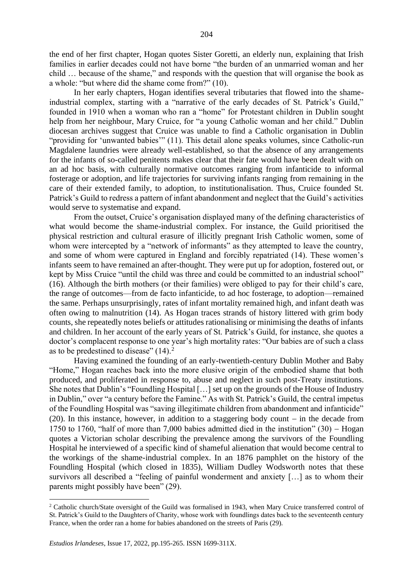the end of her first chapter, Hogan quotes Sister Goretti, an elderly nun, explaining that Irish families in earlier decades could not have borne "the burden of an unmarried woman and her child … because of the shame," and responds with the question that will organise the book as a whole: "but where did the shame come from?" (10).

In her early chapters, Hogan identifies several tributaries that flowed into the shameindustrial complex, starting with a "narrative of the early decades of St. Patrick's Guild," founded in 1910 when a woman who ran a "home" for Protestant children in Dublin sought help from her neighbour, Mary Cruice, for "a young Catholic woman and her child." Dublin diocesan archives suggest that Cruice was unable to find a Catholic organisation in Dublin "providing for 'unwanted babies'" (11). This detail alone speaks volumes, since Catholic-run Magdalene laundries were already well-established, so that the absence of any arrangements for the infants of so-called penitents makes clear that their fate would have been dealt with on an ad hoc basis, with culturally normative outcomes ranging from infanticide to informal fosterage or adoption, and life trajectories for surviving infants ranging from remaining in the care of their extended family, to adoption, to institutionalisation. Thus, Cruice founded St. Patrick's Guild to redress a pattern of infant abandonment and neglect that the Guild's activities would serve to systematise and expand.

From the outset, Cruice's organisation displayed many of the defining characteristics of what would become the shame-industrial complex. For instance, the Guild prioritised the physical restriction and cultural erasure of illicitly pregnant Irish Catholic women, some of whom were intercepted by a "network of informants" as they attempted to leave the country, and some of whom were captured in England and forcibly repatriated (14). These women's infants seem to have remained an after-thought. They were put up for adoption, fostered out, or kept by Miss Cruice "until the child was three and could be committed to an industrial school" (16). Although the birth mothers (or their families) were obliged to pay for their child's care, the range of outcomes—from de facto infanticide, to ad hoc fosterage, to adoption—remained the same. Perhaps unsurprisingly, rates of infant mortality remained high, and infant death was often owing to malnutrition (14). As Hogan traces strands of history littered with grim body counts, she repeatedly notes beliefs or attitudes rationalising or minimising the deaths of infants and children. In her account of the early years of St. Patrick's Guild, for instance, she quotes a doctor's complacent response to one year's high mortality rates: "Our babies are of such a class as to be predestined to disease"  $(14)$ .<sup>2</sup>

Having examined the founding of an early-twentieth-century Dublin Mother and Baby "Home," Hogan reaches back into the more elusive origin of the embodied shame that both produced, and proliferated in response to, abuse and neglect in such post-Treaty institutions. She notes that Dublin's "Foundling Hospital […] set up on the grounds of the House of Industry in Dublin," over "a century before the Famine." As with St. Patrick's Guild, the central impetus of the Foundling Hospital was "saving illegitimate children from abandonment and infanticide" (20). In this instance, however, in addition to a staggering body count − in the decade from 1750 to 1760, "half of more than 7,000 babies admitted died in the institution" (30) − Hogan quotes a Victorian scholar describing the prevalence among the survivors of the Foundling Hospital he interviewed of a specific kind of shameful alienation that would become central to the workings of the shame-industrial complex. In an 1876 pamphlet on the history of the Foundling Hospital (which closed in 1835), William Dudley Wodsworth notes that these survivors all described a "feeling of painful wonderment and anxiety […] as to whom their parents might possibly have been" (29).

<sup>2</sup> Catholic church/State oversight of the Guild was formalised in 1943, when Mary Cruice transferred control of St. Patrick's Guild to the Daughters of Charity, whose work with foundlings dates back to the seventeenth century France, when the order ran a home for babies abandoned on the streets of Paris (29).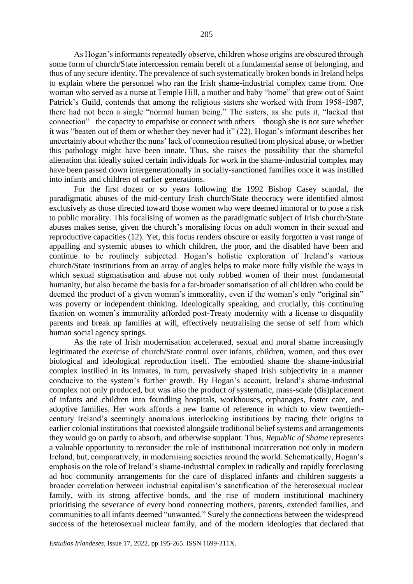As Hogan's informants repeatedly observe, children whose origins are obscured through some form of church/State intercession remain bereft of a fundamental sense of belonging, and thus of any secure identity. The prevalence of such systematically broken bonds in Ireland helps to explain where the personnel who ran the Irish shame-industrial complex came from. One woman who served as a nurse at Temple Hill, a mother and baby "home" that grew out of Saint Patrick's Guild, contends that among the religious sisters she worked with from 1958-1987, there had not been a single "normal human being." The sisters, as she puts it, "lacked that connection"− the capacity to empathise or connect with others − though she is not sure whether it was "beaten out of them or whether they never had it" (22). Hogan's informant describes her uncertainty about whether the nuns' lack of connection resulted from physical abuse, or whether this pathology might have been innate. Thus, she raises the possibility that the shameful alienation that ideally suited certain individuals for work in the shame-industrial complex may have been passed down intergenerationally in socially-sanctioned families once it was instilled into infants and children of earlier generations.

For the first dozen or so years following the 1992 Bishop Casey scandal, the paradigmatic abuses of the mid-century Irish church/State theocracy were identified almost exclusively as those directed toward those women who were deemed immoral or to pose a risk to public morality. This focalising of women as the paradigmatic subject of Irish church/State abuses makes sense, given the church's moralising focus on adult women in their sexual and reproductive capacities (12). Yet, this focus renders obscure or easily forgotten a vast range of appalling and systemic abuses to which children, the poor, and the disabled have been and continue to be routinely subjected. Hogan's holistic exploration of Ireland's various church/State institutions from an array of angles helps to make more fully visible the ways in which sexual stigmatisation and abuse not only robbed women of their most fundamental humanity, but also became the basis for a far-broader somatisation of all children who could be deemed the product of a given woman's immorality, even if the woman's only "original sin" was poverty or independent thinking. Ideologically speaking, and crucially, this continuing fixation on women's immorality afforded post-Treaty modernity with a license to disqualify parents and break up families at will, effectively neutralising the sense of self from which human social agency springs.

As the rate of Irish modernisation accelerated, sexual and moral shame increasingly legitimated the exercise of church/State control over infants, children, women, and thus over biological and ideological reproduction itself. The embodied shame the shame-industrial complex instilled in its inmates, in turn, pervasively shaped Irish subjectivity in a manner conducive to the system's further growth. By Hogan's account, Ireland's shame-industrial complex not only produced, but was also the product *of* systematic, mass-scale (dis)placement of infants and children into foundling hospitals, workhouses, orphanages, foster care, and adoptive families. Her work affords a new frame of reference in which to view twentiethcentury Ireland's seemingly anomalous interlocking institutions by tracing their origins to earlier colonial institutions that coexisted alongside traditional belief systems and arrangements they would go on partly to absorb, and otherwise supplant. Thus, *Republic of Shame* represents a valuable opportunity to reconsider the role of institutional incarceration not only in modern Ireland, but, comparatively, in modernising societies around the world. Schematically, Hogan's emphasis on the role of Ireland's shame-industrial complex in radically and rapidly foreclosing ad hoc community arrangements for the care of displaced infants and children suggests a broader correlation between industrial capitalism's sanctification of the heterosexual nuclear family, with its strong affective bonds, and the rise of modern institutional machinery prioritising the severance of every bond connecting mothers, parents, extended families, and communities to all infants deemed "unwanted." Surely the connections between the widespread success of the heterosexual nuclear family, and of the modern ideologies that declared that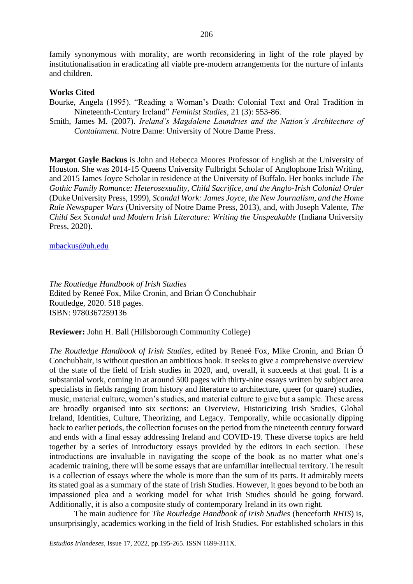family synonymous with morality, are worth reconsidering in light of the role played by institutionalisation in eradicating all viable pre-modern arrangements for the nurture of infants and children.

### **Works Cited**

Bourke, Angela (1995). "Reading a Woman's Death: Colonial Text and Oral Tradition in Nineteenth-Century Ireland" *Feminist Studies,* 21 (3): 553-86.

Smith, James M. (2007). *Ireland's Magdalene Laundries and the Nation's Architecture of Containment*. Notre Dame: University of Notre Dame Press.

**Margot Gayle Backus** is John and Rebecca Moores Professor of English at the University of Houston. She was 2014-15 Queens University Fulbright Scholar of Anglophone Irish Writing, and 2015 James Joyce Scholar in residence at the University of Buffalo. Her books include *The Gothic Family Romance: Heterosexuality, Child Sacrifice, and the Anglo-Irish Colonial Order*  (Duke University Press, 1999), *Scandal Work: James Joyce, the New Journalism, and the Home Rule Newspaper Wars* (University of Notre Dame Press, 2013), and, with Joseph Valente, *The Child Sex Scandal and Modern Irish Literature: Writing the Unspeakable* (Indiana University Press, 2020).

### [mbackus@uh.edu](mailto:mbackus@uh.edu)

*The Routledge Handbook of Irish Studies* Edited by Reneé Fox, Mike Cronin, and Brian Ó Conchubhair Routledge, 2020. 518 pages. ISBN: 9780367259136

**Reviewer:** John H. Ball (Hillsborough Community College)

*The Routledge Handbook of Irish Studies*, edited by Reneé Fox, Mike Cronin, and Brian Ó Conchubhair, is without question an ambitious book. It seeks to give a comprehensive overview of the state of the field of Irish studies in 2020, and, overall, it succeeds at that goal. It is a substantial work, coming in at around 500 pages with thirty-nine essays written by subject area specialists in fields ranging from history and literature to architecture, queer (or quare) studies, music, material culture, women's studies, and material culture to give but a sample. These areas are broadly organised into six sections: an Overview, Historicizing Irish Studies, Global Ireland, Identities, Culture, Theorizing, and Legacy. Temporally, while occasionally dipping back to earlier periods, the collection focuses on the period from the nineteenth century forward and ends with a final essay addressing Ireland and COVID-19. These diverse topics are held together by a series of introductory essays provided by the editors in each section. These introductions are invaluable in navigating the scope of the book as no matter what one's academic training, there will be some essays that are unfamiliar intellectual territory. The result is a collection of essays where the whole is more than the sum of its parts. It admirably meets its stated goal as a summary of the state of Irish Studies. However, it goes beyond to be both an impassioned plea and a working model for what Irish Studies should be going forward. Additionally, it is also a composite study of contemporary Ireland in its own right.

The main audience for *The Routledge Handbook of Irish Studies* (henceforth *RHIS*) is, unsurprisingly, academics working in the field of Irish Studies. For established scholars in this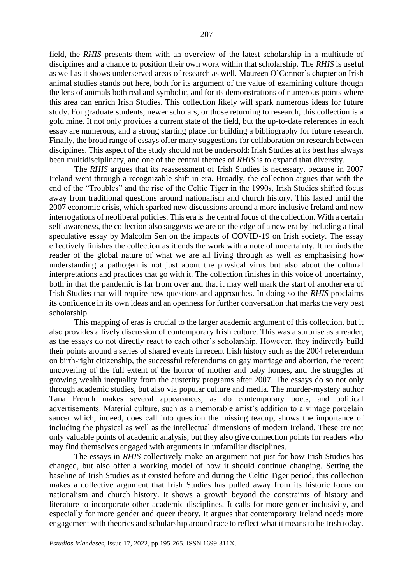field, the *RHIS* presents them with an overview of the latest scholarship in a multitude of disciplines and a chance to position their own work within that scholarship. The *RHIS* is useful as well as it shows underserved areas of research as well. Maureen O'Connor's chapter on Irish animal studies stands out here, both for its argument of the value of examining culture though the lens of animals both real and symbolic, and for its demonstrations of numerous points where this area can enrich Irish Studies. This collection likely will spark numerous ideas for future study. For graduate students, newer scholars, or those returning to research, this collection is a gold mine. It not only provides a current state of the field, but the up-to-date references in each essay are numerous, and a strong starting place for building a bibliography for future research. Finally, the broad range of essays offer many suggestions for collaboration on research between disciplines. This aspect of the study should not be undersold: Irish Studies at its best has always been multidisciplinary, and one of the central themes of *RHIS* is to expand that diversity.

The *RHIS* argues that its reassessment of Irish Studies is necessary, because in 2007 Ireland went through a recognizable shift in era. Broadly, the collection argues that with the end of the "Troubles" and the rise of the Celtic Tiger in the 1990s, Irish Studies shifted focus away from traditional questions around nationalism and church history. This lasted until the 2007 economic crisis, which sparked new discussions around a more inclusive Ireland and new interrogations of neoliberal policies. This era is the central focus of the collection. With a certain self-awareness, the collection also suggests we are on the edge of a new era by including a final speculative essay by Malcolm Sen on the impacts of COVID-19 on Irish society. The essay effectively finishes the collection as it ends the work with a note of uncertainty. It reminds the reader of the global nature of what we are all living through as well as emphasising how understanding a pathogen is not just about the physical virus but also about the cultural interpretations and practices that go with it. The collection finishes in this voice of uncertainty, both in that the pandemic is far from over and that it may well mark the start of another era of Irish Studies that will require new questions and approaches. In doing so the *RHIS* proclaims its confidence in its own ideas and an openness for further conversation that marks the very best scholarship.

This mapping of eras is crucial to the larger academic argument of this collection, but it also provides a lively discussion of contemporary Irish culture. This was a surprise as a reader, as the essays do not directly react to each other's scholarship. However, they indirectly build their points around a series of shared events in recent Irish history such as the 2004 referendum on birth-right citizenship, the successful referendums on gay marriage and abortion, the recent uncovering of the full extent of the horror of mother and baby homes, and the struggles of growing wealth inequality from the austerity programs after 2007. The essays do so not only through academic studies, but also via popular culture and media. The murder-mystery author Tana French makes several appearances, as do contemporary poets, and political advertisements. Material culture, such as a memorable artist's addition to a vintage porcelain saucer which, indeed, does call into question the missing teacup, shows the importance of including the physical as well as the intellectual dimensions of modern Ireland. These are not only valuable points of academic analysis, but they also give connection points for readers who may find themselves engaged with arguments in unfamiliar disciplines.

The essays in *RHIS* collectively make an argument not just for how Irish Studies has changed, but also offer a working model of how it should continue changing. Setting the baseline of Irish Studies as it existed before and during the Celtic Tiger period, this collection makes a collective argument that Irish Studies has pulled away from its historic focus on nationalism and church history. It shows a growth beyond the constraints of history and literature to incorporate other academic disciplines. It calls for more gender inclusivity, and especially for more gender and queer theory. It argues that contemporary Ireland needs more engagement with theories and scholarship around race to reflect what it means to be Irish today.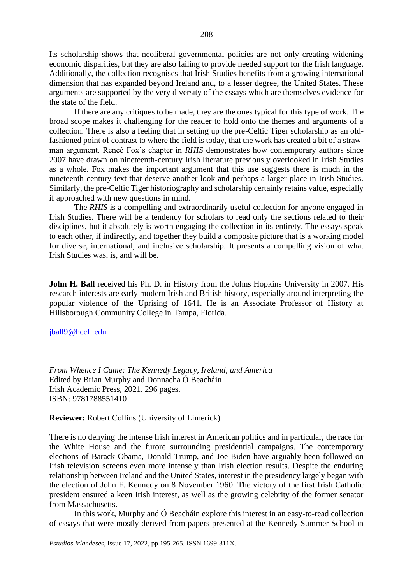Its scholarship shows that neoliberal governmental policies are not only creating widening economic disparities, but they are also failing to provide needed support for the Irish language. Additionally, the collection recognises that Irish Studies benefits from a growing international dimension that has expanded beyond Ireland and, to a lesser degree, the United States. These arguments are supported by the very diversity of the essays which are themselves evidence for the state of the field.

If there are any critiques to be made, they are the ones typical for this type of work. The broad scope makes it challenging for the reader to hold onto the themes and arguments of a collection. There is also a feeling that in setting up the pre-Celtic Tiger scholarship as an oldfashioned point of contrast to where the field is today, that the work has created a bit of a strawman argument. Reneé Fox's chapter in *RHIS* demonstrates how contemporary authors since 2007 have drawn on nineteenth-century Irish literature previously overlooked in Irish Studies as a whole. Fox makes the important argument that this use suggests there is much in the nineteenth-century text that deserve another look and perhaps a larger place in Irish Studies. Similarly, the pre-Celtic Tiger historiography and scholarship certainly retains value, especially if approached with new questions in mind.

The *RHIS* is a compelling and extraordinarily useful collection for anyone engaged in Irish Studies. There will be a tendency for scholars to read only the sections related to their disciplines, but it absolutely is worth engaging the collection in its entirety. The essays speak to each other, if indirectly, and together they build a composite picture that is a working model for diverse, international, and inclusive scholarship. It presents a compelling vision of what Irish Studies was, is, and will be.

**John H. Ball** received his Ph. D. in History from the Johns Hopkins University in 2007. His research interests are early modern Irish and British history, especially around interpreting the popular violence of the Uprising of 1641. He is an Associate Professor of History at Hillsborough Community College in Tampa, Florida.

[jball9@hccfl.edu](mailto:jball9@hccfl.edu)

*From Whence I Came: The Kennedy Legacy, Ireland, and America*  Edited by Brian Murphy and Donnacha Ó Beacháin Irish Academic Press, 2021. 296 pages. ISBN: 9781788551410

**Reviewer:** Robert Collins (University of Limerick)

There is no denying the intense Irish interest in American politics and in particular, the race for the White House and the furore surrounding presidential campaigns. The contemporary elections of Barack Obama, Donald Trump, and Joe Biden have arguably been followed on Irish television screens even more intensely than Irish election results. Despite the enduring relationship between Ireland and the United States, interest in the presidency largely began with the election of John F. Kennedy on 8 November 1960. The victory of the first Irish Catholic president ensured a keen Irish interest, as well as the growing celebrity of the former senator from Massachusetts.

In this work, Murphy and Ó Beacháin explore this interest in an easy-to-read collection of essays that were mostly derived from papers presented at the Kennedy Summer School in

*Estudios Irlandeses*, Issue 17, 2022, pp.195-265. ISSN 1699-311X.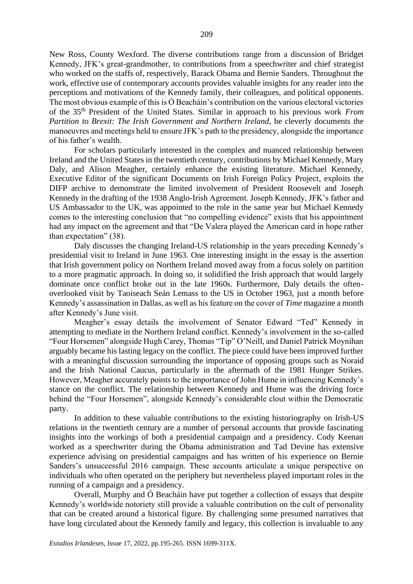New Ross, County Wexford. The diverse contributions range from a discussion of Bridget Kennedy, JFK's great-grandmother, to contributions from a speechwriter and chief strategist who worked on the staffs of, respectively, Barack Obama and Bernie Sanders. Throughout the work, effective use of contemporary accounts provides valuable insights for any reader into the perceptions and motivations of the Kennedy family, their colleagues, and political opponents. The most obvious example of this is  $\acute{o}$  Beacháin's contribution on the various electoral victories of the 35th President of the United States. Similar in approach to his previous work *From Partition to Brexit: The Irish Government and Northern Ireland*, he cleverly documents the manoeuvres and meetings held to ensure JFK's path to the presidency, alongside the importance of his father's wealth.

For scholars particularly interested in the complex and nuanced relationship between Ireland and the United States in the twentieth century, contributions by Michael Kennedy, Mary Daly, and Alison Meagher, certainly enhance the existing literature. Michael Kennedy, Executive Editor of the significant Documents on Irish Foreign Policy Project, exploits the DIFP archive to demonstrate the limited involvement of President Roosevelt and Joseph Kennedy in the drafting of the 1938 Anglo-Irish Agreement. Joseph Kennedy, JFK's father and US Ambassador to the UK, was appointed to the role in the same year but Michael Kennedy comes to the interesting conclusion that "no compelling evidence" exists that his appointment had any impact on the agreement and that "De Valera played the American card in hope rather than expectation" (38).

Daly discusses the changing Ireland-US relationship in the years preceding Kennedy's presidential visit to Ireland in June 1963. One interesting insight in the essay is the assertion that Irish government policy on Northern Ireland moved away from a focus solely on partition to a more pragmatic approach. In doing so, it solidified the Irish approach that would largely dominate once conflict broke out in the late 1960s. Furthermore, Daly details the oftenoverlooked visit by Taoiseach Seán Lemass to the US in October 1963, just a month before Kennedy's assassination in Dallas, as well as his feature on the cover of *Time* magazine a month after Kennedy's June visit.

Meagher's essay details the involvement of Senator Edward "Ted" Kennedy in attempting to mediate in the Northern Ireland conflict. Kennedy's involvement in the so-called "Four Horsemen" alongside Hugh Carey, Thomas "Tip" O'Neill, and Daniel Patrick Moynihan arguably became his lasting legacy on the conflict. The piece could have been improved further with a meaningful discussion surrounding the importance of opposing groups such as Noraid and the Irish National Caucus, particularly in the aftermath of the 1981 Hunger Strikes. However, Meagher accurately points to the importance of John Hume in influencing Kennedy's stance on the conflict. The relationship between Kennedy and Hume was the driving force behind the "Four Horsemen", alongside Kennedy's considerable clout within the Democratic party.

In addition to these valuable contributions to the existing historiography on Irish-US relations in the twentieth century are a number of personal accounts that provide fascinating insights into the workings of both a presidential campaign and a presidency. Cody Keenan worked as a speechwriter during the Obama administration and Tad Devine has extensive experience advising on presidential campaigns and has written of his experience on Bernie Sanders's unsuccessful 2016 campaign. These accounts articulate a unique perspective on individuals who often operated on the periphery but nevertheless played important roles in the running of a campaign and a presidency.

Overall, Murphy and Ó Beacháin have put together a collection of essays that despite Kennedy's worldwide notoriety still provide a valuable contribution on the cult of personality that can be created around a historical figure. By challenging some presumed narratives that have long circulated about the Kennedy family and legacy, this collection is invaluable to any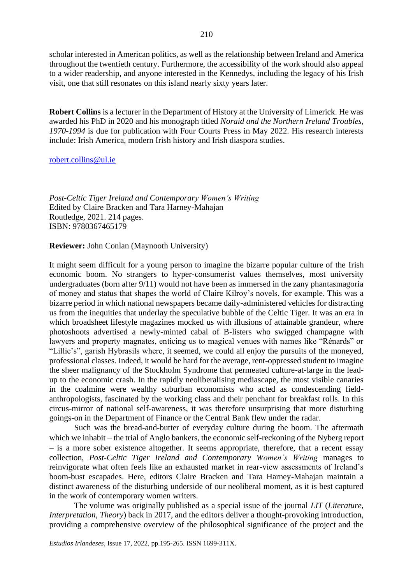scholar interested in American politics, as well as the relationship between Ireland and America throughout the twentieth century. Furthermore, the accessibility of the work should also appeal to a wider readership, and anyone interested in the Kennedys, including the legacy of his Irish visit, one that still resonates on this island nearly sixty years later.

**Robert Collins** is a lecturer in the Department of History at the University of Limerick. He was awarded his PhD in 2020 and his monograph titled *Noraid and the Northern Ireland Troubles, 1970-1994* is due for publication with Four Courts Press in May 2022. His research interests include: Irish America, modern Irish history and Irish diaspora studies.

### [robert.collins@ul.ie](mailto:robert.collins@ul.ie)

*Post-Celtic Tiger Ireland and Contemporary Women's Writing*  Edited by Claire Bracken and Tara Harney-Mahajan Routledge, 2021. 214 pages. ISBN: 9780367465179

**Reviewer:** John Conlan (Maynooth University)

It might seem difficult for a young person to imagine the bizarre popular culture of the Irish economic boom. No strangers to hyper-consumerist values themselves, most university undergraduates (born after 9/11) would not have been as immersed in the zany phantasmagoria of money and status that shapes the world of Claire Kilroy's novels, for example. This was a bizarre period in which national newspapers became daily-administered vehicles for distracting us from the inequities that underlay the speculative bubble of the Celtic Tiger. It was an era in which broadsheet lifestyle magazines mocked us with illusions of attainable grandeur, where photoshoots advertised a newly-minted cabal of B-listers who swigged champagne with lawyers and property magnates, enticing us to magical venues with names like "Rénards" or "Lillie's", garish Hybrasils where, it seemed, we could all enjoy the pursuits of the moneyed, professional classes. Indeed, it would be hard for the average, rent-oppressed student to imagine the sheer malignancy of the Stockholm Syndrome that permeated culture-at-large in the leadup to the economic crash. In the rapidly neoliberalising mediascape, the most visible canaries in the coalmine were wealthy suburban economists who acted as condescending fieldanthropologists, fascinated by the working class and their penchant for breakfast rolls. In this circus-mirror of national self-awareness, it was therefore unsurprising that more disturbing goings-on in the Department of Finance or the Central Bank flew under the radar.

Such was the bread-and-butter of everyday culture during the boom. The aftermath which we inhabit − the trial of Anglo bankers, the economic self-reckoning of the Nyberg report − is a more sober existence altogether. It seems appropriate, therefore, that a recent essay collection, *Post-Celtic Tiger Ireland and Contemporary Women's Writing* manages to reinvigorate what often feels like an exhausted market in rear-view assessments of Ireland's boom-bust escapades. Here, editors Claire Bracken and Tara Harney-Mahajan maintain a distinct awareness of the disturbing underside of our neoliberal moment, as it is best captured in the work of contemporary women writers.

The volume was originally published as a special issue of the journal *LIT* (*Literature, Interpretation, Theory*) back in 2017, and the editors deliver a thought-provoking introduction, providing a comprehensive overview of the philosophical significance of the project and the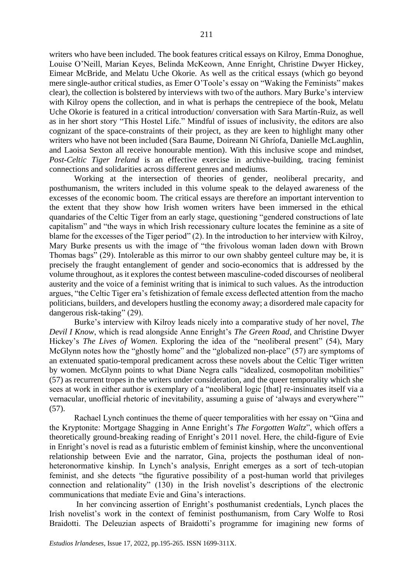writers who have been included. The book features critical essays on Kilroy, Emma Donoghue, Louise O'Neill, Marian Keyes, Belinda McKeown, Anne Enright, Christine Dwyer Hickey, Eimear McBride, and Melatu Uche Okorie. As well as the critical essays (which go beyond mere single-author critical studies, as Emer O'Toole's essay on "Waking the Feminists" makes clear), the collection is bolstered by interviews with two of the authors. Mary Burke's interview with Kilroy opens the collection, and in what is perhaps the centrepiece of the book, Melatu Uche Okorie is featured in a critical introduction/ conversation with Sara Martín-Ruiz, as well as in her short story "This Hostel Life." Mindful of issues of inclusivity, the editors are also cognizant of the space-constraints of their project, as they are keen to highlight many other writers who have not been included (Sara Baume, Doireann Ní Ghríofa, Danielle McLaughlin, and Laoisa Sexton all receive honourable mention). With this inclusive scope and mindset, *Post-Celtic Tiger Ireland* is an effective exercise in archive-building, tracing feminist connections and solidarities across different genres and mediums.

Working at the intersection of theories of gender, neoliberal precarity, and posthumanism, the writers included in this volume speak to the delayed awareness of the excesses of the economic boom. The critical essays are therefore an important intervention to the extent that they show how Irish women writers have been immersed in the ethical quandaries of the Celtic Tiger from an early stage, questioning "gendered constructions of late capitalism" and "the ways in which Irish recessionary culture locates the feminine as a site of blame for the excesses of the Tiger period" (2). In the introduction to her interview with Kilroy, Mary Burke presents us with the image of "the frivolous woman laden down with Brown Thomas bags" (29). Intolerable as this mirror to our own shabby genteel culture may be, it is precisely the fraught entanglement of gender and socio-economics that is addressed by the volume throughout, as it explores the contest between masculine-coded discourses of neoliberal austerity and the voice of a feminist writing that is inimical to such values. As the introduction argues, "the Celtic Tiger era's fetishization of female excess deflected attention from the macho politicians, builders, and developers hustling the economy away; a disordered male capacity for dangerous risk-taking" (29).

Burke's interview with Kilroy leads nicely into a comparative study of her novel, *The Devil I Know*, which is read alongside Anne Enright's *The Green Road*, and Christine Dwyer Hickey's *The Lives of Women*. Exploring the idea of the "neoliberal present" (54), Mary McGlynn notes how the "ghostly home" and the "globalized non-place" (57) are symptoms of an extenuated spatio-temporal predicament across these novels about the Celtic Tiger written by women. McGlynn points to what Diane Negra calls "idealized, cosmopolitan mobilities" (57) as recurrent tropes in the writers under consideration, and the queer temporality which she sees at work in either author is exemplary of a "neoliberal logic [that] re-insinuates itself via a vernacular, unofficial rhetoric of inevitability, assuming a guise of 'always and everywhere'" (57).

Rachael Lynch continues the theme of queer temporalities with her essay on "Gina and the Kryptonite: Mortgage Shagging in Anne Enright's *The Forgotten Waltz*", which offers a theoretically ground-breaking reading of Enright's 2011 novel. Here, the child-figure of Evie in Enright's novel is read as a futuristic emblem of feminist kinship, where the unconventional relationship between Evie and the narrator, Gina, projects the posthuman ideal of nonheteronormative kinship. In Lynch's analysis, Enright emerges as a sort of tech-utopian feminist, and she detects "the figurative possibility of a post-human world that privileges connection and relationality" (130) in the Irish novelist's descriptions of the electronic communications that mediate Evie and Gina's interactions.

In her convincing assertion of Enright's posthumanist credentials, Lynch places the Irish novelist's work in the context of feminist posthumanism, from Cary Wolfe to Rosi Braidotti. The Deleuzian aspects of Braidotti's programme for imagining new forms of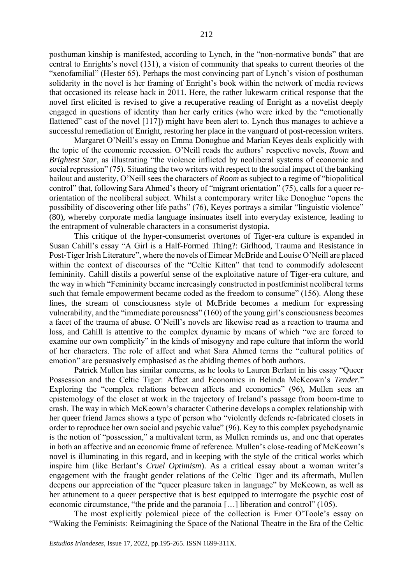posthuman kinship is manifested, according to Lynch, in the "non-normative bonds" that are central to Enrights's novel (131), a vision of community that speaks to current theories of the "xenofamilial" (Hester 65). Perhaps the most convincing part of Lynch's vision of posthuman solidarity in the novel is her framing of Enright's book within the network of media reviews that occasioned its release back in 2011. Here, the rather lukewarm critical response that the novel first elicited is revised to give a recuperative reading of Enright as a novelist deeply engaged in questions of identity than her early critics (who were irked by the "emotionally flattened" cast of the novel [117]) might have been alert to. Lynch thus manages to achieve a successful remediation of Enright, restoring her place in the vanguard of post-recession writers.

Margaret O'Neill's essay on Emma Donoghue and Marian Keyes deals explicitly with the topic of the economic recession. O'Neill reads the authors' respective novels, *Room* and *Brightest Star*, as illustrating "the violence inflicted by neoliberal systems of economic and social repression" (75). Situating the two writers with respect to the social impact of the banking bailout and austerity, O'Neill sees the characters of *Room* as subject to a regime of "biopolitical control" that, following Sara Ahmed's theory of "migrant orientation" (75), calls for a queer reorientation of the neoliberal subject. Whilst a contemporary writer like Donoghue "opens the possibility of discovering other life paths" (76), Keyes portrays a similar "linguistic violence" (80), whereby corporate media language insinuates itself into everyday existence, leading to the entrapment of vulnerable characters in a consumerist dystopia.

This critique of the hyper-consumerist overtones of Tiger-era culture is expanded in Susan Cahill's essay "A Girl is a Half-Formed Thing?: Girlhood, Trauma and Resistance in Post-Tiger Irish Literature", where the novels of Eimear McBride and Louise O'Neill are placed within the context of discourses of the "Celtic Kitten" that tend to commodify adolescent femininity. Cahill distils a powerful sense of the exploitative nature of Tiger-era culture, and the way in which "Femininity became increasingly constructed in postfeminist neoliberal terms such that female empowerment became coded as the freedom to consume" (156). Along these lines, the stream of consciousness style of McBride becomes a medium for expressing vulnerability, and the "immediate porousness" (160) of the young girl's consciousness becomes a facet of the trauma of abuse. O'Neill's novels are likewise read as a reaction to trauma and loss, and Cahill is attentive to the complex dynamic by means of which "we are forced to examine our own complicity" in the kinds of misogyny and rape culture that inform the world of her characters. The role of affect and what Sara Ahmed terms the "cultural politics of emotion" are persuasively emphasised as the abiding themes of both authors.

Patrick Mullen has similar concerns, as he looks to Lauren Berlant in his essay "Queer Possession and the Celtic Tiger: Affect and Economics in Belinda McKeown's *Tender.*" Exploring the "complex relations between affects and economics" (96), Mullen sees an epistemology of the closet at work in the trajectory of Ireland's passage from boom-time to crash. The way in which McKeown's character Catherine develops a complex relationship with her queer friend James shows a type of person who "violently defends re-fabricated closets in order to reproduce her own social and psychic value" (96). Key to this complex psychodynamic is the notion of "possession," a multivalent term, as Mullen reminds us, and one that operates in both an affective and an economic frame of reference. Mullen's close-reading of McKeown's novel is illuminating in this regard, and in keeping with the style of the critical works which inspire him (like Berlant's *Cruel Optimism*). As a critical essay about a woman writer's engagement with the fraught gender relations of the Celtic Tiger and its aftermath, Mullen deepens our appreciation of the "queer pleasure taken in language" by McKeown, as well as her attunement to a queer perspective that is best equipped to interrogate the psychic cost of economic circumstance, "the pride and the paranoia […] liberation and control" (105).

The most explicitly polemical piece of the collection is Emer O'Toole's essay on "Waking the Feminists: Reimagining the Space of the National Theatre in the Era of the Celtic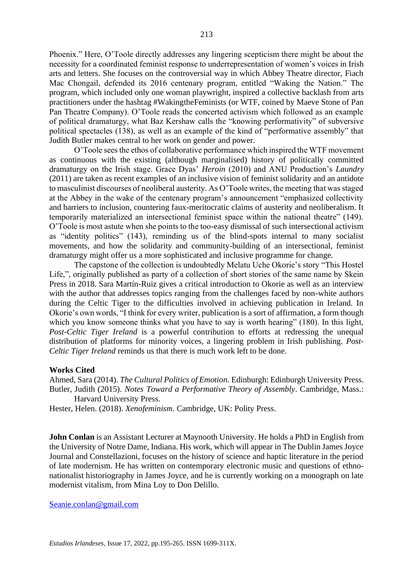Phoenix." Here, O'Toole directly addresses any lingering scepticism there might be about the necessity for a coordinated feminist response to underrepresentation of women's voices in Irish arts and letters. She focuses on the controversial way in which Abbey Theatre director, Fiach Mac Chongail, defended its 2016 centenary program, entitled "Waking the Nation." The program, which included only one woman playwright, inspired a collective backlash from arts practitioners under the hashtag #WakingtheFeminists (or WTF, coined by Maeve Stone of Pan Pan Theatre Company). O'Toole reads the concerted activism which followed as an example of political dramaturgy, what Baz Kershaw calls the "knowing performativity" of subversive political spectacles (138), as well as an example of the kind of "performative assembly" that Judith Butler makes central to her work on gender and power.

O'Toole sees the ethos of collaborative performance which inspired the WTF movement as continuous with the existing (although marginalised) history of politically committed dramaturgy on the Irish stage. Grace Dyas' *Heroin* (2010) and ANU Production's *Laundry*  (2011) are taken as recent examples of an inclusive vision of feminist solidarity and an antidote to masculinist discourses of neoliberal austerity. As O'Toole writes, the meeting that was staged at the Abbey in the wake of the centenary program's announcement "emphasized collectivity and barriers to inclusion, countering faux-meritocratic claims of austerity and neoliberalism. It temporarily materialized an intersectional feminist space within the national theatre" (149). O'Toole is most astute when she points to the too-easy dismissal of such intersectional activism as "identity politics" (143), reminding us of the blind-spots internal to many socialist movements, and how the solidarity and community-building of an intersectional, feminist dramaturgy might offer us a more sophisticated and inclusive programme for change.

The capstone of the collection is undoubtedly Melatu Uche Okorie's story "This Hostel Life,", originally published as party of a collection of short stories of the same name by Skein Press in 2018. Sara Martín-Ruiz gives a critical introduction to Okorie as well as an interview with the author that addresses topics ranging from the challenges faced by non-white authors during the Celtic Tiger to the difficulties involved in achieving publication in Ireland. In Okorie's own words, "I think for every writer, publication is a sort of affirmation, a form though which you know someone thinks what you have to say is worth hearing" (180). In this light, *Post-Celtic Tiger Ireland* is a powerful contribution to efforts at redressing the unequal distribution of platforms for minority voices, a lingering problem in Irish publishing. *Post-Celtic Tiger Ireland* reminds us that there is much work left to be done.

#### **Works Cited**

Ahmed, Sara (2014). *The Cultural Politics of Emotion.* Edinburgh: Edinburgh University Press. Butler, Judith (2015). *Notes Toward a Performative Theory of Assembly*. Cambridge, Mass.: Harvard University Press.

Hester, Helen. (2018). *Xenofeminism*. Cambridge, UK: Polity Press.

**John Conlan** is an Assistant Lecturer at Maynooth University. He holds a PhD in English from the University of Notre Dame, Indiana. His work, which will appear in The Dublin James Joyce Journal and Constellazioni, focuses on the history of science and haptic literature in the period of late modernism. He has written on contemporary electronic music and questions of ethnonationalist historiography in James Joyce, and he is currently working on a monograph on late modernist vitalism, from Mina Loy to Don Delillo.

### [Seanie.conlan@gmail.com](mailto:Seanie.conlan@gmail.com)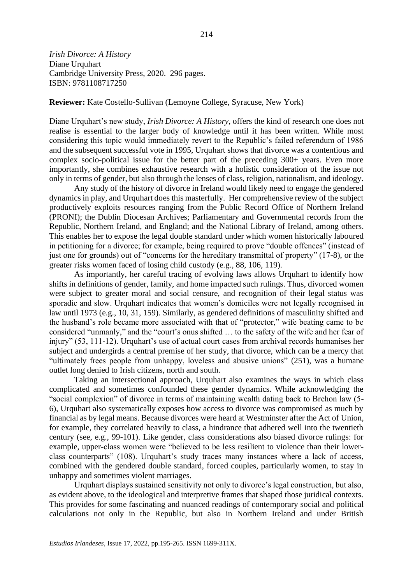*Irish Divorce: A History* Diane Urquhart Cambridge University Press, 2020. 296 pages. ISBN: 9781108717250

**Reviewer:** Kate Costello-Sullivan (Lemoyne College, Syracuse, New York)

Diane Urquhart's new study, *Irish Divorce: A History*, offers the kind of research one does not realise is essential to the larger body of knowledge until it has been written. While most considering this topic would immediately revert to the Republic's failed referendum of 1986 and the subsequent successful vote in 1995, Urquhart shows that divorce was a contentious and complex socio-political issue for the better part of the preceding 300+ years. Even more importantly, she combines exhaustive research with a holistic consideration of the issue not only in terms of gender, but also through the lenses of class, religion, nationalism, and ideology.

Any study of the history of divorce in Ireland would likely need to engage the gendered dynamics in play, and Urquhart does this masterfully. Her comprehensive review of the subject productively exploits resources ranging from the Public Record Office of Northern Ireland (PRONI); the Dublin Diocesan Archives; Parliamentary and Governmental records from the Republic, Northern Ireland, and England; and the National Library of Ireland, among others. This enables her to expose the legal double standard under which women historically laboured in petitioning for a divorce; for example, being required to prove "double offences" (instead of just one for grounds) out of "concerns for the hereditary transmittal of property" (17-8), or the greater risks women faced of losing child custody (e.g., 88, 106, 119).

As importantly, her careful tracing of evolving laws allows Urquhart to identify how shifts in definitions of gender, family, and home impacted such rulings. Thus, divorced women were subject to greater moral and social censure, and recognition of their legal status was sporadic and slow. Urquhart indicates that women's domiciles were not legally recognised in law until 1973 (e.g., 10, 31, 159). Similarly, as gendered definitions of masculinity shifted and the husband's role became more associated with that of "protector," wife beating came to be considered "unmanly," and the "court's onus shifted … to the safety of the wife and her fear of injury" (53, 111-12). Urquhart's use of actual court cases from archival records humanises her subject and undergirds a central premise of her study, that divorce, which can be a mercy that "ultimately frees people from unhappy, loveless and abusive unions" (251), was a humane outlet long denied to Irish citizens, north and south.

Taking an intersectional approach, Urquhart also examines the ways in which class complicated and sometimes confounded these gender dynamics. While acknowledging the "social complexion" of divorce in terms of maintaining wealth dating back to Brehon law (5- 6), Urquhart also systematically exposes how access to divorce was compromised as much by financial as by legal means. Because divorces were heard at Westminster after the Act of Union, for example, they correlated heavily to class, a hindrance that adhered well into the twentieth century (see, e.g., 99-101). Like gender, class considerations also biased divorce rulings: for example, upper-class women were "believed to be less resilient to violence than their lowerclass counterparts" (108). Urquhart's study traces many instances where a lack of access, combined with the gendered double standard, forced couples, particularly women, to stay in unhappy and sometimes violent marriages.

Urquhart displays sustained sensitivity not only to divorce's legal construction, but also, as evident above, to the ideological and interpretive frames that shaped those juridical contexts. This provides for some fascinating and nuanced readings of contemporary social and political calculations not only in the Republic, but also in Northern Ireland and under British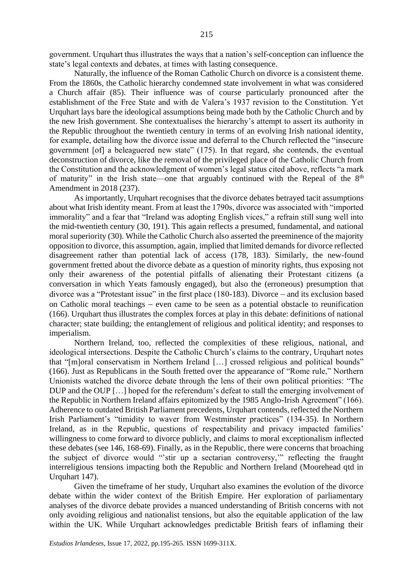government. Urquhart thus illustrates the ways that a nation's self-conception can influence the state's legal contexts and debates, at times with lasting consequence.

Naturally, the influence of the Roman Catholic Church on divorce is a consistent theme. From the 1860s, the Catholic hierarchy condemned state involvement in what was considered a Church affair (85). Their influence was of course particularly pronounced after the establishment of the Free State and with de Valera's 1937 revision to the Constitution. Yet Urquhart lays bare the ideological assumptions being made both by the Catholic Church and by the new Irish government. She contextualises the hierarchy's attempt to assert its authority in the Republic throughout the twentieth century in terms of an evolving Irish national identity, for example, detailing how the divorce issue and deferral to the Church reflected the "insecure government [of] a beleaguered new state" (175). In that regard, she contends, the eventual deconstruction of divorce, like the removal of the privileged place of the Catholic Church from the Constitution and the acknowledgment of women's legal status cited above, reflects "a mark of maturity" in the Irish state—one that arguably continued with the Repeal of the  $8<sup>th</sup>$ Amendment in 2018 (237).

As importantly, Urquhart recognises that the divorce debates betrayed tacit assumptions about what Irish identity meant. From at least the 1790s, divorce was associated with "imported immorality" and a fear that "Ireland was adopting English vices," a refrain still sung well into the mid-twentieth century (30, 191). This again reflects a presumed, fundamental, and national moral superiority (30). While the Catholic Church also asserted the preeminence of the majority opposition to divorce, this assumption, again, implied that limited demands for divorce reflected disagreement rather than potential lack of access (178, 183). Similarly, the new-found government fretted about the divorce debate as a question of minority rights, thus exposing not only their awareness of the potential pitfalls of alienating their Protestant citizens (a conversation in which Yeats famously engaged), but also the (erroneous) presumption that divorce was a "Protestant issue" in the first place (180-183). Divorce − and its exclusion based on Catholic moral teachings − even came to be seen as a potential obstacle to reunification (166). Urquhart thus illustrates the complex forces at play in this debate: definitions of national character; state building; the entanglement of religious and political identity; and responses to imperialism.

Northern Ireland, too, reflected the complexities of these religious, national, and ideological intersections. Despite the Catholic Church's claims to the contrary, Urquhart notes that "[m]oral conservatism in Northern Ireland […] crossed religious and political bounds" (166). Just as Republicans in the South fretted over the appearance of "Rome rule," Northern Unionists watched the divorce debate through the lens of their own political priorities: "The DUP and the OUP […] hoped for the referendum's defeat to stall the emerging involvement of the Republic in Northern Ireland affairs epitomized by the 1985 Anglo-Irish Agreement" (166). Adherence to outdated British Parliament precedents, Urquhart contends, reflected the Northern Irish Parliament's "timidity to waver from Westminster practices" (134-35). In Northern Ireland, as in the Republic, questions of respectability and privacy impacted families' willingness to come forward to divorce publicly, and claims to moral exceptionalism inflected these debates (see 146, 168-69). Finally, as in the Republic, there were concerns that broaching the subject of divorce would "'stir up a sectarian controversy,'" reflecting the fraught interreligious tensions impacting both the Republic and Northern Ireland (Moorehead qtd in Urquhart 147).

Given the timeframe of her study, Urquhart also examines the evolution of the divorce debate within the wider context of the British Empire. Her exploration of parliamentary analyses of the divorce debate provides a nuanced understanding of British concerns with not only avoiding religious and nationalist tensions, but also the equitable application of the law within the UK. While Urquhart acknowledges predictable British fears of inflaming their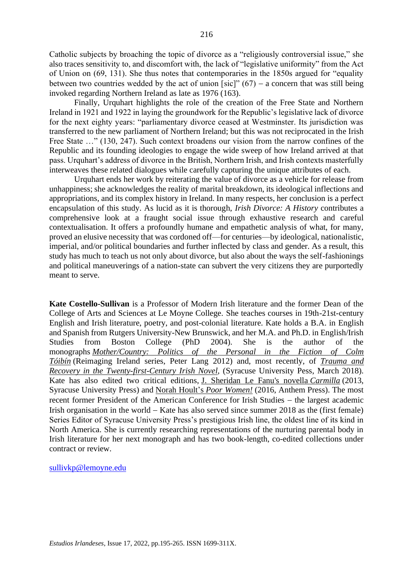Catholic subjects by broaching the topic of divorce as a "religiously controversial issue," she also traces sensitivity to, and discomfort with, the lack of "legislative uniformity" from the Act of Union on (69, 131). She thus notes that contemporaries in the 1850s argued for "equality between two countries wedded by the act of union [sic]"  $(67)$  – a concern that was still being invoked regarding Northern Ireland as late as 1976 (163).

Finally, Urquhart highlights the role of the creation of the Free State and Northern Ireland in 1921 and 1922 in laying the groundwork for the Republic's legislative lack of divorce for the next eighty years: "parliamentary divorce ceased at Westminster. Its jurisdiction was transferred to the new parliament of Northern Ireland; but this was not reciprocated in the Irish Free State ..." (130, 247). Such context broadens our vision from the narrow confines of the Republic and its founding ideologies to engage the wide sweep of how Ireland arrived at that pass. Urquhart's address of divorce in the British, Northern Irish, and Irish contexts masterfully interweaves these related dialogues while carefully capturing the unique attributes of each.

Urquhart ends her work by reiterating the value of divorce as a vehicle for release from unhappiness; she acknowledges the reality of marital breakdown, its ideological inflections and appropriations, and its complex history in Ireland. In many respects, her conclusion is a perfect encapsulation of this study. As lucid as it is thorough, *Irish Divorce: A History* contributes a comprehensive look at a fraught social issue through exhaustive research and careful contextualisation. It offers a profoundly humane and empathetic analysis of what, for many, proved an elusive necessity that was cordoned off—for centuries—by ideological, nationalistic, imperial, and/or political boundaries and further inflected by class and gender. As a result, this study has much to teach us not only about divorce, but also about the ways the self-fashionings and political maneuverings of a nation-state can subvert the very citizens they are purportedly meant to serve.

**Kate Costello-Sullivan** is a Professor of Modern Irish literature and the former Dean of the College of Arts and Sciences at Le Moyne College. She teaches courses in 19th-21st-century English and Irish literature, poetry, and post-colonial literature. Kate holds a B.A. in English and Spanish from Rutgers University-New Brunswick, and her M.A. and Ph.D. in English/Irish Studies from Boston College (PhD 2004). She is the author of the monographs *[Mother/Country:](https://www.peterlang.com/view/title/35387) Politics of the Personal in the Fiction of Colm [Tóibín](https://www.peterlang.com/view/title/35387)* (Reimaging Ireland series, Peter Lang 2012) and, most recently, of *[Trauma](https://press.syr.edu/supressbooks/225/trauma-and-recovery-in-the-twenty-first-century-irish-novel/) and Recovery in the [Twenty-first-Century](https://press.syr.edu/supressbooks/225/trauma-and-recovery-in-the-twenty-first-century-irish-novel/) Irish Novel*, (Syracuse University Pess, March 2018). Kate has also edited two critical editions, J. [Sheridan](https://press.syr.edu/supressbooks/658/carmilla/) Le Fanu's novella *[Carmilla](https://press.syr.edu/supressbooks/658/carmilla/)* (2013, Syracuse University Press) and Norah [Hoult's](http://www.anthempress.com/index.php/norah-hoult-s-poor-women-pb) *Poor [Women!](http://www.anthempress.com/index.php/norah-hoult-s-poor-women-pb)* (2016, Anthem Press). The most recent former President of the American Conference for Irish Studies – the largest academic Irish organisation in the world − Kate has also served since summer 2018 as the (first female) Series Editor of Syracuse University Press's prestigious Irish line, the oldest line of its kind in North America. She is currently researching representations of the nurturing parental body in Irish literature for her next monograph and has two book-length, co-edited collections under contract or review.

[sullivkp@lemoyne.edu](mailto:sullivkp@lemoyne.edu)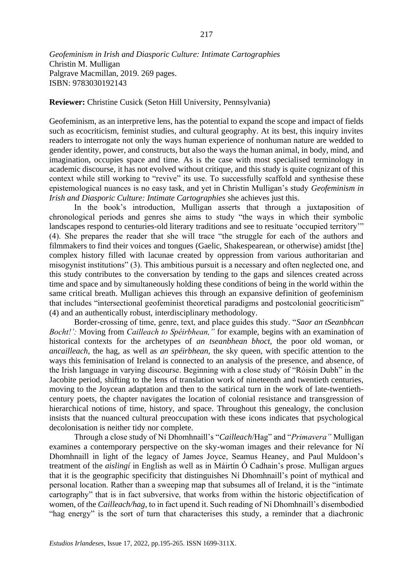*Geofeminism in Irish and Diasporic Culture: Intimate Cartographies* Christin M. Mulligan Palgrave Macmillan, 2019. 269 pages. ISBN: 9783030192143

**Reviewer:** Christine Cusick (Seton Hill University, Pennsylvania)

Geofeminism, as an interpretive lens, has the potential to expand the scope and impact of fields such as ecocriticism, feminist studies, and cultural geography. At its best, this inquiry invites readers to interrogate not only the ways human experience of nonhuman nature are wedded to gender identity, power, and constructs, but also the ways the human animal, in body, mind, and imagination, occupies space and time. As is the case with most specialised terminology in academic discourse, it has not evolved without critique, and this study is quite cognizant of this context while still working to "revive" its use. To successfully scaffold and synthesise these epistemological nuances is no easy task, and yet in Christin Mulligan's study *Geofeminism in Irish and Diasporic Culture: Intimate Cartographies* she achieves just this.

In the book's introduction, Mulligan asserts that through a juxtaposition of chronological periods and genres she aims to study "the ways in which their symbolic landscapes respond to centuries-old literary traditions and see to resituate 'occupied territory'" (4). She prepares the reader that she will trace "the struggle for each of the authors and filmmakers to find their voices and tongues (Gaelic, Shakespearean, or otherwise) amidst [the] complex history filled with lacunae created by oppression from various authoritarian and misogynist institutions" (3). This ambitious pursuit is a necessary and often neglected one, and this study contributes to the conversation by tending to the gaps and silences created across time and space and by simultaneously holding these conditions of being in the world within the same critical breath. Mulligan achieves this through an expansive definition of geofeminism that includes "intersectional geofeminist theoretical paradigms and postcolonial geocriticism" (4) and an authentically robust, interdisciplinary methodology.

Border-crossing of time, genre, text, and place guides this study. "*Saor an tSeanbhcan Bocht!':* Moving from *Cailleach to Spéirbhean,"* for example, begins with an examination of historical contexts for the archetypes of *an tseanbhean bhoct,* the poor old woman, or *ancailleach,* the hag, as well as *an spéirbhean,* the sky queen, with specific attention to the ways this feminisation of Ireland is connected to an analysis of the presence, and absence, of the Irish language in varying discourse. Beginning with a close study of "Róisín Dubh" in the Jacobite period, shifting to the lens of translation work of nineteenth and twentieth centuries, moving to the Joycean adaptation and then to the satirical turn in the work of late-twentiethcentury poets, the chapter navigates the location of colonial resistance and transgression of hierarchical notions of time, history, and space. Throughout this genealogy, the conclusion insists that the nuanced cultural preoccupation with these icons indicates that psychological decolonisation is neither tidy nor complete.

Through a close study of Ní Dhomhnaill's "*Cailleach*/Hag" and "*Primavera"* Mulligan examines a contemporary perspective on the sky-woman images and their relevance for Ní Dhomhnaill in light of the legacy of James Joyce, Seamus Heaney, and Paul Muldoon's treatment of the *aislingí* in English as well as in Máirtín Ó Cadhain's prose. Mulligan argues that it is the geographic specificity that distinguishes Ní Dhomhnaill's point of mythical and personal location. Rather than a sweeping map that subsumes all of Ireland, it is the "intimate cartography" that is in fact subversive, that works from within the historic objectification of women, of the *Cailleach/hag,* to in fact upend it. Such reading of Ní Dhomhnaill's disembodied "hag energy" is the sort of turn that characterises this study, a reminder that a diachronic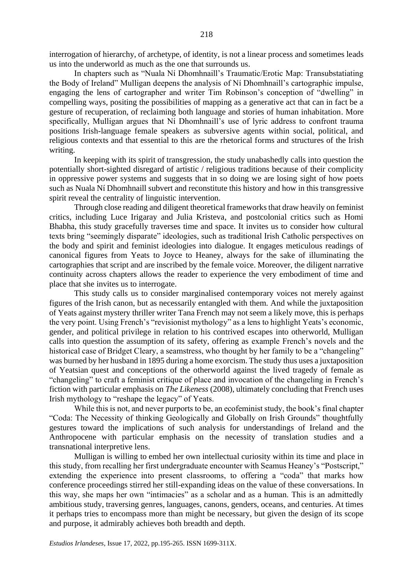interrogation of hierarchy, of archetype, of identity, is not a linear process and sometimes leads us into the underworld as much as the one that surrounds us.

In chapters such as "Nuala Ní Dhomhnaill's Traumatic/Erotic Map: Transubstatiating the Body of Ireland" Mulligan deepens the analysis of Ní Dhomhnaill's cartographic impulse, engaging the lens of cartographer and writer Tim Robinson's conception of "dwelling" in compelling ways, positing the possibilities of mapping as a generative act that can in fact be a gesture of recuperation, of reclaiming both language and stories of human inhabitation. More specifically, Mulligan argues that Ní Dhomhnaill's use of lyric address to confront trauma positions Irish-language female speakers as subversive agents within social, political, and religious contexts and that essential to this are the rhetorical forms and structures of the Irish writing.

In keeping with its spirit of transgression, the study unabashedly calls into question the potentially short-sighted disregard of artistic / religious traditions because of their complicity in oppressive power systems and suggests that in so doing we are losing sight of how poets such as Nuala Ní Dhomhnaill subvert and reconstitute this history and how in this transgressive spirit reveal the centrality of linguistic intervention.

Through close reading and diligent theoretical frameworks that draw heavily on feminist critics, including Luce Irigaray and Julia Kristeva, and postcolonial critics such as Homi Bhabha, this study gracefully traverses time and space. It invites us to consider how cultural texts bring "seemingly disparate" ideologies, such as traditional Irish Catholic perspectives on the body and spirit and feminist ideologies into dialogue. It engages meticulous readings of canonical figures from Yeats to Joyce to Heaney, always for the sake of illuminating the cartographies that script and are inscribed by the female voice. Moreover, the diligent narrative continuity across chapters allows the reader to experience the very embodiment of time and place that she invites us to interrogate.

This study calls us to consider marginalised contemporary voices not merely against figures of the Irish canon, but as necessarily entangled with them. And while the juxtaposition of Yeats against mystery thriller writer Tana French may not seem a likely move, this is perhaps the very point. Using French's "revisionist mythology" as a lens to highlight Yeats's economic, gender, and political privilege in relation to his contrived escapes into otherworld, Mulligan calls into question the assumption of its safety, offering as example French's novels and the historical case of Bridget Cleary, a seamstress, who thought by her family to be a "changeling" was burned by her husband in 1895 during a home exorcism. The study thus uses a juxtaposition of Yeatsian quest and conceptions of the otherworld against the lived tragedy of female as "changeling" to craft a feminist critique of place and invocation of the changeling in French's fiction with particular emphasis on *The Likeness* (2008), ultimately concluding that French uses Irish mythology to "reshape the legacy" of Yeats.

While this is not, and never purports to be, an ecofeminist study, the book's final chapter "Coda: The Necessity of thinking Geologically and Globally on Irish Grounds" thoughtfully gestures toward the implications of such analysis for understandings of Ireland and the Anthropocene with particular emphasis on the necessity of translation studies and a transnational interpretive lens.

Mulligan is willing to embed her own intellectual curiosity within its time and place in this study, from recalling her first undergraduate encounter with Seamus Heaney's "Postscript," extending the experience into present classrooms, to offering a "coda" that marks how conference proceedings stirred her still-expanding ideas on the value of these conversations. In this way, she maps her own "intimacies" as a scholar and as a human. This is an admittedly ambitious study, traversing genres, languages, canons, genders, oceans, and centuries. At times it perhaps tries to encompass more than might be necessary, but given the design of its scope and purpose, it admirably achieves both breadth and depth.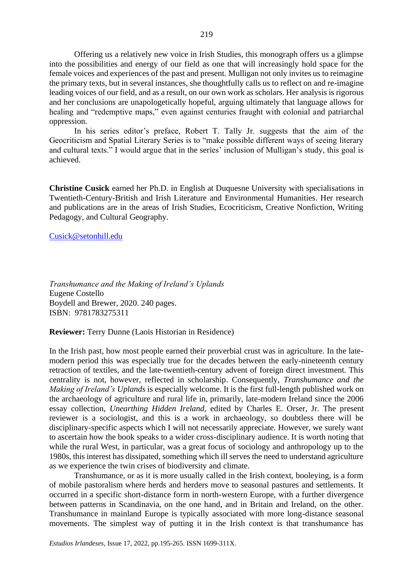Offering us a relatively new voice in Irish Studies, this monograph offers us a glimpse into the possibilities and energy of our field as one that will increasingly hold space for the female voices and experiences of the past and present. Mulligan not only invites us to reimagine the primary texts, but in several instances, she thoughtfully calls us to reflect on and re-imagine leading voices of our field, and as a result, on our own work as scholars. Her analysis is rigorous and her conclusions are unapologetically hopeful, arguing ultimately that language allows for healing and "redemptive maps," even against centuries fraught with colonial and patriarchal oppression.

In his series editor's preface, Robert T. Tally Jr. suggests that the aim of the Geocriticism and Spatial Literary Series is to "make possible different ways of seeing literary and cultural texts." I would argue that in the series' inclusion of Mulligan's study, this goal is achieved.

**Christine Cusick** earned her Ph.D. in English at Duquesne University with specialisations in Twentieth-Century-British and Irish Literature and Environmental Humanities. Her research and publications are in the areas of Irish Studies, Ecocriticism, Creative Nonfiction, Writing Pedagogy, and Cultural Geography.

[Cusick@setonhill.edu](mailto:Cusick@setonhill.edu)

*Transhumance and the Making of Ireland's Uplands* Eugene Costello Boydell and Brewer, 2020. 240 pages. ISBN: 9781783275311

**Reviewer:** Terry Dunne (Laois Historian in Residence)

In the Irish past, how most people earned their proverbial crust was in agriculture. In the latemodern period this was especially true for the decades between the early-nineteenth century retraction of textiles, and the late-twentieth-century advent of foreign direct investment. This centrality is not, however, reflected in scholarship. Consequently, *Transhumance and the Making of Ireland's Uplands* is especially welcome. It is the first full-length published work on the archaeology of agriculture and rural life in, primarily, late-modern Ireland since the 2006 essay collection, *Unearthing Hidden Ireland,* edited by Charles E. Orser, Jr. The present reviewer is a sociologist, and this is a work in archaeology, so doubtless there will be disciplinary-specific aspects which I will not necessarily appreciate. However, we surely want to ascertain how the book speaks to a wider cross-disciplinary audience. It is worth noting that while the rural West, in particular, was a great focus of sociology and anthropology up to the 1980s, this interest has dissipated, something which ill serves the need to understand agriculture as we experience the twin crises of biodiversity and climate.

Transhumance, or as it is more usually called in the Irish context, booleying, is a form of mobile pastoralism where herds and herders move to seasonal pastures and settlements. It occurred in a specific short-distance form in north-western Europe, with a further divergence between patterns in Scandinavia, on the one hand, and in Britain and Ireland, on the other. Transhumance in mainland Europe is typically associated with more long-distance seasonal movements. The simplest way of putting it in the Irish context is that transhumance has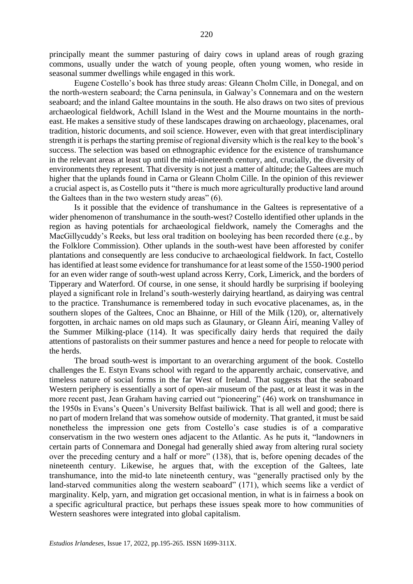principally meant the summer pasturing of dairy cows in upland areas of rough grazing commons, usually under the watch of young people, often young women, who reside in seasonal summer dwellings while engaged in this work.

Eugene Costello's book has three study areas: Gleann Cholm Cille, in Donegal, and on the north-western seaboard; the Carna peninsula, in Galway's Connemara and on the western seaboard; and the inland Galtee mountains in the south. He also draws on two sites of previous archaeological fieldwork, Achill Island in the West and the Mourne mountains in the northeast. He makes a sensitive study of these landscapes drawing on archaeology, placenames, oral tradition, historic documents, and soil science. However, even with that great interdisciplinary strength it is perhaps the starting premise of regional diversity which is the real key to the book's success. The selection was based on ethnographic evidence for the existence of transhumance in the relevant areas at least up until the mid-nineteenth century, and, crucially, the diversity of environments they represent. That diversity is not just a matter of altitude; the Galtees are much higher that the uplands found in Carna or Gleann Cholm Cille. In the opinion of this reviewer a crucial aspect is, as Costello puts it "there is much more agriculturally productive land around the Galtees than in the two western study areas" (6).

Is it possible that the evidence of transhumance in the Galtees is representative of a wider phenomenon of transhumance in the south-west? Costello identified other uplands in the region as having potentials for archaeological fieldwork, namely the Comeraghs and the MacGillycuddy's Reeks, but less oral tradition on booleying has been recorded there (e.g., by the Folklore Commission). Other uplands in the south-west have been afforested by conifer plantations and consequently are less conducive to archaeological fieldwork. In fact, Costello has identified at least some evidence for transhumance for at least some of the 1550-1900 period for an even wider range of south-west upland across Kerry, Cork, Limerick, and the borders of Tipperary and Waterford. Of course, in one sense, it should hardly be surprising if booleying played a significant role in Ireland's south-westerly dairying heartland, as dairying was central to the practice. Transhumance is remembered today in such evocative placenames, as, in the southern slopes of the Galtees, Cnoc an Bhainne, or Hill of the Milk (120), or, alternatively forgotten, in archaic names on old maps such as Glaunary, or Gleann Áirí, meaning Valley of the Summer Milking-place (114). It was specifically dairy herds that required the daily attentions of pastoralists on their summer pastures and hence a need for people to relocate with the herds.

The broad south-west is important to an overarching argument of the book. Costello challenges the E. Estyn Evans school with regard to the apparently archaic, conservative, and timeless nature of social forms in the far West of Ireland. That suggests that the seaboard Western periphery is essentially a sort of open-air museum of the past, or at least it was in the more recent past, Jean Graham having carried out "pioneering" (46) work on transhumance in the 1950s in Evans's Queen's University Belfast bailiwick. That is all well and good; there is no part of modern Ireland that was somehow outside of modernity. That granted, it must be said nonetheless the impression one gets from Costello's case studies is of a comparative conservatism in the two western ones adjacent to the Atlantic. As he puts it, "landowners in certain parts of Connemara and Donegal had generally shied away from altering rural society over the preceding century and a half or more" (138), that is, before opening decades of the nineteenth century. Likewise, he argues that, with the exception of the Galtees, late transhumance, into the mid-to late nineteenth century, was "generally practised only by the land-starved communities along the western seaboard" (171), which seems like a verdict of marginality. Kelp, yarn, and migration get occasional mention, in what is in fairness a book on a specific agricultural practice, but perhaps these issues speak more to how communities of Western seashores were integrated into global capitalism.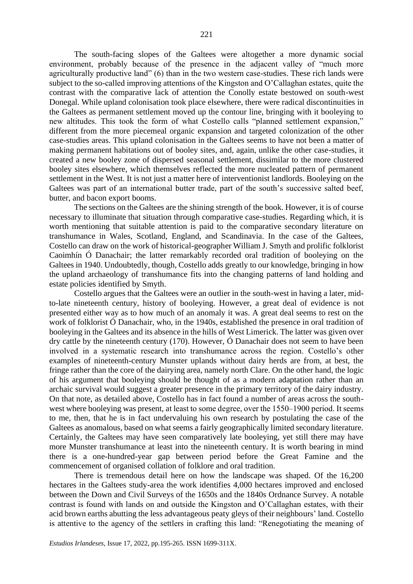The south-facing slopes of the Galtees were altogether a more dynamic social environment, probably because of the presence in the adjacent valley of "much more agriculturally productive land" (6) than in the two western case-studies. These rich lands were subject to the so-called improving attentions of the Kingston and O'Callaghan estates, quite the contrast with the comparative lack of attention the Conolly estate bestowed on south-west Donegal. While upland colonisation took place elsewhere, there were radical discontinuities in the Galtees as permanent settlement moved up the contour line, bringing with it booleying to new altitudes. This took the form of what Costello calls "planned settlement expansion," different from the more piecemeal organic expansion and targeted colonization of the other case-studies areas. This upland colonisation in the Galtees seems to have not been a matter of making permanent habitations out of booley sites, and, again, unlike the other case-studies, it created a new booley zone of dispersed seasonal settlement, dissimilar to the more clustered booley sites elsewhere, which themselves reflected the more nucleated pattern of permanent settlement in the West. It is not just a matter here of interventionist landlords. Booleying on the Galtees was part of an international butter trade, part of the south's successive salted beef, butter, and bacon export booms.

The sections on the Galtees are the shining strength of the book. However, it is of course necessary to illuminate that situation through comparative case-studies. Regarding which, it is worth mentioning that suitable attention is paid to the comparative secondary literature on transhumance in Wales, Scotland, England, and Scandinavia. In the case of the Galtees, Costello can draw on the work of historical-geographer William J. Smyth and prolific folklorist Caoimhín Ó Danachair; the latter remarkably recorded oral tradition of booleying on the Galtees in 1940. Undoubtedly, though, Costello adds greatly to our knowledge, bringing in how the upland archaeology of transhumance fits into the changing patterns of land holding and estate policies identified by Smyth.

Costello argues that the Galtees were an outlier in the south-west in having a later, midto-late nineteenth century, history of booleying. However, a great deal of evidence is not presented either way as to how much of an anomaly it was. A great deal seems to rest on the work of folklorist Ó Danachair, who, in the 1940s, established the presence in oral tradition of booleying in the Galtees and its absence in the hills of West Limerick. The latter was given over dry cattle by the nineteenth century (170). However, Ó Danachair does not seem to have been involved in a systematic research into transhumance across the region. Costello's other examples of nineteenth-century Munster uplands without dairy herds are from, at best, the fringe rather than the core of the dairying area, namely north Clare. On the other hand, the logic of his argument that booleying should be thought of as a modern adaptation rather than an archaic survival would suggest a greater presence in the primary territory of the dairy industry. On that note, as detailed above, Costello has in fact found a number of areas across the southwest where booleying was present, at least to some degree, over the 1550–1900 period. It seems to me, then, that he is in fact undervaluing his own research by postulating the case of the Galtees as anomalous, based on what seems a fairly geographically limited secondary literature. Certainly, the Galtees may have seen comparatively late booleying, yet still there may have more Munster transhumance at least into the nineteenth century. It is worth bearing in mind there is a one-hundred-year gap between period before the Great Famine and the commencement of organised collation of folklore and oral tradition.

There is tremendous detail here on how the landscape was shaped. Of the 16,200 hectares in the Galtees study-area the work identifies 4,000 hectares improved and enclosed between the Down and Civil Surveys of the 1650s and the 1840s Ordnance Survey. A notable contrast is found with lands on and outside the Kingston and O'Callaghan estates, with their acid brown earths abutting the less advantageous peaty gleys of their neighbours' land. Costello is attentive to the agency of the settlers in crafting this land: "Renegotiating the meaning of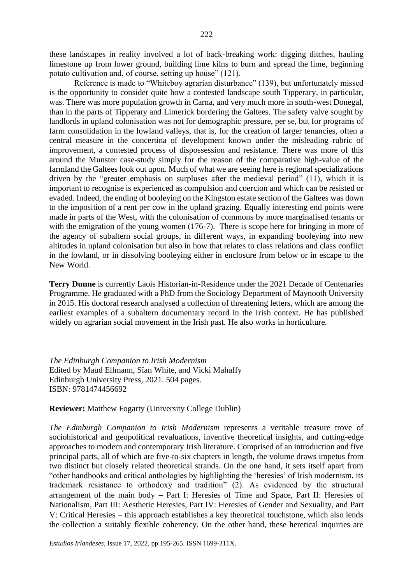these landscapes in reality involved a lot of back-breaking work: digging ditches, hauling limestone up from lower ground, building lime kilns to burn and spread the lime, beginning potato cultivation and, of course, setting up house" (121).

Reference is made to "Whiteboy agrarian disturbance" (139), but unfortunately missed is the opportunity to consider quite how a contested landscape south Tipperary, in particular, was. There was more population growth in Carna, and very much more in south-west Donegal, than in the parts of Tipperary and Limerick bordering the Galtees. The safety valve sought by landlords in upland colonisation was not for demographic pressure, per se, but for programs of farm consolidation in the lowland valleys, that is, for the creation of larger tenancies, often a central measure in the concertina of development known under the misleading rubric of improvement, a contested process of dispossession and resistance. There was more of this around the Munster case-study simply for the reason of the comparative high-value of the farmland the Galtees look out upon. Much of what we are seeing here is regional specializations driven by the "greater emphasis on surpluses after the medieval period" (11), which it is important to recognise is experienced as compulsion and coercion and which can be resisted or evaded. Indeed, the ending of booleying on the Kingston estate section of the Galtees was down to the imposition of a rent per cow in the upland grazing. Equally interesting end points were made in parts of the West, with the colonisation of commons by more marginalised tenants or with the emigration of the young women (176-7). There is scope here for bringing in more of the agency of subaltern social groups, in different ways, in expanding booleying into new altitudes in upland colonisation but also in how that relates to class relations and class conflict in the lowland, or in dissolving booleying either in enclosure from below or in escape to the New World.

**Terry Dunne** is currently Laois Historian-in-Residence under the 2021 Decade of Centenaries Programme. He graduated with a PhD from the Sociology Department of Maynooth University in 2015. His doctoral research analysed a collection of threatening letters, which are among the earliest examples of a subaltern documentary record in the Irish context. He has published widely on agrarian social movement in the Irish past. He also works in horticulture.

*The Edinburgh Companion to Irish Modernism* Edited by Maud Ellmann, Sîan White, and Vicki Mahaffy Edinburgh University Press, 2021. 504 pages. ISBN: 9781474456692

**Reviewer:** Matthew Fogarty (University College Dublin)

*The Edinburgh Companion to Irish Modernism* represents a veritable treasure trove of sociohistorical and geopolitical revaluations, inventive theoretical insights, and cutting-edge approaches to modern and contemporary Irish literature. Comprised of an introduction and five principal parts, all of which are five-to-six chapters in length, the volume draws impetus from two distinct but closely related theoretical strands. On the one hand, it sets itself apart from "other handbooks and critical anthologies by highlighting the 'heresies' of Irish modernism, its trademark resistance to orthodoxy and tradition" (2). As evidenced by the structural arrangement of the main body − Part I: Heresies of Time and Space, Part II: Heresies of Nationalism, Part III: Aesthetic Heresies, Part IV: Heresies of Gender and Sexuality, and Part V: Critical Heresies − this approach establishes a key theoretical touchstone, which also lends the collection a suitably flexible coherency. On the other hand, these heretical inquiries are

*Estudios Irlandeses*, Issue 17, 2022, pp.195-265. ISSN 1699-311X.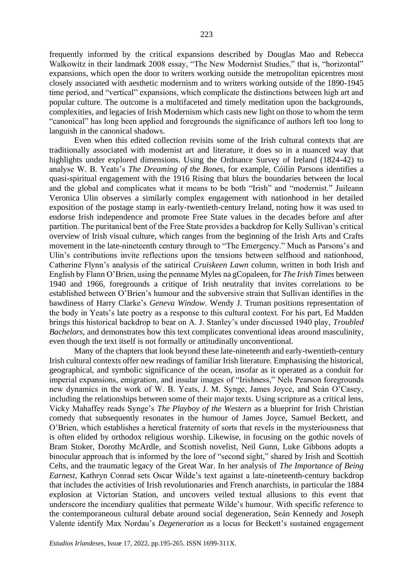frequently informed by the critical expansions described by Douglas Mao and Rebecca Walkowitz in their landmark 2008 essay, "The New Modernist Studies," that is, "horizontal" expansions, which open the door to writers working outside the metropolitan epicentres most closely associated with aesthetic modernism and to writers working outside of the 1890-1945 time period, and "vertical" expansions, which complicate the distinctions between high art and popular culture. The outcome is a multifaceted and timely meditation upon the backgrounds, complexities, and legacies of Irish Modernism which casts new light on those to whom the term "canonical" has long been applied and foregrounds the significance of authors left too long to languish in the canonical shadows.

Even when this edited collection revisits some of the Irish cultural contexts that are traditionally associated with modernist art and literature, it does so in a nuanced way that highlights under explored dimensions. Using the Ordnance Survey of Ireland (1824-42) to analyse W. B. Yeats's *The Dreaming of the Bones*, for example, Cóilín Parsons identifies a quasi-spiritual engagement with the 1916 Rising that blurs the boundaries between the local and the global and complicates what it means to be both "Irish" and "modernist." Juileann Veronica Ulin observes a similarly complex engagement with nationhood in her detailed exposition of the postage stamp in early-twentieth-century Ireland, noting how it was used to endorse Irish independence and promote Free State values in the decades before and after partition. The puritanical bent of the Free State provides a backdrop for Kelly Sullivan's critical overview of Irish visual culture, which ranges from the beginning of the Irish Arts and Crafts movement in the late-nineteenth century through to "The Emergency." Much as Parsons's and Ulin's contributions invite reflections upon the tensions between selfhood and nationhood, Catherine Flynn's analysis of the satirical *Cruiskeen Lawn* column, written in both Irish and English by Flann O'Brien, using the penname Myles na gCopaleen, for *The Irish Times* between 1940 and 1966, foregrounds a critique of Irish neutrality that invites correlations to be established between O'Brien's humour and the subversive strain that Sullivan identifies in the bawdiness of Harry Clarke's *Geneva Window*. Wendy J. Truman positions representation of the body in Yeats's late poetry as a response to this cultural context. For his part, Ed Madden brings this historical backdrop to bear on A. J. Stanley's under discussed 1940 play, *Troubled Bachelors*, and demonstrates how this text complicates conventional ideas around masculinity, even though the text itself is not formally or attitudinally unconventional.

Many of the chapters that look beyond these late-nineteenth and early-twentieth-century Irish cultural contexts offer new readings of familiar Irish literature. Emphasising the historical, geographical, and symbolic significance of the ocean, insofar as it operated as a conduit for imperial expansions, emigration, and insular images of "Irishness," Nels Pearson foregrounds new dynamics in the work of W. B. Yeats, J. M. Synge, James Joyce, and Seán O'Casey, including the relationships between some of their major texts. Using scripture as a critical lens, Vicky Mahaffey reads Synge's *The Playboy of the Western* as a blueprint for Irish Christian comedy that subsequently resonates in the humour of James Joyce, Samuel Beckett, and O'Brien, which establishes a heretical fraternity of sorts that revels in the mysteriousness that is often elided by orthodox religious worship. Likewise, in focusing on the gothic novels of Bram Stoker, Dorothy McArdle, and Scottish novelist, Neil Gunn, Luke Gibbons adopts a binocular approach that is informed by the lore of "second sight," shared by Irish and Scottish Celts, and the traumatic legacy of the Great War. In her analysis of *The Importance of Being Earnest*, Kathryn Conrad sets Oscar Wilde's text against a late-nineteenth-century backdrop that includes the activities of Irish revolutionaries and French anarchists, in particular the 1884 explosion at Victorian Station, and uncovers veiled textual allusions to this event that underscore the incendiary qualities that permeate Wilde's humour. With specific reference to the contemporaneous cultural debate around social degeneration, Seán Kennedy and Joseph Valente identify Max Nordau's *Degeneration* as a locus for Beckett's sustained engagement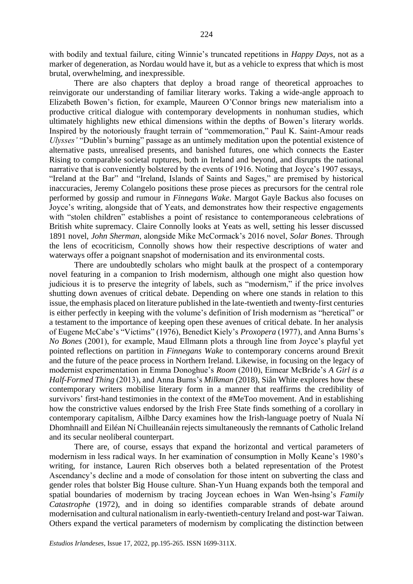with bodily and textual failure, citing Winnie's truncated repetitions in *Happy Days*, not as a marker of degeneration, as Nordau would have it, but as a vehicle to express that which is most brutal, overwhelming, and inexpressible.

There are also chapters that deploy a broad range of theoretical approaches to reinvigorate our understanding of familiar literary works. Taking a wide-angle approach to Elizabeth Bowen's fiction, for example, Maureen O'Connor brings new materialism into a productive critical dialogue with contemporary developments in nonhuman studies, which ultimately highlights new ethical dimensions within the depths of Bowen's literary worlds. Inspired by the notoriously fraught terrain of "commemoration," Paul K. Saint-Amour reads *Ulysses'* "Dublin's burning" passage as an untimely meditation upon the potential existence of alternative pasts, unrealised presents, and banished futures, one which connects the Easter Rising to comparable societal ruptures, both in Ireland and beyond, and disrupts the national narrative that is conveniently bolstered by the events of 1916. Noting that Joyce's 1907 essays, "Ireland at the Bar" and "Ireland, Islands of Saints and Sages," are premised by historical inaccuracies, Jeremy Colangelo positions these prose pieces as precursors for the central role performed by gossip and rumour in *Finnegans Wake*. Margot Gayle Backus also focuses on Joyce's writing, alongside that of Yeats, and demonstrates how their respective engagements with "stolen children" establishes a point of resistance to contemporaneous celebrations of British white supremacy. Claire Connolly looks at Yeats as well, setting his lesser discussed 1891 novel, *John Sherman*, alongside Mike McCormack's 2016 novel, *Solar Bones*. Through the lens of ecocriticism, Connolly shows how their respective descriptions of water and waterways offer a poignant snapshot of modernisation and its environmental costs.

There are undoubtedly scholars who might baulk at the prospect of a contemporary novel featuring in a companion to Irish modernism, although one might also question how judicious it is to preserve the integrity of labels, such as "modernism," if the price involves shutting down avenues of critical debate. Depending on where one stands in relation to this issue, the emphasis placed on literature published in the late-twentieth and twenty-first centuries is either perfectly in keeping with the volume's definition of Irish modernism as "heretical" or a testament to the importance of keeping open these avenues of critical debate. In her analysis of Eugene McCabe's "Victims" (1976), Benedict Kiely's *Proxopera* (1977), and Anna Burns's *No Bones* (2001), for example, Maud Ellmann plots a through line from Joyce's playful yet pointed reflections on partition in *Finnegans Wake* to contemporary concerns around Brexit and the future of the peace process in Northern Ireland. Likewise, in focusing on the legacy of modernist experimentation in Emma Donoghue's *Room* (2010), Eimear McBride's *A Girl is a Half-Formed Thing* (2013), and Anna Burns's *Milkman* (2018), Siân White explores how these contemporary writers mobilise literary form in a manner that reaffirms the credibility of survivors' first-hand testimonies in the context of the #MeToo movement. And in establishing how the constrictive values endorsed by the Irish Free State finds something of a corollary in contemporary capitalism, Ailbhe Darcy examines how the Irish-language poetry of Nuala Ní Dhomhnaill and Eiléan Ní Chuilleanáin rejects simultaneously the remnants of Catholic Ireland and its secular neoliberal counterpart.

There are, of course, essays that expand the horizontal and vertical parameters of modernism in less radical ways. In her examination of consumption in Molly Keane's 1980's writing, for instance, Lauren Rich observes both a belated representation of the Protest Ascendancy's decline and a mode of consolation for those intent on subverting the class and gender roles that bolster Big House culture. Shan-Yun Huang expands both the temporal and spatial boundaries of modernism by tracing Joycean echoes in Wan Wen-hsing's *Family Catastrophe* (1972), and in doing so identifies comparable strands of debate around modernisation and cultural nationalism in early-twentieth-century Ireland and post-war Taiwan. Others expand the vertical parameters of modernism by complicating the distinction between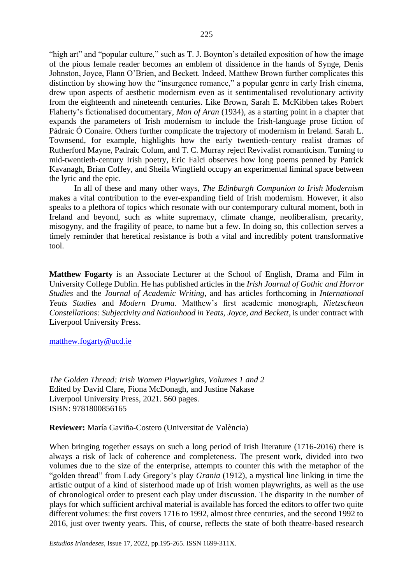"high art" and "popular culture," such as T. J. Boynton's detailed exposition of how the image of the pious female reader becomes an emblem of dissidence in the hands of Synge, Denis Johnston, Joyce, Flann O'Brien, and Beckett. Indeed, Matthew Brown further complicates this distinction by showing how the "insurgence romance," a popular genre in early Irish cinema, drew upon aspects of aesthetic modernism even as it sentimentalised revolutionary activity from the eighteenth and nineteenth centuries. Like Brown, Sarah E. McKibben takes Robert Flaherty's fictionalised documentary, *Man of Aran* (1934), as a starting point in a chapter that expands the parameters of Irish modernism to include the Irish-language prose fiction of Pádraic Ó Conaire. Others further complicate the trajectory of modernism in Ireland. Sarah L. Townsend, for example, highlights how the early twentieth-century realist dramas of Rutherford Mayne, Padraic Colum, and T. C. Murray reject Revivalist romanticism. Turning to mid-twentieth-century Irish poetry, Eric Falci observes how long poems penned by Patrick Kavanagh, Brian Coffey, and Sheila Wingfield occupy an experimental liminal space between the lyric and the epic.

In all of these and many other ways, *The Edinburgh Companion to Irish Modernism* makes a vital contribution to the ever-expanding field of Irish modernism. However, it also speaks to a plethora of topics which resonate with our contemporary cultural moment, both in Ireland and beyond, such as white supremacy, climate change, neoliberalism, precarity, misogyny, and the fragility of peace, to name but a few. In doing so, this collection serves a timely reminder that heretical resistance is both a vital and incredibly potent transformative tool.

**Matthew Fogarty** is an Associate Lecturer at the School of English, Drama and Film in University College Dublin. He has published articles in the *Irish Journal of Gothic and Horror Studies* and the *Journal of Academic Writing*, and has articles forthcoming in *International Yeats Studies* and *Modern Drama*. Matthew's first academic monograph, *Nietzschean Constellations: Subjectivity and Nationhood in Yeats, Joyce, and Beckett*, is under contract with Liverpool University Press.

[matthew.fogarty@ucd.ie](mailto:matthew.fogarty@ucd.ie)

*The Golden Thread: Irish Women Playwrights, Volumes 1 and 2* Edited by David Clare, Fiona McDonagh, and Justine Nakase Liverpool University Press, 2021. 560 pages. ISBN: 9781800856165

**Reviewer:** María Gaviña-Costero (Universitat de València)

When bringing together essays on such a long period of Irish literature (1716-2016) there is always a risk of lack of coherence and completeness. The present work, divided into two volumes due to the size of the enterprise, attempts to counter this with the metaphor of the "golden thread" from Lady Gregory's play *Grania* (1912), a mystical line linking in time the artistic output of a kind of sisterhood made up of Irish women playwrights, as well as the use of chronological order to present each play under discussion. The disparity in the number of plays for which sufficient archival material is available has forced the editors to offer two quite different volumes: the first covers 1716 to 1992, almost three centuries, and the second 1992 to 2016, just over twenty years. This, of course, reflects the state of both theatre-based research

*Estudios Irlandeses*, Issue 17, 2022, pp.195-265. ISSN 1699-311X.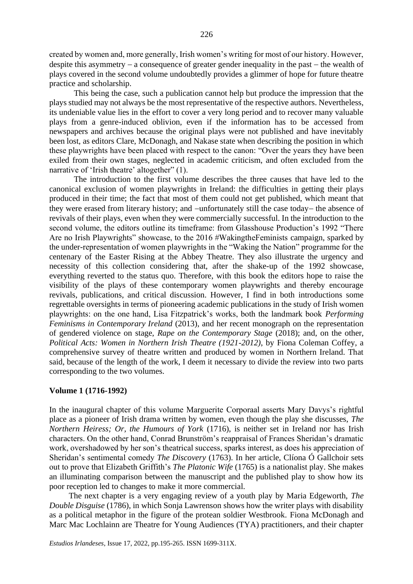created by women and, more generally, Irish women's writing for most of our history. However, despite this asymmetry – a consequence of greater gender inequality in the past – the wealth of plays covered in the second volume undoubtedly provides a glimmer of hope for future theatre practice and scholarship.

This being the case, such a publication cannot help but produce the impression that the plays studied may not always be the most representative of the respective authors. Nevertheless, its undeniable value lies in the effort to cover a very long period and to recover many valuable plays from a genre-induced oblivion, even if the information has to be accessed from newspapers and archives because the original plays were not published and have inevitably been lost, as editors Clare, McDonagh, and Nakase state when describing the position in which these playwrights have been placed with respect to the canon: "Over the years they have been exiled from their own stages, neglected in academic criticism, and often excluded from the narrative of 'Irish theatre' altogether" (1).

The introduction to the first volume describes the three causes that have led to the canonical exclusion of women playwrights in Ireland: the difficulties in getting their plays produced in their time; the fact that most of them could not get published, which meant that they were erased from literary history; and −unfortunately still the case today− the absence of revivals of their plays, even when they were commercially successful. In the introduction to the second volume, the editors outline its timeframe: from Glasshouse Production's 1992 "There Are no Irish Playwrights" showcase, to the 2016 #WakingtheFeminists campaign, sparked by the under-representation of women playwrights in the "Waking the Nation" programme for the centenary of the Easter Rising at the Abbey Theatre. They also illustrate the urgency and necessity of this collection considering that, after the shake-up of the 1992 showcase, everything reverted to the status quo. Therefore, with this book the editors hope to raise the visibility of the plays of these contemporary women playwrights and thereby encourage revivals, publications, and critical discussion. However, I find in both introductions some regrettable oversights in terms of pioneering academic publications in the study of Irish women playwrights: on the one hand, Lisa Fitzpatrick's works, both the landmark book *Performing Feminisms in Contemporary Ireland* (2013), and her recent monograph on the representation of gendered violence on stage, *Rape on the Contemporary Stage* (2018); and, on the other, *Political Acts: Women in Northern Irish Theatre (1921-2012)*, by Fiona Coleman Coffey, a comprehensive survey of theatre written and produced by women in Northern Ireland. That said, because of the length of the work, I deem it necessary to divide the review into two parts corresponding to the two volumes.

### **Volume 1 (1716-1992)**

In the inaugural chapter of this volume Marguerite Corporaal asserts Mary Davys's rightful place as a pioneer of Irish drama written by women, even though the play she discusses, *The Northern Heiress; Or, the Humours of York* (1716), is neither set in Ireland nor has Irish characters. On the other hand, Conrad Brunström's reappraisal of Frances Sheridan's dramatic work, overshadowed by her son's theatrical success, sparks interest, as does his appreciation of Sheridan's sentimental comedy *The Discovery* (1763). In her article, Clíona Ó Gallchoir sets out to prove that Elizabeth Griffith's *The Platonic Wife* (1765) is a nationalist play. She makes an illuminating comparison between the manuscript and the published play to show how its poor reception led to changes to make it more commercial.

The next chapter is a very engaging review of a youth play by Maria Edgeworth, *The Double Disguise* (1786), in which Sonja Lawrenson shows how the writer plays with disability as a political metaphor in the figure of the protean soldier Westbrook. Fiona McDonagh and Marc Mac Lochlainn are Theatre for Young Audiences (TYA) practitioners, and their chapter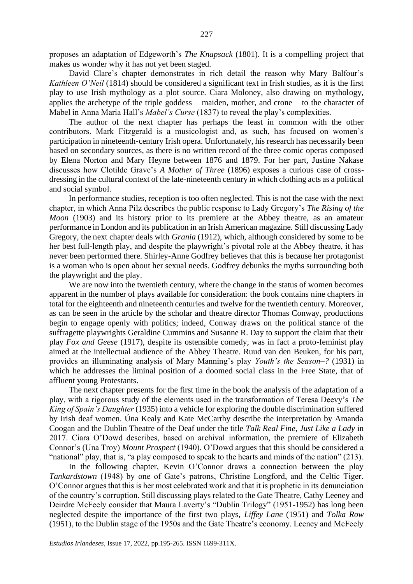proposes an adaptation of Edgeworth's *The Knapsack* (1801). It is a compelling project that makes us wonder why it has not yet been staged.

David Clare's chapter demonstrates in rich detail the reason why Mary Balfour's *Kathleen O'Neil* (1814) should be considered a significant text in Irish studies, as it is the first play to use Irish mythology as a plot source. Ciara Moloney, also drawing on mythology, applies the archetype of the triple goddess − maiden, mother, and crone − to the character of Mabel in Anna Maria Hall's *Mabel's Curse* (1837) to reveal the play's complexities.

The author of the next chapter has perhaps the least in common with the other contributors. Mark Fitzgerald is a musicologist and, as such, has focused on women's participation in nineteenth-century Irish opera. Unfortunately, his research has necessarily been based on secondary sources, as there is no written record of the three comic operas composed by Elena Norton and Mary Heyne between 1876 and 1879. For her part, Justine Nakase discusses how Clotilde Grave's *A Mother of Three* (1896) exposes a curious case of crossdressing in the cultural context of the late-nineteenth century in which clothing acts as a political and social symbol.

In performance studies, reception is too often neglected. This is not the case with the next chapter, in which Anna Pilz describes the public response to Lady Gregory's *The Rising of the Moon* (1903) and its history prior to its premiere at the Abbey theatre, as an amateur performance in London and its publication in an Irish American magazine. Still discussing Lady Gregory, the next chapter deals with *Grania* (1912), which, although considered by some to be her best full-length play, and despite the playwright's pivotal role at the Abbey theatre, it has never been performed there. Shirley-Anne Godfrey believes that this is because her protagonist is a woman who is open about her sexual needs. Godfrey debunks the myths surrounding both the playwright and the play.

We are now into the twentieth century, where the change in the status of women becomes apparent in the number of plays available for consideration: the book contains nine chapters in total for the eighteenth and nineteenth centuries and twelve for the twentieth century. Moreover, as can be seen in the article by the scholar and theatre director Thomas Conway, productions begin to engage openly with politics; indeed, Conway draws on the political stance of the suffragette playwrights Geraldine Cummins and Susanne R. Day to support the claim that their play *Fox and Geese* (1917), despite its ostensible comedy, was in fact a proto-feminist play aimed at the intellectual audience of the Abbey Theatre. Ruud van den Beuken, for his part, provides an illuminating analysis of Mary Manning's play *Youth's the Season*–*?* (1931) in which he addresses the liminal position of a doomed social class in the Free State, that of affluent young Protestants.

The next chapter presents for the first time in the book the analysis of the adaptation of a play, with a rigorous study of the elements used in the transformation of Teresa Deevy's *The King of Spain's Daughter* (1935) into a vehicle for exploring the double discrimination suffered by Irish deaf women. Úna Kealy and Kate McCarthy describe the interpretation by Amanda Coogan and the Dublin Theatre of the Deaf under the title *Talk Real Fine, Just Like a Lady* in 2017. Ciara O'Dowd describes, based on archival information, the premiere of Elizabeth Connor's (Una Troy) *Mount Prospect* (1940). O'Dowd argues that this should be considered a "national" play, that is, "a play composed to speak to the hearts and minds of the nation" (213).

In the following chapter, Kevin O'Connor draws a connection between the play *Tankardstown* (1948) by one of Gate's patrons, Christine Longford, and the Celtic Tiger. O'Connor argues that this is her most celebrated work and that it is prophetic in its denunciation of the country's corruption. Still discussing plays related to the Gate Theatre, Cathy Leeney and Deirdre McFeely consider that Maura Laverty's "Dublin Trilogy" (1951-1952) has long been neglected despite the importance of the first two plays, *Liffey Lane* (1951) and *Tolka Row* (1951), to the Dublin stage of the 1950s and the Gate Theatre's economy. Leeney and McFeely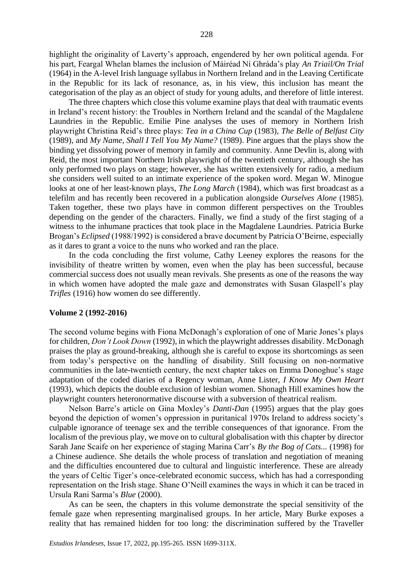highlight the originality of Laverty's approach, engendered by her own political agenda. For his part, Feargal Whelan blames the inclusion of Máiréad Ní Ghráda's play *An Triail/On Trial* (1964) in the A-level Irish language syllabus in Northern Ireland and in the Leaving Certificate in the Republic for its lack of resonance, as, in his view, this inclusion has meant the categorisation of the play as an object of study for young adults, and therefore of little interest.

The three chapters which close this volume examine plays that deal with traumatic events in Ireland's recent history: the Troubles in Northern Ireland and the scandal of the Magdalene Laundries in the Republic. Emilie Pine analyses the uses of memory in Northern Irish playwright Christina Reid's three plays: *Tea in a China Cup* (1983), *The Belle of Belfast City* (1989), and *My Name, Shall I Tell You My Name?* (1989). Pine argues that the plays show the binding yet dissolving power of memory in family and community. Anne Devlin is, along with Reid, the most important Northern Irish playwright of the twentieth century, although she has only performed two plays on stage; however, she has written extensively for radio, a medium she considers well suited to an intimate experience of the spoken word. Megan W. Minogue looks at one of her least-known plays, *The Long March* (1984), which was first broadcast as a telefilm and has recently been recovered in a publication alongside *Ourselves Alone* (1985). Taken together, these two plays have in common different perspectives on the Troubles depending on the gender of the characters. Finally, we find a study of the first staging of a witness to the inhumane practices that took place in the Magdalene Laundries. Patricia Burke Brogan's *Eclipsed* (1988/1992) is considered a brave document by Patricia O'Beirne, especially as it dares to grant a voice to the nuns who worked and ran the place.

In the coda concluding the first volume, Cathy Leeney explores the reasons for the invisibility of theatre written by women, even when the play has been successful, because commercial success does not usually mean revivals. She presents as one of the reasons the way in which women have adopted the male gaze and demonstrates with Susan Glaspell's play *Trifles* (1916) how women do see differently.

#### **Volume 2 (1992-2016)**

The second volume begins with Fiona McDonagh's exploration of one of Marie Jones's plays for children, *Don't Look Down* (1992), in which the playwright addresses disability. McDonagh praises the play as ground-breaking, although she is careful to expose its shortcomings as seen from today's perspective on the handling of disability. Still focusing on non-normative communities in the late-twentieth century, the next chapter takes on Emma Donoghue's stage adaptation of the coded diaries of a Regency woman, Anne Lister, *I Know My Own Heart* (1993), which depicts the double exclusion of lesbian women. Shonagh Hill examines how the playwright counters heteronormative discourse with a subversion of theatrical realism.

Nelson Barre's article on Gina Moxley's *Danti-Dan* (1995) argues that the play goes beyond the depiction of women's oppression in puritanical 1970s Ireland to address society's culpable ignorance of teenage sex and the terrible consequences of that ignorance. From the localism of the previous play, we move on to cultural globalisation with this chapter by director Sarah Jane Scaife on her experience of staging Marina Carr's *By the Bog of Cats...* (1998) for a Chinese audience. She details the whole process of translation and negotiation of meaning and the difficulties encountered due to cultural and linguistic interference. These are already the years of Celtic Tiger's once-celebrated economic success, which has had a corresponding representation on the Irish stage. Shane O'Neill examines the ways in which it can be traced in Ursula Rani Sarma's *Blue* (2000).

As can be seen, the chapters in this volume demonstrate the special sensitivity of the female gaze when representing marginalised groups. In her article, Mary Burke exposes a reality that has remained hidden for too long: the discrimination suffered by the Traveller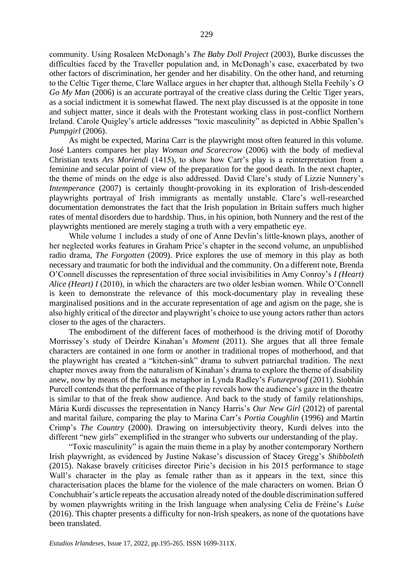community. Using Rosaleen McDonagh's *The Baby Doll Project* (2003), Burke discusses the difficulties faced by the Traveller population and, in McDonagh's case, exacerbated by two other factors of discrimination, her gender and her disability. On the other hand, and returning to the Celtic Tiger theme, Clare Wallace argues in her chapter that, although Stella Feehily's *O Go My Man* (2006) is an accurate portrayal of the creative class during the Celtic Tiger years, as a social indictment it is somewhat flawed. The next play discussed is at the opposite in tone and subject matter, since it deals with the Protestant working class in post-conflict Northern Ireland. Carole Quigley's article addresses "toxic masculinity" as depicted in Abbie Spallen's *Pumpgirl* (2006).

As might be expected, Marina Carr is the playwright most often featured in this volume. José Lanters compares her play *Woman and Scarecrow* (2006) with the body of medieval Christian texts *Ars Moriendi* (1415), to show how Carr's play is a reinterpretation from a feminine and secular point of view of the preparation for the good death. In the next chapter, the theme of minds on the edge is also addressed. David Clare's study of Lizzie Nunnery's *Intemperance* (2007) is certainly thought-provoking in its exploration of Irish-descended playwrights portrayal of Irish immigrants as mentally unstable. Clare's well-researched documentation demonstrates the fact that the Irish population in Britain suffers much higher rates of mental disorders due to hardship. Thus, in his opinion, both Nunnery and the rest of the playwrights mentioned are merely staging a truth with a very empathetic eye.

While volume 1 includes a study of one of Anne Devlin's little-known plays, another of her neglected works features in Graham Price's chapter in the second volume, an unpublished radio drama, *The Forgotten* (2009). Price explores the use of memory in this play as both necessary and traumatic for both the individual and the community. On a different note, Brenda O'Connell discusses the representation of three social invisibilities in Amy Conroy's *I (Heart) Alice (Heart) I* (2010), in which the characters are two older lesbian women. While O'Connell is keen to demonstrate the relevance of this mock-documentary play in revealing these marginalised positions and in the accurate representation of age and agism on the page, she is also highly critical of the director and playwright's choice to use young actors rather than actors closer to the ages of the characters.

The embodiment of the different faces of motherhood is the driving motif of Dorothy Morrissey's study of Deirdre Kinahan's *Moment* (2011). She argues that all three female characters are contained in one form or another in traditional tropes of motherhood, and that the playwright has created a "kitchen-sink" drama to subvert patriarchal tradition. The next chapter moves away from the naturalism of Kinahan's drama to explore the theme of disability anew, now by means of the freak as metaphor in Lynda Radley's *Futureproof* (2011). Siobhán Purcell contends that the performance of the play reveals how the audience's gaze in the theatre is similar to that of the freak show audience. And back to the study of family relationships, Mária Kurdi discusses the representation in Nancy Harris's *Our New Girl* (2012) of parental and marital failure, comparing the play to Marina Carr's *Portia Coughlin* (1996) and Martin Crimp's *The Country* (2000). Drawing on intersubjectivity theory, Kurdi delves into the different "new girls" exemplified in the stranger who subverts our understanding of the play.

"Toxic masculinity" is again the main theme in a play by another contemporary Northern Irish playwright, as evidenced by Justine Nakase's discussion of Stacey Gregg's *Shibboleth* (2015). Nakase bravely criticises director Pirie's decision in his 2015 performance to stage Wall's character in the play as female rather than as it appears in the text, since this characterisation places the blame for the violence of the male characters on women. Brian Ó Conchubhair's article repeats the accusation already noted of the double discrimination suffered by women playwrights writing in the Irish language when analysing Celia de Fréine's *Luíse* (2016). This chapter presents a difficulty for non-Irish speakers, as none of the quotations have been translated.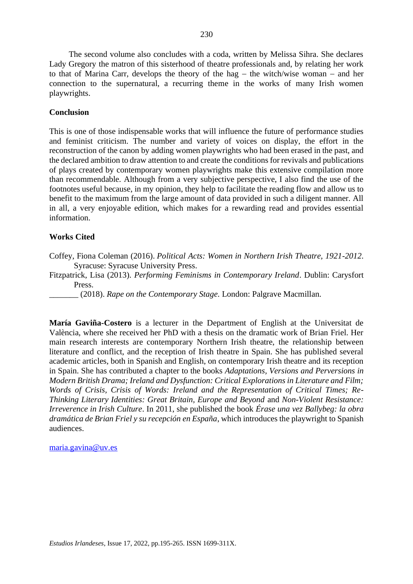The second volume also concludes with a coda, written by Melissa Sihra. She declares Lady Gregory the matron of this sisterhood of theatre professionals and, by relating her work to that of Marina Carr, develops the theory of the hag − the witch/wise woman − and her connection to the supernatural, a recurring theme in the works of many Irish women playwrights.

## **Conclusion**

This is one of those indispensable works that will influence the future of performance studies and feminist criticism. The number and variety of voices on display, the effort in the reconstruction of the canon by adding women playwrights who had been erased in the past, and the declared ambition to draw attention to and create the conditions for revivals and publications of plays created by contemporary women playwrights make this extensive compilation more than recommendable. Although from a very subjective perspective, I also find the use of the footnotes useful because, in my opinion, they help to facilitate the reading flow and allow us to benefit to the maximum from the large amount of data provided in such a diligent manner. All in all, a very enjoyable edition, which makes for a rewarding read and provides essential information.

# **Works Cited**

Coffey, Fiona Coleman (2016). *Political Acts: Women in Northern Irish Theatre, 1921-2012*. Syracuse: Syracuse University Press.

Fitzpatrick, Lisa (2013). *Performing Feminisms in Contemporary Ireland*. Dublin: Carysfort Press.

\_\_\_\_\_\_\_ (2018). *Rape on the Contemporary Stage*. London: Palgrave Macmillan.

**María Gaviña-Costero** is a lecturer in the Department of English at the Universitat de València, where she received her PhD with a thesis on the dramatic work of Brian Friel. Her main research interests are contemporary Northern Irish theatre, the relationship between literature and conflict, and the reception of Irish theatre in Spain. She has published several academic articles, both in Spanish and English, on contemporary Irish theatre and its reception in Spain. She has contributed a chapter to the books *Adaptations, Versions and Perversions in Modern British Drama; Ireland and Dysfunction: Critical Explorations in Literature and Film; Words of Crisis, Crisis of Words: Ireland and the Representation of Critical Times; Re-Thinking Literary Identities: Great Britain, Europe and Beyond* and *Non-Violent Resistance: Irreverence in Irish Culture*. In 2011, she published the book *Érase una vez Ballybeg: la obra dramática de Brian Friel y su recepción en España*, which introduces the playwright to Spanish audiences.

[maria.gavina@uv.es](mailto:maria.gavina@uv.es)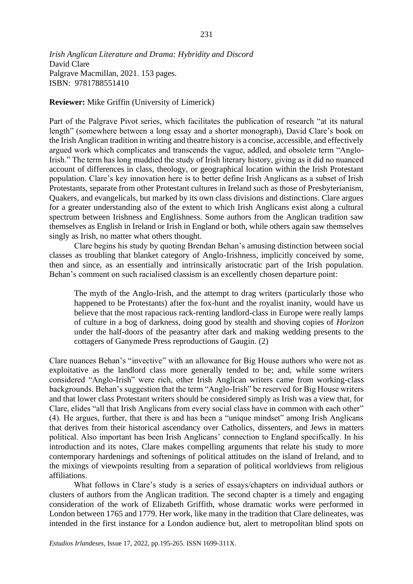*Irish Anglican Literature and Drama: Hybridity and Discord* David Clare Palgrave Macmillan, 2021. 153 pages. ISBN: 9781788551410

**Reviewer:** Mike Griffin (University of Limerick)

Part of the Palgrave Pivot series, which facilitates the publication of research "at its natural length" (somewhere between a long essay and a shorter monograph), David Clare's book on the Irish Anglican tradition in writing and theatre history is a concise, accessible, and effectively argued work which complicates and transcends the vague, addled, and obsolete term "Anglo-Irish." The term has long muddied the study of Irish literary history, giving as it did no nuanced account of differences in class, theology, or geographical location within the Irish Protestant population. Clare's key innovation here is to better define Irish Anglicans as a subset of Irish Protestants, separate from other Protestant cultures in Ireland such as those of Presbyterianism, Quakers, and evangelicals, but marked by its own class divisions and distinctions. Clare argues for a greater understanding also of the extent to which Irish Anglicans exist along a cultural spectrum between Irishness and Englishness. Some authors from the Anglican tradition saw themselves as English in Ireland or Irish in England or both, while others again saw themselves singly as Irish, no matter what others thought.

Clare begins his study by quoting Brendan Behan's amusing distinction between social classes as troubling that blanket category of Anglo-Irishness, implicitly conceived by some, then and since, as an essentially and intrinsically aristocratic part of the Irish population. Behan's comment on such racialised classism is an excellently chosen departure point:

The myth of the Anglo-Irish, and the attempt to drag writers (particularly those who happened to be Protestants) after the fox-hunt and the royalist inanity, would have us believe that the most rapacious rack-renting landlord-class in Europe were really lamps of culture in a bog of darkness, doing good by stealth and shoving copies of *Horizon* under the half-doors of the peasantry after dark and making wedding presents to the cottagers of Ganymede Press reproductions of Gaugin. (2)

Clare nuances Behan's "invective" with an allowance for Big House authors who were not as exploitative as the landlord class more generally tended to be; and, while some writers considered "Anglo-Irish" were rich, other Irish Anglican writers came from working-class backgrounds. Behan's suggestion that the term "Anglo-Irish" be reserved for Big House writers and that lower class Protestant writers should be considered simply as Irish was a view that, for Clare, elides "all that Irish Anglicans from every social class have in common with each other" (4). He argues, further, that there is and has been a "unique mindset" among Irish Anglicans that derives from their historical ascendancy over Catholics, dissenters, and Jews in matters political. Also important has been Irish Anglicans' connection to England specifically. In his introduction and its notes, Clare makes compelling arguments that relate his study to more contemporary hardenings and softenings of political attitudes on the island of Ireland, and to the mixings of viewpoints resulting from a separation of political worldviews from religious affiliations.

What follows in Clare's study is a series of essays/chapters on individual authors or clusters of authors from the Anglican tradition. The second chapter is a timely and engaging consideration of the work of Elizabeth Griffith, whose dramatic works were performed in London between 1765 and 1779. Her work, like many in the tradition that Clare delineates, was intended in the first instance for a London audience but, alert to metropolitan blind spots on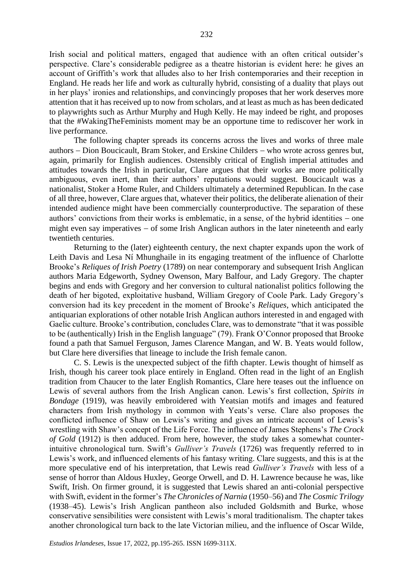Irish social and political matters, engaged that audience with an often critical outsider's perspective. Clare's considerable pedigree as a theatre historian is evident here: he gives an account of Griffith's work that alludes also to her Irish contemporaries and their reception in England. He reads her life and work as culturally hybrid, consisting of a duality that plays out in her plays' ironies and relationships, and convincingly proposes that her work deserves more attention that it has received up to now from scholars, and at least as much as has been dedicated to playwrights such as Arthur Murphy and Hugh Kelly. He may indeed be right, and proposes that the #WakingTheFeminists moment may be an opportune time to rediscover her work in live performance.

The following chapter spreads its concerns across the lives and works of three male authors − Dion Boucicault, Bram Stoker, and Erskine Childers − who wrote across genres but, again, primarily for English audiences. Ostensibly critical of English imperial attitudes and attitudes towards the Irish in particular, Clare argues that their works are more politically ambiguous, even inert, than their authors' reputations would suggest. Boucicault was a nationalist, Stoker a Home Ruler, and Childers ultimately a determined Republican. In the case of all three, however, Clare argues that, whatever their politics, the deliberate alienation of their intended audience might have been commercially counterproductive. The separation of these authors' convictions from their works is emblematic, in a sense, of the hybrid identities − one might even say imperatives − of some Irish Anglican authors in the later nineteenth and early twentieth centuries.

Returning to the (later) eighteenth century, the next chapter expands upon the work of Leith Davis and Lesa Ní Mhunghaile in its engaging treatment of the influence of Charlotte Brooke's *Reliques of Irish Poetry* (1789) on near contemporary and subsequent Irish Anglican authors Maria Edgeworth, Sydney Owenson, Mary Balfour, and Lady Gregory. The chapter begins and ends with Gregory and her conversion to cultural nationalist politics following the death of her bigoted, exploitative husband, William Gregory of Coole Park. Lady Gregory's conversion had its key precedent in the moment of Brooke's *Reliques*, which anticipated the antiquarian explorations of other notable Irish Anglican authors interested in and engaged with Gaelic culture. Brooke's contribution, concludes Clare, was to demonstrate "that it was possible to be (authentically) Irish in the English language" (79). Frank O'Connor proposed that Brooke found a path that Samuel Ferguson, James Clarence Mangan, and W. B. Yeats would follow, but Clare here diversifies that lineage to include the Irish female canon.

C. S. Lewis is the unexpected subject of the fifth chapter. Lewis thought of himself as Irish, though his career took place entirely in England. Often read in the light of an English tradition from Chaucer to the later English Romantics, Clare here teases out the influence on Lewis of several authors from the Irish Anglican canon. Lewis's first collection, *Spirits in Bondage* (1919), was heavily embroidered with Yeatsian motifs and images and featured characters from Irish mythology in common with Yeats's verse. Clare also proposes the conflicted influence of Shaw on Lewis's writing and gives an intricate account of Lewis's wrestling with Shaw's concept of the Life Force. The influence of James Stephens's *The Crock of Gold* (1912) is then adduced. From here, however, the study takes a somewhat counterintuitive chronological turn. Swift's *Gulliver's Travels* (1726) was frequently referred to in Lewis's work, and influenced elements of his fantasy writing. Clare suggests, and this is at the more speculative end of his interpretation, that Lewis read *Gulliver's Travels* with less of a sense of horror than Aldous Huxley, George Orwell, and D. H. Lawrence because he was, like Swift, Irish. On firmer ground, it is suggested that Lewis shared an anti-colonial perspective with Swift, evident in the former's *The Chronicles of Narnia* (1950–56) and *The Cosmic Trilogy* (1938–45). Lewis's Irish Anglican pantheon also included Goldsmith and Burke, whose conservative sensibilities were consistent with Lewis's moral traditionalism. The chapter takes another chronological turn back to the late Victorian milieu, and the influence of Oscar Wilde,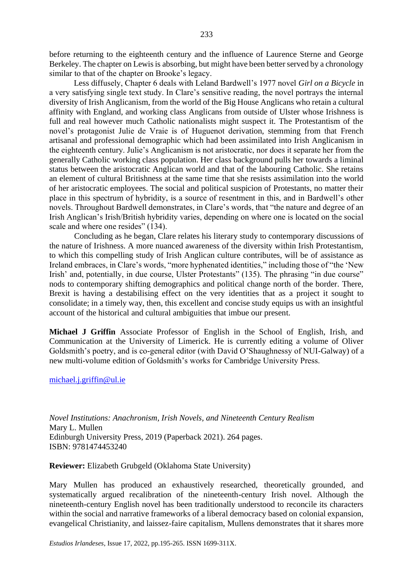before returning to the eighteenth century and the influence of Laurence Sterne and George Berkeley. The chapter on Lewis is absorbing, but might have been better served by a chronology similar to that of the chapter on Brooke's legacy.

Less diffusely, Chapter 6 deals with Leland Bardwell's 1977 novel *Girl on a Bicycle* in a very satisfying single text study. In Clare's sensitive reading, the novel portrays the internal diversity of Irish Anglicanism, from the world of the Big House Anglicans who retain a cultural affinity with England, and working class Anglicans from outside of Ulster whose Irishness is full and real however much Catholic nationalists might suspect it. The Protestantism of the novel's protagonist Julie de Vraie is of Huguenot derivation, stemming from that French artisanal and professional demographic which had been assimilated into Irish Anglicanism in the eighteenth century. Julie's Anglicanism is not aristocratic, nor does it separate her from the generally Catholic working class population. Her class background pulls her towards a liminal status between the aristocratic Anglican world and that of the labouring Catholic. She retains an element of cultural Britishness at the same time that she resists assimilation into the world of her aristocratic employees. The social and political suspicion of Protestants, no matter their place in this spectrum of hybridity, is a source of resentment in this, and in Bardwell's other novels. Throughout Bardwell demonstrates, in Clare's words, that "the nature and degree of an Irish Anglican's Irish/British hybridity varies, depending on where one is located on the social scale and where one resides" (134).

Concluding as he began, Clare relates his literary study to contemporary discussions of the nature of Irishness. A more nuanced awareness of the diversity within Irish Protestantism, to which this compelling study of Irish Anglican culture contributes, will be of assistance as Ireland embraces, in Clare's words, "more hyphenated identities," including those of "the 'New Irish' and, potentially, in due course, Ulster Protestants" (135). The phrasing "in due course" nods to contemporary shifting demographics and political change north of the border. There, Brexit is having a destabilising effect on the very identities that as a project it sought to consolidate; in a timely way, then, this excellent and concise study equips us with an insightful account of the historical and cultural ambiguities that imbue our present.

**Michael J Griffin** Associate Professor of English in the School of English, Irish, and Communication at the University of Limerick. He is currently editing a volume of Oliver Goldsmith's poetry, and is co-general editor (with David O'Shaughnessy of NUI-Galway) of a new multi-volume edition of Goldsmith's works for Cambridge University Press.

### [michael.j.griffin@ul.ie](mailto:michael.j.griffin@ul.ie)

*Novel Institutions: Anachronism, Irish Novels, and Nineteenth Century Realism* Mary L. Mullen Edinburgh University Press, 2019 (Paperback 2021). 264 pages. ISBN: 9781474453240

**Reviewer:** Elizabeth Grubgeld (Oklahoma State University)

Mary Mullen has produced an exhaustively researched, theoretically grounded, and systematically argued recalibration of the nineteenth-century Irish novel. Although the nineteenth-century English novel has been traditionally understood to reconcile its characters within the social and narrative frameworks of a liberal democracy based on colonial expansion, evangelical Christianity, and laissez-faire capitalism, Mullens demonstrates that it shares more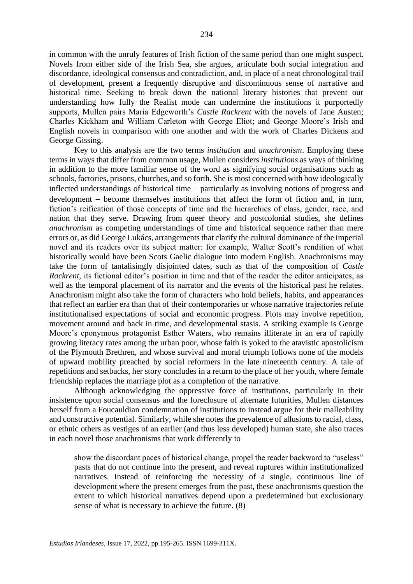in common with the unruly features of Irish fiction of the same period than one might suspect. Novels from either side of the Irish Sea, she argues, articulate both social integration and discordance, ideological consensus and contradiction, and, in place of a neat chronological trail of development, present a frequently disruptive and discontinuous sense of narrative and historical time. Seeking to break down the national literary histories that prevent our understanding how fully the Realist mode can undermine the institutions it purportedly supports, Mullen pairs Maria Edgeworth's *Castle Rackrent* with the novels of Jane Austen; Charles Kickham and William Carleton with George Eliot; and George Moore's Irish and English novels in comparison with one another and with the work of Charles Dickens and George Gissing.

Key to this analysis are the two terms *institution* and *anachronism*. Employing these terms in ways that differ from common usage, Mullen considers *institutions* as ways of thinking in addition to the more familiar sense of the word as signifying social organisations such as schools, factories, prisons, churches, and so forth. She is most concerned with how ideologically inflected understandings of historical time − particularly as involving notions of progress and development − become themselves institutions that affect the form of fiction and, in turn, fiction's reification of those concepts of time and the hierarchies of class, gender, race, and nation that they serve. Drawing from queer theory and postcolonial studies, she defines *anachronism* as competing understandings of time and historical sequence rather than mere errors or, as did George Lukács, arrangements that clarify the cultural dominance of the imperial novel and its readers over its subject matter: for example, Walter Scott's rendition of what historically would have been Scots Gaelic dialogue into modern English. Anachronisms may take the form of tantalisingly disjointed dates, such as that of the composition of *Castle Rackrent*, its fictional editor's position in time and that of the reader the editor anticipates, as well as the temporal placement of its narrator and the events of the historical past he relates. Anachronism might also take the form of characters who hold beliefs, habits, and appearances that reflect an earlier era than that of their contemporaries or whose narrative trajectories refute institutionalised expectations of social and economic progress. Plots may involve repetition, movement around and back in time, and developmental stasis. A striking example is George Moore's eponymous protagonist Esther Waters, who remains illiterate in an era of rapidly growing literacy rates among the urban poor, whose faith is yoked to the atavistic apostolicism of the Plymouth Brethren, and whose survival and moral triumph follows none of the models of upward mobility preached by social reformers in the late nineteenth century. A tale of repetitions and setbacks, her story concludes in a return to the place of her youth, where female friendship replaces the marriage plot as a completion of the narrative.

Although acknowledging the oppressive force of institutions, particularly in their insistence upon social consensus and the foreclosure of alternate futurities, Mullen distances herself from a Foucauldian condemnation of institutions to instead argue for their malleability and constructive potential. Similarly, while she notes the prevalence of allusions to racial, class, or ethnic others as vestiges of an earlier (and thus less developed) human state, she also traces in each novel those anachronisms that work differently to

show the discordant paces of historical change, propel the reader backward to "useless" pasts that do not continue into the present, and reveal ruptures within institutionalized narratives. Instead of reinforcing the necessity of a single, continuous line of development where the present emerges from the past, these anachronisms question the extent to which historical narratives depend upon a predetermined but exclusionary sense of what is necessary to achieve the future. (8)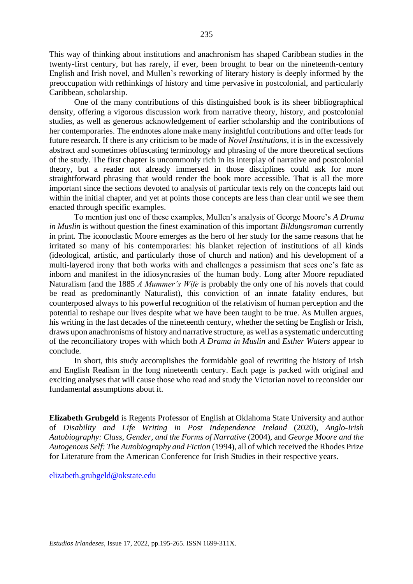This way of thinking about institutions and anachronism has shaped Caribbean studies in the twenty-first century, but has rarely, if ever, been brought to bear on the nineteenth-century English and Irish novel, and Mullen's reworking of literary history is deeply informed by the preoccupation with rethinkings of history and time pervasive in postcolonial, and particularly Caribbean, scholarship.

One of the many contributions of this distinguished book is its sheer bibliographical density, offering a vigorous discussion work from narrative theory, history, and postcolonial studies, as well as generous acknowledgement of earlier scholarship and the contributions of her contemporaries. The endnotes alone make many insightful contributions and offer leads for future research. If there is any criticism to be made of *Novel Institutions,* it is in the excessively abstract and sometimes obfuscating terminology and phrasing of the more theoretical sections of the study. The first chapter is uncommonly rich in its interplay of narrative and postcolonial theory, but a reader not already immersed in those disciplines could ask for more straightforward phrasing that would render the book more accessible. That is all the more important since the sections devoted to analysis of particular texts rely on the concepts laid out within the initial chapter, and yet at points those concepts are less than clear until we see them enacted through specific examples.

To mention just one of these examples, Mullen's analysis of George Moore's *A Drama in Muslin* is without question the finest examination of this important *Bildungsroman* currently in print. The iconoclastic Moore emerges as the hero of her study for the same reasons that he irritated so many of his contemporaries: his blanket rejection of institutions of all kinds (ideological, artistic, and particularly those of church and nation) and his development of a multi-layered irony that both works with and challenges a pessimism that sees one's fate as inborn and manifest in the idiosyncrasies of the human body. Long after Moore repudiated Naturalism (and the 1885 *A Mummer's Wife* is probably the only one of his novels that could be read as predominantly Naturalist), this conviction of an innate fatality endures, but counterposed always to his powerful recognition of the relativism of human perception and the potential to reshape our lives despite what we have been taught to be true. As Mullen argues, his writing in the last decades of the nineteenth century, whether the setting be English or Irish, draws upon anachronisms of history and narrative structure, as well as a systematic undercutting of the reconciliatory tropes with which both *A Drama in Muslin* and *Esther Waters* appear to conclude.

In short, this study accomplishes the formidable goal of rewriting the history of Irish and English Realism in the long nineteenth century. Each page is packed with original and exciting analyses that will cause those who read and study the Victorian novel to reconsider our fundamental assumptions about it.

**Elizabeth Grubgeld** is Regents Professor of English at Oklahoma State University and author of *Disability and Life Writing in Post Independence Ireland* (2020), *Anglo-Irish Autobiography: Class, Gender, and the Forms of Narrative* (2004), and *George Moore and the Autogenous Self: The Autobiography and Fiction* (1994), all of which received the Rhodes Prize for Literature from the American Conference for Irish Studies in their respective years.

[elizabeth.grubgeld@okstate.edu](mailto:elizabeth.grubgeld@okstate.edu)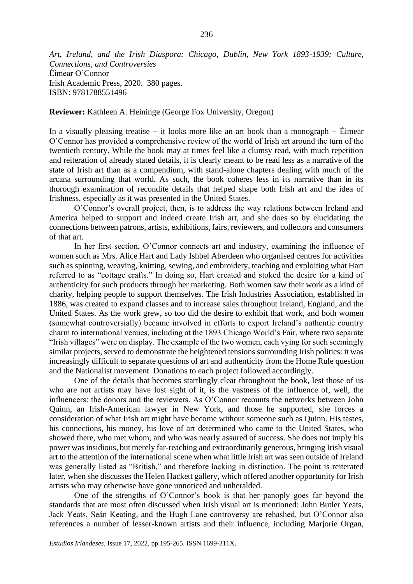*Art, Ireland, and the Irish Diaspora: Chicago, Dublin, New York 1893-1939: Culture, Connections, and Controversies*  Éimear O'Connor Irish Academic Press, 2020. 380 pages. ISBN: 9781788551496

**Reviewer:** Kathleen A. Heininge (George Fox University, Oregon)

In a visually pleasing treatise − it looks more like an art book than a monograph − Éimear O'Connor has provided a comprehensive review of the world of Irish art around the turn of the twentieth century. While the book may at times feel like a clumsy read, with much repetition and reiteration of already stated details, it is clearly meant to be read less as a narrative of the state of Irish art than as a compendium, with stand-alone chapters dealing with much of the arcana surrounding that world. As such, the book coheres less in its narrative than in its thorough examination of recondite details that helped shape both Irish art and the idea of Irishness, especially as it was presented in the United States.

O'Connor's overall project, then, is to address the way relations between Ireland and America helped to support and indeed create Irish art, and she does so by elucidating the connections between patrons, artists, exhibitions, fairs, reviewers, and collectors and consumers of that art.

In her first section, O'Connor connects art and industry, examining the influence of women such as Mrs. Alice Hart and Lady Ishbel Aberdeen who organised centres for activities such as spinning, weaving, knitting, sewing, and embroidery, teaching and exploiting what Hart referred to as "cottage crafts." In doing so, Hart created and stoked the desire for a kind of authenticity for such products through her marketing. Both women saw their work as a kind of charity, helping people to support themselves. The Irish Industries Association, established in 1886, was created to expand classes and to increase sales throughout Ireland, England, and the United States. As the work grew, so too did the desire to exhibit that work, and both women (somewhat controversially) became involved in efforts to export Ireland's authentic country charm to international venues, including at the 1893 Chicago World's Fair, where two separate "Irish villages" were on display. The example of the two women, each vying for such seemingly similar projects, served to demonstrate the heightened tensions surrounding Irish politics: it was increasingly difficult to separate questions of art and authenticity from the Home Rule question and the Nationalist movement. Donations to each project followed accordingly.

One of the details that becomes startlingly clear throughout the book, lest those of us who are not artists may have lost sight of it, is the vastness of the influence of, well, the influencers: the donors and the reviewers. As O'Connor recounts the networks between John Quinn, an Irish-American lawyer in New York, and those he supported, she forces a consideration of what Irish art might have become without someone such as Quinn. His tastes, his connections, his money, his love of art determined who came to the United States, who showed there, who met whom, and who was nearly assured of success. She does not imply his power was insidious, but merely far-reaching and extraordinarily generous, bringing Irish visual art to the attention of the international scene when what little Irish art was seen outside of Ireland was generally listed as "British," and therefore lacking in distinction. The point is reiterated later, when she discusses the Helen Hackett gallery, which offered another opportunity for Irish artists who may otherwise have gone unnoticed and unheralded.

One of the strengths of O'Connor's book is that her panoply goes far beyond the standards that are most often discussed when Irish visual art is mentioned: John Butler Yeats, Jack Yeats, Seán Keating, and the Hugh Lane controversy are rehashed, but O'Connor also references a number of lesser-known artists and their influence, including Marjorie Organ,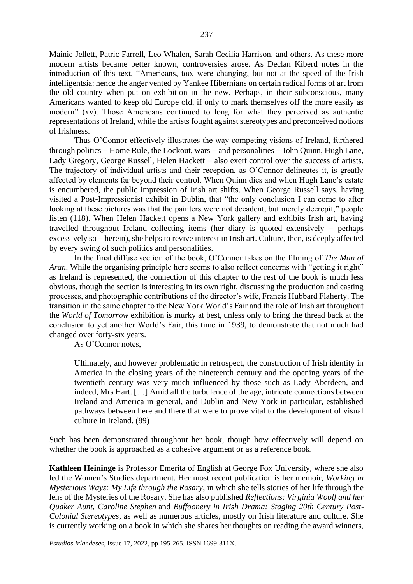Mainie Jellett, Patric Farrell, Leo Whalen, Sarah Cecilia Harrison, and others. As these more modern artists became better known, controversies arose. As Declan Kiberd notes in the introduction of this text, "Americans, too, were changing, but not at the speed of the Irish intelligentsia: hence the anger vented by Yankee Hibernians on certain radical forms of art from the old country when put on exhibition in the new. Perhaps, in their subconscious, many Americans wanted to keep old Europe old, if only to mark themselves off the more easily as modern" (xv). Those Americans continued to long for what they perceived as authentic representations of Ireland, while the artists fought against stereotypes and preconceived notions of Irishness.

Thus O'Connor effectively illustrates the way competing visions of Ireland, furthered through politics − Home Rule, the Lockout, wars − and personalities − John Quinn, Hugh Lane, Lady Gregory, George Russell, Helen Hackett − also exert control over the success of artists. The trajectory of individual artists and their reception, as O'Connor delineates it, is greatly affected by elements far beyond their control. When Quinn dies and when Hugh Lane's estate is encumbered, the public impression of Irish art shifts. When George Russell says, having visited a Post-Impressionist exhibit in Dublin, that "the only conclusion I can come to after looking at these pictures was that the painters were not decadent, but merely decrepit," people listen (118). When Helen Hackett opens a New York gallery and exhibits Irish art, having travelled throughout Ireland collecting items (her diary is quoted extensively − perhaps excessively so − herein), she helps to revive interest in Irish art. Culture, then, is deeply affected by every swing of such politics and personalities.

In the final diffuse section of the book, O'Connor takes on the filming of *The Man of Aran*. While the organising principle here seems to also reflect concerns with "getting it right" as Ireland is represented, the connection of this chapter to the rest of the book is much less obvious, though the section is interesting in its own right, discussing the production and casting processes, and photographic contributions of the director's wife, Francis Hubbard Flaherty. The transition in the same chapter to the New York World's Fair and the role of Irish art throughout the *World of Tomorrow* exhibition is murky at best, unless only to bring the thread back at the conclusion to yet another World's Fair, this time in 1939, to demonstrate that not much had changed over forty-six years.

As O'Connor notes,

Ultimately, and however problematic in retrospect, the construction of Irish identity in America in the closing years of the nineteenth century and the opening years of the twentieth century was very much influenced by those such as Lady Aberdeen, and indeed, Mrs Hart. […] Amid all the turbulence of the age, intricate connections between Ireland and America in general, and Dublin and New York in particular, established pathways between here and there that were to prove vital to the development of visual culture in Ireland. (89)

Such has been demonstrated throughout her book, though how effectively will depend on whether the book is approached as a cohesive argument or as a reference book.

**Kathleen Heininge** is Professor Emerita of English at George Fox University, where she also led the Women's Studies department. Her most recent publication is her memoir, *Working in Mysterious Ways: My Life through the Rosary*, in which she tells stories of her life through the lens of the Mysteries of the Rosary. She has also published *Reflections: Virginia Woolf and her Quaker Aunt, Caroline Stephen* and *Buffoonery in Irish Drama: Staging 20th Century Post-Colonial Stereotypes*, as well as numerous articles, mostly on Irish literature and culture. She is currently working on a book in which she shares her thoughts on reading the award winners,

*Estudios Irlandeses*, Issue 17, 2022, pp.195-265. ISSN 1699-311X.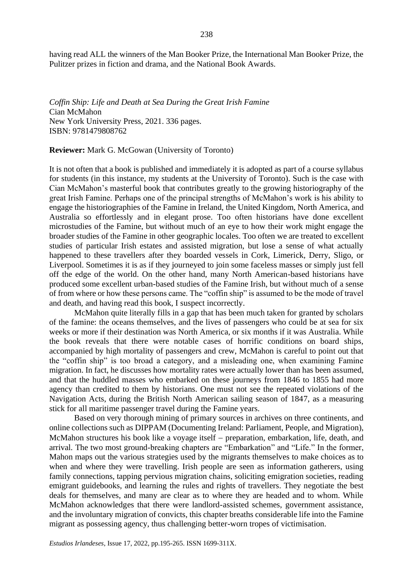having read ALL the winners of the Man Booker Prize, the International Man Booker Prize, the Pulitzer prizes in fiction and drama, and the National Book Awards.

*Coffin Ship: Life and Death at Sea During the Great Irish Famine* Cian McMahon New York University Press, 2021. 336 pages. ISBN: 9781479808762

**Reviewer:** Mark G. McGowan (University of Toronto)

It is not often that a book is published and immediately it is adopted as part of a course syllabus for students (in this instance, my students at the University of Toronto). Such is the case with Cian McMahon's masterful book that contributes greatly to the growing historiography of the great Irish Famine. Perhaps one of the principal strengths of McMahon's work is his ability to engage the historiographies of the Famine in Ireland, the United Kingdom, North America, and Australia so effortlessly and in elegant prose. Too often historians have done excellent microstudies of the Famine, but without much of an eye to how their work might engage the broader studies of the Famine in other geographic locales. Too often we are treated to excellent studies of particular Irish estates and assisted migration, but lose a sense of what actually happened to these travellers after they boarded vessels in Cork, Limerick, Derry, Sligo, or Liverpool. Sometimes it is as if they journeyed to join some faceless masses or simply just fell off the edge of the world. On the other hand, many North American-based historians have produced some excellent urban-based studies of the Famine Irish, but without much of a sense of from where or how these persons came. The "coffin ship" is assumed to be the mode of travel and death, and having read this book, I suspect incorrectly.

McMahon quite literally fills in a gap that has been much taken for granted by scholars of the famine: the oceans themselves, and the lives of passengers who could be at sea for six weeks or more if their destination was North America, or six months if it was Australia. While the book reveals that there were notable cases of horrific conditions on board ships, accompanied by high mortality of passengers and crew, McMahon is careful to point out that the "coffin ship" is too broad a category, and a misleading one, when examining Famine migration. In fact, he discusses how mortality rates were actually lower than has been assumed, and that the huddled masses who embarked on these journeys from 1846 to 1855 had more agency than credited to them by historians. One must not see the repeated violations of the Navigation Acts, during the British North American sailing season of 1847, as a measuring stick for all maritime passenger travel during the Famine years.

Based on very thorough mining of primary sources in archives on three continents, and online collections such as DIPPAM (Documenting Ireland: Parliament, People, and Migration), McMahon structures his book like a voyage itself – preparation, embarkation, life, death, and arrival. The two most ground-breaking chapters are "Embarkation" and "Life." In the former, Mahon maps out the various strategies used by the migrants themselves to make choices as to when and where they were travelling. Irish people are seen as information gatherers, using family connections, tapping pervious migration chains, soliciting emigration societies, reading emigrant guidebooks, and learning the rules and rights of travellers. They negotiate the best deals for themselves, and many are clear as to where they are headed and to whom. While McMahon acknowledges that there were landlord-assisted schemes, government assistance, and the involuntary migration of convicts, this chapter breaths considerable life into the Famine migrant as possessing agency, thus challenging better-worn tropes of victimisation.

*Estudios Irlandeses*, Issue 17, 2022, pp.195-265. ISSN 1699-311X.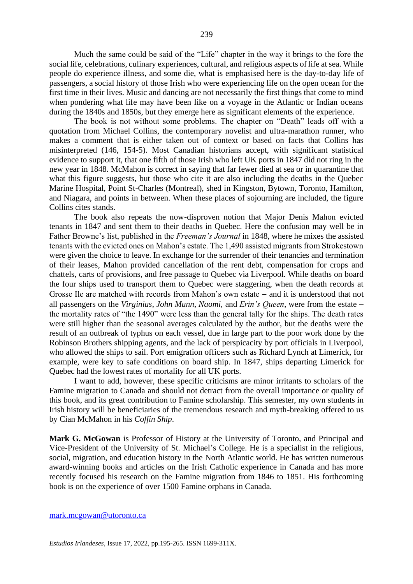Much the same could be said of the "Life" chapter in the way it brings to the fore the social life, celebrations, culinary experiences, cultural, and religious aspects of life at sea. While people do experience illness, and some die, what is emphasised here is the day-to-day life of passengers, a social history of those Irish who were experiencing life on the open ocean for the first time in their lives. Music and dancing are not necessarily the first things that come to mind when pondering what life may have been like on a voyage in the Atlantic or Indian oceans during the 1840s and 1850s, but they emerge here as significant elements of the experience.

The book is not without some problems. The chapter on "Death" leads off with a quotation from Michael Collins, the contemporary novelist and ultra-marathon runner, who makes a comment that is either taken out of context or based on facts that Collins has misinterpreted (146, 154-5). Most Canadian historians accept, with significant statistical evidence to support it, that one fifth of those Irish who left UK ports in 1847 did not ring in the new year in 1848. McMahon is correct in saying that far fewer died at sea or in quarantine that what this figure suggests, but those who cite it are also including the deaths in the Quebec Marine Hospital, Point St-Charles (Montreal), shed in Kingston, Bytown, Toronto, Hamilton, and Niagara, and points in between. When these places of sojourning are included, the figure Collins cites stands.

The book also repeats the now-disproven notion that Major Denis Mahon evicted tenants in 1847 and sent them to their deaths in Quebec. Here the confusion may well be in Father Browne's list, published in the *Freeman's Journal* in 1848, where he mixes the assisted tenants with the evicted ones on Mahon's estate. The 1,490 assisted migrants from Strokestown were given the choice to leave. In exchange for the surrender of their tenancies and termination of their leases, Mahon provided cancellation of the rent debt, compensation for crops and chattels, carts of provisions, and free passage to Quebec via Liverpool. While deaths on board the four ships used to transport them to Quebec were staggering, when the death records at Grosse Ile are matched with records from Mahon's own estate − and it is understood that not all passengers on the *Virginius*, *John Munn*, *Naomi*, and *Erin's Queen*, were from the estate − the mortality rates of "the 1490" were less than the general tally for the ships. The death rates were still higher than the seasonal averages calculated by the author, but the deaths were the result of an outbreak of typhus on each vessel, due in large part to the poor work done by the Robinson Brothers shipping agents, and the lack of perspicacity by port officials in Liverpool, who allowed the ships to sail. Port emigration officers such as Richard Lynch at Limerick, for example, were key to safe conditions on board ship. In 1847, ships departing Limerick for Quebec had the lowest rates of mortality for all UK ports.

I want to add, however, these specific criticisms are minor irritants to scholars of the Famine migration to Canada and should not detract from the overall importance or quality of this book, and its great contribution to Famine scholarship. This semester, my own students in Irish history will be beneficiaries of the tremendous research and myth-breaking offered to us by Cian McMahon in his *Coffin Ship*.

**Mark G. McGowan** is Professor of History at the University of Toronto, and Principal and Vice-President of the University of St. Michael's College. He is a specialist in the religious, social, migration, and education history in the North Atlantic world. He has written numerous award-winning books and articles on the Irish Catholic experience in Canada and has more recently focused his research on the Famine migration from 1846 to 1851. His forthcoming book is on the experience of over 1500 Famine orphans in Canada.

### [mark.mcgowan@utoronto.ca](mailto:mark.mcgowan@utoronto.ca)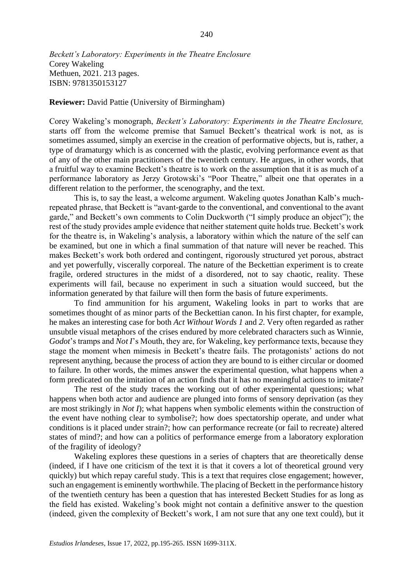*Beckett's Laboratory: Experiments in the Theatre Enclosure* Corey Wakeling Methuen, 2021. 213 pages. ISBN: 9781350153127

**Reviewer:** David Pattie (University of Birmingham)

Corey Wakeling's monograph, *Beckett's Laboratory: Experiments in the Theatre Enclosure,*  starts off from the welcome premise that Samuel Beckett's theatrical work is not, as is sometimes assumed, simply an exercise in the creation of performative objects, but is, rather, a type of dramaturgy which is as concerned with the plastic, evolving performance event as that of any of the other main practitioners of the twentieth century. He argues, in other words, that a fruitful way to examine Beckett's theatre is to work on the assumption that it is as much of a performance laboratory as Jerzy Grotowski's "Poor Theatre," albeit one that operates in a different relation to the performer, the scenography, and the text.

This is, to say the least, a welcome argument. Wakeling quotes Jonathan Kalb's muchrepeated phrase, that Beckett is "avant-garde to the conventional, and conventional to the avant garde," and Beckett's own comments to Colin Duckworth ("I simply produce an object"); the rest of the study provides ample evidence that neither statement quite holds true. Beckett's work for the theatre is, in Wakeling's analysis, a laboratory within which the nature of the self can be examined, but one in which a final summation of that nature will never be reached. This makes Beckett's work both ordered and contingent, rigorously structured yet porous, abstract and yet powerfully, viscerally corporeal. The nature of the Beckettian experiment is to create fragile, ordered structures in the midst of a disordered, not to say chaotic, reality. These experiments will fail, because no experiment in such a situation would succeed, but the information generated by that failure will then form the basis of future experiments.

To find ammunition for his argument, Wakeling looks in part to works that are sometimes thought of as minor parts of the Beckettian canon. In his first chapter, for example, he makes an interesting case for both *Act Without Words 1* and *2*. Very often regarded as rather unsubtle visual metaphors of the crises endured by more celebrated characters such as Winnie, *Godot*'s tramps and *Not I*'s Mouth, they are, for Wakeling, key performance texts, because they stage the moment when mimesis in Beckett's theatre fails. The protagonists' actions do not represent anything, because the process of action they are bound to is either circular or doomed to failure. In other words, the mimes answer the experimental question, what happens when a form predicated on the imitation of an action finds that it has no meaningful actions to imitate?

The rest of the study traces the working out of other experimental questions; what happens when both actor and audience are plunged into forms of sensory deprivation (as they are most strikingly in *Not I*); what happens when symbolic elements within the construction of the event have nothing clear to symbolise?; how does spectatorship operate, and under what conditions is it placed under strain?; how can performance recreate (or fail to recreate) altered states of mind?; and how can a politics of performance emerge from a laboratory exploration of the fragility of ideology?

Wakeling explores these questions in a series of chapters that are theoretically dense (indeed, if I have one criticism of the text it is that it covers a lot of theoretical ground very quickly) but which repay careful study. This is a text that requires close engagement; however, such an engagement is eminently worthwhile. The placing of Beckett in the performance history of the twentieth century has been a question that has interested Beckett Studies for as long as the field has existed. Wakeling's book might not contain a definitive answer to the question (indeed, given the complexity of Beckett's work, I am not sure that any one text could), but it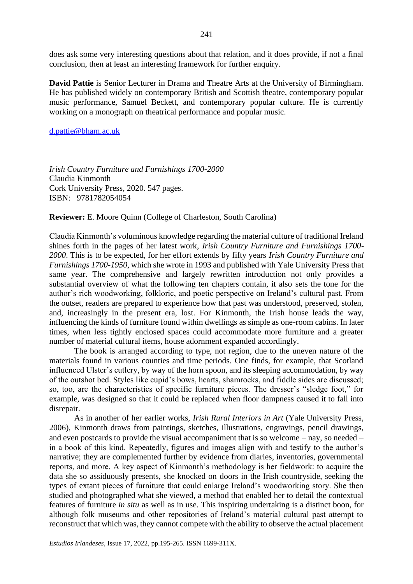does ask some very interesting questions about that relation, and it does provide, if not a final conclusion, then at least an interesting framework for further enquiry.

**David Pattie** is Senior Lecturer in Drama and Theatre Arts at the University of Birmingham. He has published widely on contemporary British and Scottish theatre, contemporary popular music performance, Samuel Beckett, and contemporary popular culture. He is currently working on a monograph on theatrical performance and popular music.

### [d.pattie@bham.ac.uk](mailto:d.pattie@bham.ac.uk)

*Irish Country Furniture and Furnishings 1700-2000* Claudia Kinmonth Cork University Press, 2020. 547 pages. ISBN: 9781782054054

**Reviewer:** E. Moore Quinn (College of Charleston, South Carolina)

Claudia Kinmonth's voluminous knowledge regarding the material culture of traditional Ireland shines forth in the pages of her latest work, *Irish Country Furniture and Furnishings 1700- 2000*. This is to be expected, for her effort extends by fifty years *Irish Country Furniture and Furnishings 1700-1950*, which she wrote in 1993 and published with Yale University Press that same year. The comprehensive and largely rewritten introduction not only provides a substantial overview of what the following ten chapters contain, it also sets the tone for the author's rich woodworking, folkloric, and poetic perspective on Ireland's cultural past. From the outset, readers are prepared to experience how that past was understood, preserved, stolen, and, increasingly in the present era, lost. For Kinmonth, the Irish house leads the way, influencing the kinds of furniture found within dwellings as simple as one-room cabins. In later times, when less tightly enclosed spaces could accommodate more furniture and a greater number of material cultural items, house adornment expanded accordingly.

The book is arranged according to type, not region, due to the uneven nature of the materials found in various counties and time periods. One finds, for example, that Scotland influenced Ulster's cutlery, by way of the horn spoon, and its sleeping accommodation, by way of the outshot bed. Styles like cupid's bows, hearts, shamrocks, and fiddle sides are discussed; so, too, are the characteristics of specific furniture pieces. The dresser's "sledge foot," for example, was designed so that it could be replaced when floor dampness caused it to fall into disrepair.

As in another of her earlier works, *Irish Rural Interiors in Art* (Yale University Press, 2006), Kinmonth draws from paintings, sketches, illustrations, engravings, pencil drawings, and even postcards to provide the visual accompaniment that is so welcome − nay, so needed − in a book of this kind. Repeatedly, figures and images align with and testify to the author's narrative; they are complemented further by evidence from diaries, inventories, governmental reports, and more. A key aspect of Kinmonth's methodology is her fieldwork: to acquire the data she so assiduously presents, she knocked on doors in the Irish countryside, seeking the types of extant pieces of furniture that could enlarge Ireland's woodworking story. She then studied and photographed what she viewed, a method that enabled her to detail the contextual features of furniture *in situ* as well as in use. This inspiring undertaking is a distinct boon, for although folk museums and other repositories of Ireland's material cultural past attempt to reconstruct that which was, they cannot compete with the ability to observe the actual placement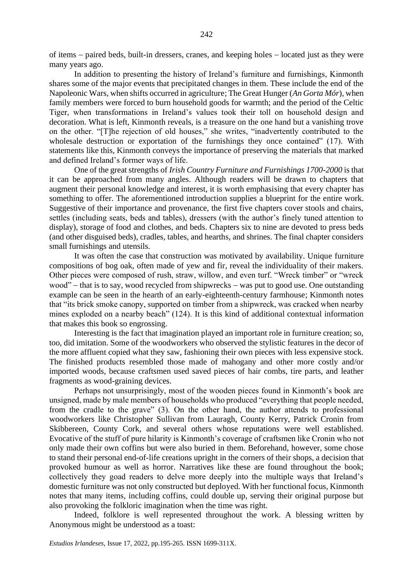of items − paired beds, built-in dressers, cranes, and keeping holes − located just as they were many years ago.

In addition to presenting the history of Ireland's furniture and furnishings, Kinmonth shares some of the major events that precipitated changes in them. These include the end of the Napoleonic Wars, when shifts occurred in agriculture; The Great Hunger (*An Gorta Mór*), when family members were forced to burn household goods for warmth; and the period of the Celtic Tiger, when transformations in Ireland's values took their toll on household design and decoration. What is left, Kinmonth reveals, is a treasure on the one hand but a vanishing trove on the other. "[T]he rejection of old houses," she writes, "inadvertently contributed to the wholesale destruction or exportation of the furnishings they once contained" (17). With statements like this, Kinmonth conveys the importance of preserving the materials that marked and defined Ireland's former ways of life.

One of the great strengths of *Irish Country Furniture and Furnishings 1700-2000* is that it can be approached from many angles. Although readers will be drawn to chapters that augment their personal knowledge and interest, it is worth emphasising that every chapter has something to offer. The aforementioned introduction supplies a blueprint for the entire work. Suggestive of their importance and provenance, the first five chapters cover stools and chairs, settles (including seats, beds and tables), dressers (with the author's finely tuned attention to display), storage of food and clothes, and beds. Chapters six to nine are devoted to press beds (and other disguised beds), cradles, tables, and hearths, and shrines. The final chapter considers small furnishings and utensils.

It was often the case that construction was motivated by availability. Unique furniture compositions of bog oak, often made of yew and fir, reveal the individuality of their makers. Other pieces were composed of rush, straw, willow, and even turf. "Wreck timber" or "wreck wood" − that is to say, wood recycled from shipwrecks − was put to good use. One outstanding example can be seen in the hearth of an early-eighteenth-century farmhouse; Kinmonth notes that "its brick smoke canopy, supported on timber from a shipwreck, was cracked when nearby mines exploded on a nearby beach" (124). It is this kind of additional contextual information that makes this book so engrossing.

Interesting is the fact that imagination played an important role in furniture creation; so, too, did imitation. Some of the woodworkers who observed the stylistic features in the decor of the more affluent copied what they saw, fashioning their own pieces with less expensive stock. The finished products resembled those made of mahogany and other more costly and/or imported woods, because craftsmen used saved pieces of hair combs, tire parts, and leather fragments as wood-graining devices.

Perhaps not unsurprisingly, most of the wooden pieces found in Kinmonth's book are unsigned, made by male members of households who produced "everything that people needed, from the cradle to the grave" (3). On the other hand, the author attends to professional woodworkers like Christopher Sullivan from Lauragh, County Kerry, Patrick Cronin from Skibbereen, County Cork, and several others whose reputations were well established. Evocative of the stuff of pure hilarity is Kinmonth's coverage of craftsmen like Cronin who not only made their own coffins but were also buried in them. Beforehand, however, some chose to stand their personal end-of-life creations upright in the corners of their shops, a decision that provoked humour as well as horror. Narratives like these are found throughout the book; collectively they goad readers to delve more deeply into the multiple ways that Ireland's domestic furniture was not only constructed but deployed. With her functional focus, Kinmonth notes that many items, including coffins, could double up, serving their original purpose but also provoking the folkloric imagination when the time was right.

Indeed, folklore is well represented throughout the work. A blessing written by Anonymous might be understood as a toast: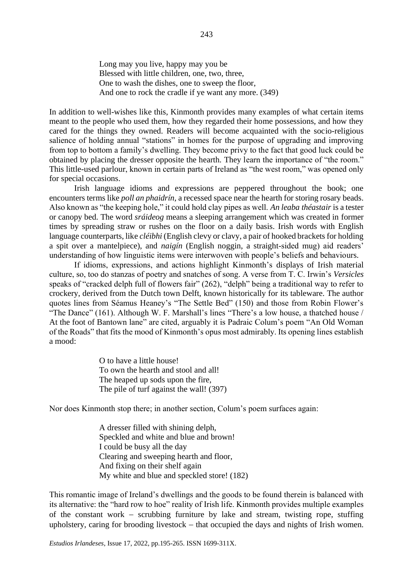Long may you live, happy may you be Blessed with little children, one, two, three, One to wash the dishes, one to sweep the floor, And one to rock the cradle if ye want any more. (349)

In addition to well-wishes like this, Kinmonth provides many examples of what certain items meant to the people who used them, how they regarded their home possessions, and how they cared for the things they owned. Readers will become acquainted with the socio-religious salience of holding annual "stations" in homes for the purpose of upgrading and improving from top to bottom a family's dwelling. They become privy to the fact that good luck could be obtained by placing the dresser opposite the hearth. They learn the importance of "the room." This little-used parlour, known in certain parts of Ireland as "the west room," was opened only for special occasions.

Irish language idioms and expressions are peppered throughout the book; one encounters terms like *poll an phaidrín*, a recessed space near the hearth for storing rosary beads. Also known as "the keeping hole," it could hold clay pipes as well. *An leaba théastair* is a tester or canopy bed. The word *sráideog* means a sleeping arrangement which was created in former times by spreading straw or rushes on the floor on a daily basis. Irish words with English language counterparts, like *cléibhi* (English clevy or clavy, a pair of hooked brackets for holding a spit over a mantelpiece), and *naigín* (English noggin, a straight-sided mug) aid readers' understanding of how linguistic items were interwoven with people's beliefs and behaviours.

If idioms, expressions, and actions highlight Kinmonth's displays of Irish material culture, so, too do stanzas of poetry and snatches of song. A verse from T. C. Irwin's *Versicles* speaks of "cracked delph full of flowers fair" (262), "delph" being a traditional way to refer to crockery, derived from the Dutch town Delft, known historically for its tableware. The author quotes lines from Séamus Heaney's "The Settle Bed" (150) and those from Robin Flower's "The Dance" (161). Although W. F. Marshall's lines "There's a low house, a thatched house / At the foot of Bantown lane" are cited, arguably it is Padraic Colum's poem "An Old Woman of the Roads" that fits the mood of Kinmonth's opus most admirably. Its opening lines establish a mood:

> O to have a little house! To own the hearth and stool and all! The heaped up sods upon the fire, The pile of turf against the wall! (397)

Nor does Kinmonth stop there; in another section, Colum's poem surfaces again:

A dresser filled with shining delph, Speckled and white and blue and brown! I could be busy all the day Clearing and sweeping hearth and floor, And fixing on their shelf again My white and blue and speckled store! (182)

This romantic image of Ireland's dwellings and the goods to be found therein is balanced with its alternative: the "hard row to hoe" reality of Irish life. Kinmonth provides multiple examples of the constant work − scrubbing furniture by lake and stream, twisting rope, stuffing upholstery, caring for brooding livestock – that occupied the days and nights of Irish women.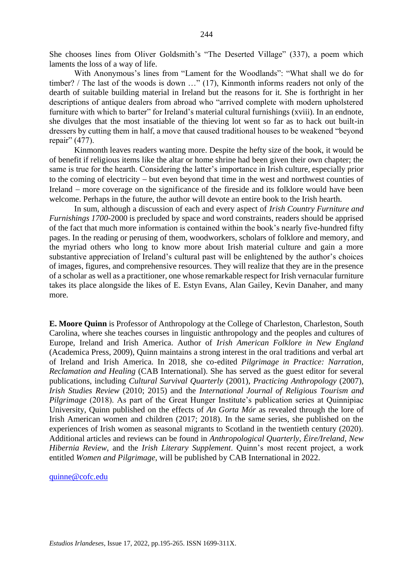She chooses lines from Oliver Goldsmith's "The Deserted Village" (337), a poem which laments the loss of a way of life.

With Anonymous's lines from "Lament for the Woodlands": "What shall we do for timber? / The last of the woods is down …" (17), Kinmonth informs readers not only of the dearth of suitable building material in Ireland but the reasons for it. She is forthright in her descriptions of antique dealers from abroad who "arrived complete with modern upholstered furniture with which to barter" for Ireland's material cultural furnishings (xviii). In an endnote, she divulges that the most insatiable of the thieving lot went so far as to hack out built-in dressers by cutting them in half, a move that caused traditional houses to be weakened "beyond repair" (477).

Kinmonth leaves readers wanting more. Despite the hefty size of the book, it would be of benefit if religious items like the altar or home shrine had been given their own chapter; the same is true for the hearth. Considering the latter's importance in Irish culture, especially prior to the coming of electricity − but even beyond that time in the west and northwest counties of Ireland − more coverage on the significance of the fireside and its folklore would have been welcome. Perhaps in the future, the author will devote an entire book to the Irish hearth.

In sum, although a discussion of each and every aspect of *Irish Country Furniture and Furnishings 1700-*2000 is precluded by space and word constraints, readers should be apprised of the fact that much more information is contained within the book's nearly five-hundred fifty pages. In the reading or perusing of them, woodworkers, scholars of folklore and memory, and the myriad others who long to know more about Irish material culture and gain a more substantive appreciation of Ireland's cultural past will be enlightened by the author's choices of images, figures, and comprehensive resources. They will realize that they are in the presence of a scholar as well as a practitioner, one whose remarkable respect for Irish vernacular furniture takes its place alongside the likes of E. Estyn Evans, Alan Gailey, Kevin Danaher, and many more.

**E. Moore Quinn** is Professor of Anthropology at the College of Charleston, Charleston, South Carolina, where she teaches courses in linguistic anthropology and the peoples and cultures of Europe, Ireland and Irish America. Author of *Irish American Folklore in New England* (Academica Press, 2009), Quinn maintains a strong interest in the oral traditions and verbal art of Ireland and Irish America. In 2018, she co-edited *Pilgrimage in Practice: Narration, Reclamation and Healing* (CAB International). She has served as the guest editor for several publications, including *Cultural Survival Quarterly* (2001), *Practicing Anthropology* (2007), *Irish Studies Review* (2010; 2015) and the *International Journal of Religious Tourism and Pilgrimage* (2018). As part of the Great Hunger Institute's publication series at Quinnipiac University, Quinn published on the effects of *An Gorta Mór* as revealed through the lore of Irish American women and children (2017; 2018). In the same series, she published on the experiences of Irish women as seasonal migrants to Scotland in the twentieth century (2020). Additional articles and reviews can be found in *Anthropological Quarterly*, *Éire/Ireland*, *New Hibernia Review*, and the *Irish Literary Supplement*. Quinn's most recent project, a work entitled *Women and Pilgrimage*, will be published by CAB International in 2022.

[quinne@cofc.edu](mailto:quinne@cofc.edu)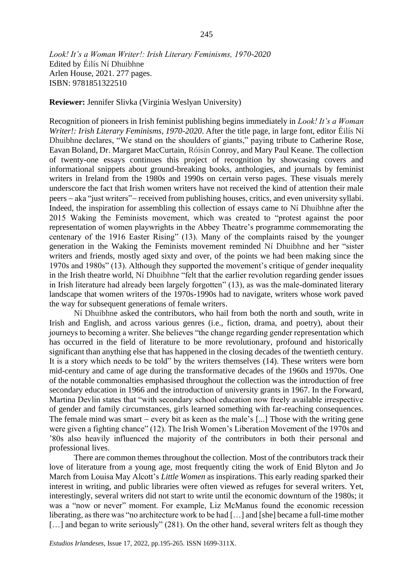*Look! It's a Woman Writer!: Irish Literary Feminisms, 1970-2020* Edited by Éilís Ní Dhuibhne Arlen House, 2021. 277 pages.

ISBN: 9781851322510

**Reviewer:** Jennifer Slivka (Virginia Weslyan University)

Recognition of pioneers in Irish feminist publishing begins immediately in *Look! It's a Woman Writer!: Irish Literary Feminisms, 1970-2020*. After the title page, in large font, editor Éilís Ní Dhuibhne declares, "We stand on the shoulders of giants," paying tribute to Catherine Rose, Eavan Boland, Dr. Margaret MacCurtain, Róisín Conroy, and Mary Paul Keane. The collection of twenty-one essays continues this project of recognition by showcasing covers and informational snippets about ground-breaking books, anthologies, and journals by feminist writers in Ireland from the 1980s and 1990s on certain verso pages. These visuals merely underscore the fact that Irish women writers have not received the kind of attention their male peers − aka "just writers"− received from publishing houses, critics, and even university syllabi. Indeed, the inspiration for assembling this collection of essays came to Ní Dhuibhne after the 2015 Waking the Feminists movement, which was created to "protest against the poor representation of women playwrights in the Abbey Theatre's programme commemorating the centenary of the 1916 Easter Rising" (13). Many of the complaints raised by the younger generation in the Waking the Feminists movement reminded Ní Dhuibhne and her "sister writers and friends, mostly aged sixty and over, of the points we had been making since the 1970s and 1980s" (13). Although they supported the movement's critique of gender inequality in the Irish theatre world, Ní Dhuibhne "felt that the earlier revolution regarding gender issues in Irish literature had already been largely forgotten" (13), as was the male-dominated literary landscape that women writers of the 1970s-1990s had to navigate, writers whose work paved the way for subsequent generations of female writers.

Ní Dhuibhne asked the contributors, who hail from both the north and south, write in Irish and English, and across various genres (i.e., fiction, drama, and poetry), about their journeys to becoming a writer. She believes "the change regarding gender representation which has occurred in the field of literature to be more revolutionary, profound and historically significant than anything else that has happened in the closing decades of the twentieth century. It is a story which needs to be told" by the writers themselves (14). These writers were born mid-century and came of age during the transformative decades of the 1960s and 1970s. One of the notable commonalties emphasised throughout the collection was the introduction of free secondary education in 1966 and the introduction of university grants in 1967. In the Forward, Martina Devlin states that "with secondary school education now freely available irrespective of gender and family circumstances, girls learned something with far-reaching consequences. The female mind was smart – every bit as keen as the male's [...] Those with the writing gene were given a fighting chance" (12). The Irish Women's Liberation Movement of the 1970s and '80s also heavily influenced the majority of the contributors in both their personal and professional lives.

There are common themes throughout the collection. Most of the contributors track their love of literature from a young age, most frequently citing the work of Enid Blyton and Jo March from Louisa May Alcott's *Little Women* as inspirations. This early reading sparked their interest in writing, and public libraries were often viewed as refuges for several writers. Yet, interestingly, several writers did not start to write until the economic downturn of the 1980s; it was a "now or never" moment. For example, Liz McManus found the economic recession liberating, as there was "no architecture work to be had […] and [she] became a full-time mother [...] and began to write seriously" (281). On the other hand, several writers felt as though they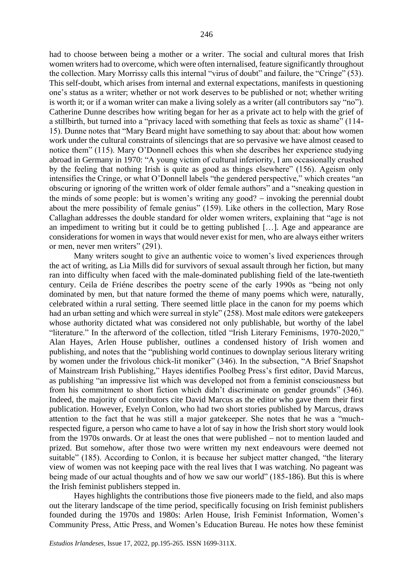had to choose between being a mother or a writer. The social and cultural mores that Irish women writers had to overcome, which were often internalised, feature significantly throughout the collection. Mary Morrissy calls this internal "virus of doubt" and failure, the "Cringe" (53). This self-doubt, which arises from internal and external expectations, manifests in questioning one's status as a writer; whether or not work deserves to be published or not; whether writing is worth it; or if a woman writer can make a living solely as a writer (all contributors say "no"). Catherine Dunne describes how writing began for her as a private act to help with the grief of a stillbirth, but turned into a "privacy laced with something that feels as toxic as shame" (114- 15). Dunne notes that "Mary Beard might have something to say about that: about how women work under the cultural constraints of silencings that are so pervasive we have almost ceased to notice them" (115). Mary O'Donnell echoes this when she describes her experience studying abroad in Germany in 1970: "A young victim of cultural inferiority, I am occasionally crushed by the feeling that nothing Irish is quite as good as things elsewhere" (156). Ageism only intensifies the Cringe, or what O'Donnell labels "the gendered perspective," which creates "an obscuring or ignoring of the written work of older female authors" and a "sneaking question in the minds of some people: but is women's writing any good? − invoking the perennial doubt about the mere possibility of female genius" (159). Like others in the collection, Mary Rose Callaghan addresses the double standard for older women writers, explaining that "age is not an impediment to writing but it could be to getting published […]. Age and appearance are considerations for women in ways that would never exist for men, who are always either writers or men, never men writers" (291).

Many writers sought to give an authentic voice to women's lived experiences through the act of writing, as Lia Mills did for survivors of sexual assault through her fiction, but many ran into difficulty when faced with the male-dominated publishing field of the late-twentieth century. Ceila de Friéne describes the poetry scene of the early 1990s as "being not only dominated by men, but that nature formed the theme of many poems which were, naturally, celebrated within a rural setting. There seemed little place in the canon for my poems which had an urban setting and which were surreal in style" (258). Most male editors were gatekeepers whose authority dictated what was considered not only publishable, but worthy of the label "literature." In the afterword of the collection, titled "Irish Literary Feminisms, 1970-2020," Alan Hayes, Arlen House publisher, outlines a condensed history of Irish women and publishing, and notes that the "publishing world continues to downplay serious literary writing by women under the frivolous chick-lit moniker" (346). In the subsection, "A Brief Snapshot of Mainstream Irish Publishing," Hayes identifies Poolbeg Press's first editor, David Marcus, as publishing "an impressive list which was developed not from a feminist consciousness but from his commitment to short fiction which didn't discriminate on gender grounds" (346). Indeed, the majority of contributors cite David Marcus as the editor who gave them their first publication. However, Evelyn Conlon, who had two short stories published by Marcus, draws attention to the fact that he was still a major gatekeeper. She notes that he was a "muchrespected figure, a person who came to have a lot of say in how the Irish short story would look from the 1970s onwards. Or at least the ones that were published – not to mention lauded and prized. But somehow, after those two were written my next endeavours were deemed not suitable" (185). According to Conlon, it is because her subject matter changed, "the literary view of women was not keeping pace with the real lives that I was watching. No pageant was being made of our actual thoughts and of how we saw our world" (185-186). But this is where the Irish feminist publishers stepped in.

Hayes highlights the contributions those five pioneers made to the field, and also maps out the literary landscape of the time period, specifically focusing on Irish feminist publishers founded during the 1970s and 1980s: Arlen House, Irish Feminist Information, Women's Community Press, Attic Press, and Women's Education Bureau. He notes how these feminist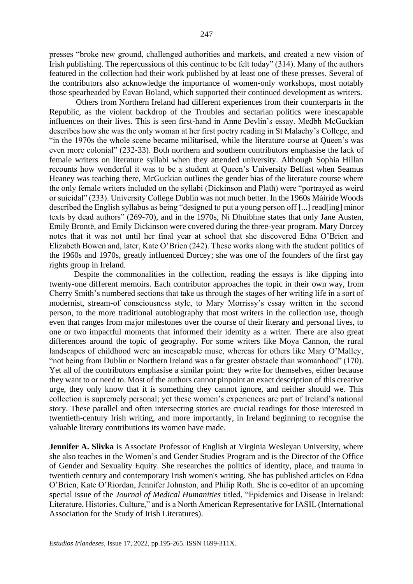presses "broke new ground, challenged authorities and markets, and created a new vision of Irish publishing. The repercussions of this continue to be felt today" (314). Many of the authors featured in the collection had their work published by at least one of these presses. Several of the contributors also acknowledge the importance of women-only workshops, most notably those spearheaded by Eavan Boland, which supported their continued development as writers.

Others from Northern Ireland had different experiences from their counterparts in the Republic, as the violent backdrop of the Troubles and sectarian politics were inescapable influences on their lives. This is seen first-hand in Anne Devlin's essay. Medbh McGuckian describes how she was the only woman at her first poetry reading in St Malachy's College, and "in the 1970s the whole scene became militarised, while the literature course at Queen's was even more colonial" (232-33). Both northern and southern contributors emphasise the lack of female writers on literature syllabi when they attended university. Although Sophia Hillan recounts how wonderful it was to be a student at Queen's University Belfast when Seamus Heaney was teaching there, McGuckian outlines the gender bias of the literature course where the only female writers included on the syllabi (Dickinson and Plath) were "portrayed as weird or suicidal" (233). University College Dublin was not much better. In the 1960s Máiríde Woods described the English syllabus as being "designed to put a young person off [...] read[ing] minor texts by dead authors" (269-70), and in the 1970s, Ní Dhuibhne states that only Jane Austen, Emily Brontë, and Emily Dickinson were covered during the three-year program. Mary Dorcey notes that it was not until her final year at school that she discovered Edna O'Brien and Elizabeth Bowen and, later, Kate O'Brien (242). These works along with the student politics of the 1960s and 1970s, greatly influenced Dorcey; she was one of the founders of the first gay rights group in Ireland.

Despite the commonalities in the collection, reading the essays is like dipping into twenty-one different memoirs. Each contributor approaches the topic in their own way, from Cherry Smith's numbered sections that take us through the stages of her writing life in a sort of modernist, stream-of consciousness style, to Mary Morrissy's essay written in the second person, to the more traditional autobiography that most writers in the collection use, though even that ranges from major milestones over the course of their literary and personal lives, to one or two impactful moments that informed their identity as a writer. There are also great differences around the topic of geography. For some writers like Moya Cannon, the rural landscapes of childhood were an inescapable muse, whereas for others like Mary O'Malley, "not being from Dublin or Northern Ireland was a far greater obstacle than womanhood" (170). Yet all of the contributors emphasise a similar point: they write for themselves, either because they want to or need to. Most of the authors cannot pinpoint an exact description of this creative urge, they only know that it is something they cannot ignore, and neither should we. This collection is supremely personal; yet these women's experiences are part of Ireland's national story. These parallel and often intersecting stories are crucial readings for those interested in twentieth-century Irish writing, and more importantly, in Ireland beginning to recognise the valuable literary contributions its women have made.

**Jennifer A. Slivka** is Associate Professor of English at Virginia Wesleyan University, where she also teaches in the Women's and Gender Studies Program and is the Director of the Office of Gender and Sexuality Equity. She researches the politics of identity, place, and trauma in twentieth century and contemporary Irish women's writing. She has published articles on Edna O'Brien, Kate O'Riordan, Jennifer Johnston, and Philip Roth. She is co-editor of an upcoming special issue of the *Journal of Medical Humanities* titled, "Epidemics and Disease in Ireland: Literature, Histories, Culture," and is a North American Representative for IASIL (International Association for the Study of Irish Literatures).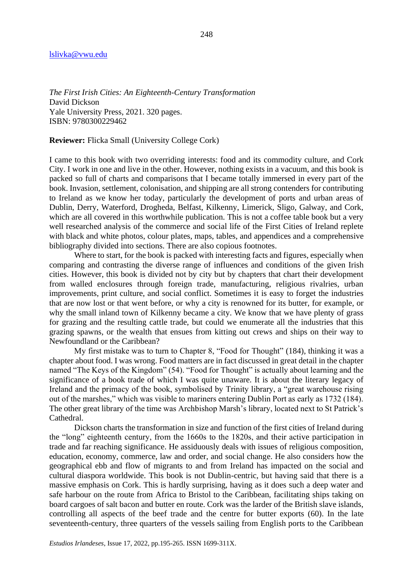#### [lslivka@vwu.edu](mailto:lslivka@vwu.edu)

*The First Irish Cities: An Eighteenth-Century Transformation* David Dickson Yale University Press, 2021. 320 pages. ISBN: 9780300229462

### **Reviewer:** Flicka Small (University College Cork)

I came to this book with two overriding interests: food and its commodity culture, and Cork City. I work in one and live in the other. However, nothing exists in a vacuum, and this book is packed so full of charts and comparisons that I became totally immersed in every part of the book. Invasion, settlement, colonisation, and shipping are all strong contenders for contributing to Ireland as we know her today, particularly the development of ports and urban areas of Dublin, Derry, Waterford, Drogheda, Belfast, Kilkenny, Limerick, Sligo, Galway, and Cork, which are all covered in this worthwhile publication. This is not a coffee table book but a very well researched analysis of the commerce and social life of the First Cities of Ireland replete with black and white photos, colour plates, maps, tables, and appendices and a comprehensive bibliography divided into sections. There are also copious footnotes.

Where to start, for the book is packed with interesting facts and figures, especially when comparing and contrasting the diverse range of influences and conditions of the given Irish cities. However, this book is divided not by city but by chapters that chart their development from walled enclosures through foreign trade, manufacturing, religious rivalries, urban improvements, print culture, and social conflict. Sometimes it is easy to forget the industries that are now lost or that went before, or why a city is renowned for its butter, for example, or why the small inland town of Kilkenny became a city. We know that we have plenty of grass for grazing and the resulting cattle trade, but could we enumerate all the industries that this grazing spawns, or the wealth that ensues from kitting out crews and ships on their way to Newfoundland or the Caribbean?

My first mistake was to turn to Chapter 8, "Food for Thought" (184), thinking it was a chapter about food. I was wrong. Food matters are in fact discussed in great detail in the chapter named "The Keys of the Kingdom" (54). "Food for Thought" is actually about learning and the significance of a book trade of which I was quite unaware. It is about the literary legacy of Ireland and the primacy of the book, symbolised by Trinity library, a "great warehouse rising out of the marshes," which was visible to mariners entering Dublin Port as early as 1732 (184). The other great library of the time was Archbishop Marsh's library, located next to St Patrick's Cathedral.

Dickson charts the transformation in size and function of the first cities of Ireland during the "long" eighteenth century, from the 1660s to the 1820s, and their active participation in trade and far reaching significance. He assiduously deals with issues of religious composition, education, economy, commerce, law and order, and social change. He also considers how the geographical ebb and flow of migrants to and from Ireland has impacted on the social and cultural diaspora worldwide. This book is not Dublin-centric, but having said that there is a massive emphasis on Cork. This is hardly surprising, having as it does such a deep water and safe harbour on the route from Africa to Bristol to the Caribbean, facilitating ships taking on board cargoes of salt bacon and butter en route. Cork was the larder of the British slave islands, controlling all aspects of the beef trade and the centre for butter exports (60). In the late seventeenth-century, three quarters of the vessels sailing from English ports to the Caribbean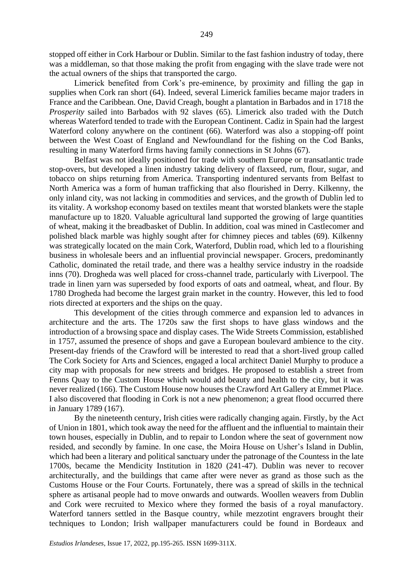stopped off either in Cork Harbour or Dublin. Similar to the fast fashion industry of today, there was a middleman, so that those making the profit from engaging with the slave trade were not the actual owners of the ships that transported the cargo.

Limerick benefited from Cork's pre-eminence, by proximity and filling the gap in supplies when Cork ran short (64). Indeed, several Limerick families became major traders in France and the Caribbean. One, David Creagh, bought a plantation in Barbados and in 1718 the *Prosperity* sailed into Barbados with 92 slaves (65). Limerick also traded with the Dutch whereas Waterford tended to trade with the European Continent. Cadiz in Spain had the largest Waterford colony anywhere on the continent (66). Waterford was also a stopping-off point between the West Coast of England and Newfoundland for the fishing on the Cod Banks, resulting in many Waterford firms having family connections in St Johns (67).

Belfast was not ideally positioned for trade with southern Europe or transatlantic trade stop-overs, but developed a linen industry taking delivery of flaxseed, rum, flour, sugar, and tobacco on ships returning from America. Transporting indentured servants from Belfast to North America was a form of human trafficking that also flourished in Derry. Kilkenny, the only inland city, was not lacking in commodities and services, and the growth of Dublin led to its vitality. A workshop economy based on textiles meant that worsted blankets were the staple manufacture up to 1820. Valuable agricultural land supported the growing of large quantities of wheat, making it the breadbasket of Dublin. In addition, coal was mined in Castlecomer and polished black marble was highly sought after for chimney pieces and tables (69). Kilkenny was strategically located on the main Cork, Waterford, Dublin road, which led to a flourishing business in wholesale beers and an influential provincial newspaper. Grocers, predominantly Catholic, dominated the retail trade, and there was a healthy service industry in the roadside inns (70). Drogheda was well placed for cross-channel trade, particularly with Liverpool. The trade in linen yarn was superseded by food exports of oats and oatmeal, wheat, and flour. By 1780 Drogheda had become the largest grain market in the country. However, this led to food riots directed at exporters and the ships on the quay.

This development of the cities through commerce and expansion led to advances in architecture and the arts. The 1720s saw the first shops to have glass windows and the introduction of a browsing space and display cases. The Wide Streets Commission, established in 1757, assumed the presence of shops and gave a European boulevard ambience to the city. Present-day friends of the Crawford will be interested to read that a short-lived group called The Cork Society for Arts and Sciences, engaged a local architect Daniel Murphy to produce a city map with proposals for new streets and bridges. He proposed to establish a street from Fenns Quay to the Custom House which would add beauty and health to the city, but it was never realized (166). The Custom House now houses the Crawford Art Gallery at Emmet Place. I also discovered that flooding in Cork is not a new phenomenon; a great flood occurred there in January 1789 (167).

By the nineteenth century, Irish cities were radically changing again. Firstly, by the Act of Union in 1801, which took away the need for the affluent and the influential to maintain their town houses, especially in Dublin, and to repair to London where the seat of government now resided, and secondly by famine. In one case, the Moira House on Usher's Island in Dublin, which had been a literary and political sanctuary under the patronage of the Countess in the late 1700s, became the Mendicity Institution in 1820 (241-47). Dublin was never to recover architecturally, and the buildings that came after were never as grand as those such as the Customs House or the Four Courts. Fortunately, there was a spread of skills in the technical sphere as artisanal people had to move onwards and outwards. Woollen weavers from Dublin and Cork were recruited to Mexico where they formed the basis of a royal manufactory. Waterford tanners settled in the Basque country, while mezzotint engravers brought their techniques to London; Irish wallpaper manufacturers could be found in Bordeaux and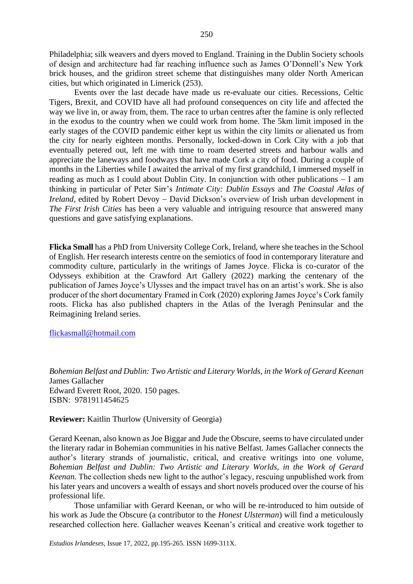Philadelphia; silk weavers and dyers moved to England. Training in the Dublin Society schools of design and architecture had far reaching influence such as James O'Donnell's New York brick houses, and the gridiron street scheme that distinguishes many older North American cities, but which originated in Limerick (253).

Events over the last decade have made us re-evaluate our cities. Recessions, Celtic Tigers, Brexit, and COVID have all had profound consequences on city life and affected the way we live in, or away from, them. The race to urban centres after the famine is only reflected in the exodus to the country when we could work from home. The 5km limit imposed in the early stages of the COVID pandemic either kept us within the city limits or alienated us from the city for nearly eighteen months. Personally, locked-down in Cork City with a job that eventually petered out, left me with time to roam deserted streets and harbour walls and appreciate the laneways and foodways that have made Cork a city of food. During a couple of months in the Liberties while I awaited the arrival of my first grandchild, I immersed myself in reading as much as I could about Dublin City. In conjunction with other publications − I am thinking in particular of Peter Sirr's *Intimate City: Dublin Essays* and *The Coastal Atlas of Ireland,* edited by Robert Devoy − David Dickson's overview of Irish urban development in *The First Irish Cities* has been a very valuable and intriguing resource that answered many questions and gave satisfying explanations.

**Flicka Small** has a PhD from University College Cork, Ireland, where she teaches in the School of English. Her research interests centre on the semiotics of food in contemporary literature and commodity culture, particularly in the writings of James Joyce. Flicka is co-curator of the Odysseys exhibition at the Crawford Art Gallery (2022) marking the centenary of the publication of James Joyce's Ulysses and the impact travel has on an artist's work. She is also producer of the short documentary Framed in Cork (2020) exploring James Joyce's Cork family roots. Flicka has also published chapters in the Atlas of the Iveragh Peninsular and the Reimagining Ireland series.

#### [flickasmall@hotmail.com](mailto:flickasmall@hotmail.com)

*Bohemian Belfast and Dublin: Two Artistic and Literary Worlds, in the Work of Gerard Keenan*  James Gallacher Edward Everett Root, 2020. 150 pages. ISBN: 9781911454625

### **Reviewer:** Kaitlin Thurlow (University of Georgia)

Gerard Keenan, also known as Joe Biggar and Jude the Obscure, seems to have circulated under the literary radar in Bohemian communities in his native Belfast. James Gallacher connects the author's literary strands of journalistic, critical, and creative writings into one volume, *Bohemian Belfast and Dublin: Two Artistic and Literary Worlds, in the Work of Gerard Keenan.* The collection sheds new light to the author's legacy, rescuing unpublished work from his later years and uncovers a wealth of essays and short novels produced over the course of his professional life.

Those unfamiliar with Gerard Keenan, or who will be re-introduced to him outside of his work as Jude the Obscure (a contributor to the *Honest Ulsterman*) will find a meticulously researched collection here. Gallacher weaves Keenan's critical and creative work together to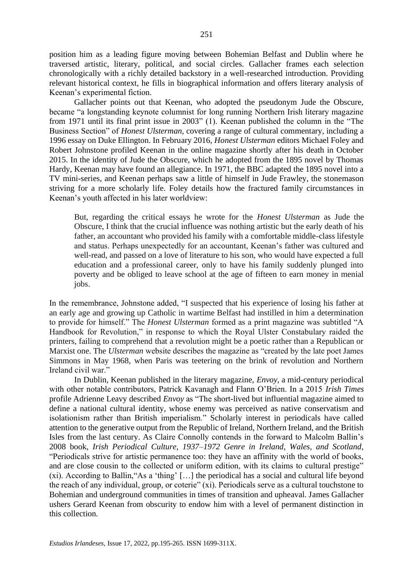position him as a leading figure moving between Bohemian Belfast and Dublin where he traversed artistic, literary, political, and social circles. Gallacher frames each selection chronologically with a richly detailed backstory in a well-researched introduction. Providing relevant historical context, he fills in biographical information and offers literary analysis of Keenan's experimental fiction.

Gallacher points out that Keenan, who adopted the pseudonym Jude the Obscure, became "a longstanding keynote columnist for long running Northern Irish literary magazine from 1971 until its final print issue in 2003" (1). Keenan published the column in the "The Business Section" of *Honest Ulsterman,* covering a range of cultural commentary, including a 1996 essay on Duke Ellington. In February 2016, *Honest Ulsterman* editors Michael Foley and Robert Johnstone profiled Keenan in the online magazine shortly after his death in October 2015. In the identity of Jude the Obscure, which he adopted from the 1895 novel by Thomas Hardy, Keenan may have found an allegiance. In 1971, the BBC adapted the 1895 novel into a TV mini-series, and Keenan perhaps saw a little of himself in Jude Frawley, the stonemason striving for a more scholarly life. Foley details how the fractured family circumstances in Keenan's youth affected in his later worldview:

But, regarding the critical essays he wrote for the *Honest Ulsterman* as Jude the Obscure, I think that the crucial influence was nothing artistic but the early death of his father, an accountant who provided his family with a comfortable middle-class lifestyle and status. Perhaps unexpectedly for an accountant, Keenan's father was cultured and well-read, and passed on a love of literature to his son, who would have expected a full education and a professional career, only to have his family suddenly plunged into poverty and be obliged to leave school at the age of fifteen to earn money in menial jobs.

In the remembrance, Johnstone added, "I suspected that his experience of losing his father at an early age and growing up Catholic in wartime Belfast had instilled in him a determination to provide for himself." The *Honest Ulsterman* formed as a print magazine was subtitled "A Handbook for Revolution," in response to which the Royal Ulster Constabulary raided the printers, failing to comprehend that a revolution might be a poetic rather than a Republican or Marxist one. The *Ulsterman* website describes the magazine as "created by the late poet James Simmons in May 1968, when Paris was teetering on the brink of revolution and Northern Ireland civil war."

In Dublin, Keenan published in the literary magazine, *Envoy,* a mid-century periodical with other notable contributors, Patrick Kavanagh and Flann O'Brien. In a 2015 *Irish Times*  profile Adrienne Leavy described *Envoy* as "The short-lived but influential magazine aimed to define a national cultural identity, whose enemy was perceived as native conservatism and isolationism rather than British imperialism." Scholarly interest in periodicals have called attention to the generative output from the Republic of Ireland, Northern Ireland, and the British Isles from the last century. As Claire Connolly contends in the forward to Malcolm Ballin's 2008 book, *Irish Periodical Culture, 1937–1972 Genre in Ireland, Wales, and Scotland*, "Periodicals strive for artistic permanence too: they have an affinity with the world of books, and are close cousin to the collected or uniform edition, with its claims to cultural prestige" (xi). According to Ballin,"As a 'thing' […] the periodical has a social and cultural life beyond the reach of any individual, group, or coterie" (xi). Periodicals serve as a cultural touchstone to Bohemian and underground communities in times of transition and upheaval. James Gallacher ushers Gerard Keenan from obscurity to endow him with a level of permanent distinction in this collection.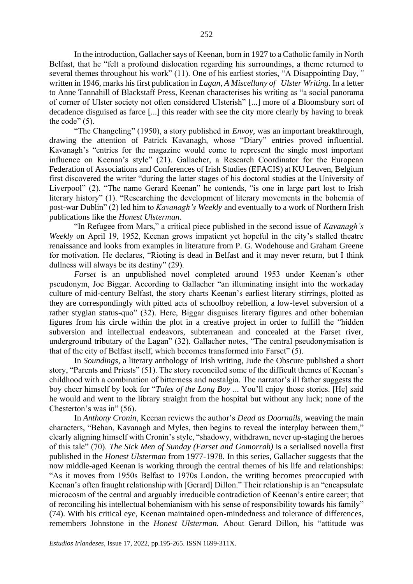In the introduction, Gallacher says of Keenan, born in 1927 to a Catholic family in North Belfast, that he "felt a profound dislocation regarding his surroundings, a theme returned to several themes throughout his work" (11). One of his earliest stories, "A Disappointing Day*,"* written in 1946, marks his first publication in *Lagan*, *A Miscellany of Ulster Writing.* In a letter to Anne Tannahill of Blackstaff Press, Keenan characterises his writing as "a social panorama of corner of Ulster society not often considered Ulsterish" [...] more of a Bloomsbury sort of decadence disguised as farce [...] this reader with see the city more clearly by having to break the code"  $(5)$ .

"The Changeling" (1950), a story published in *Envoy*, was an important breakthrough, drawing the attention of Patrick Kavanagh, whose "Diary" entries proved influential. Kavanagh's "entries for the magazine would come to represent the single most important influence on Keenan's style" (21). Gallacher, a Research Coordinator for the European Federation of Associations and Conferences of Irish Studies (EFACIS) at KU Leuven, Belgium first discovered the writer "during the latter stages of his doctoral studies at the University of Liverpool" (2). "The name Gerard Keenan" he contends, "is one in large part lost to Irish literary history" (1). "Researching the development of literary movements in the bohemia of post-war Dublin" (2) led him to *Kavanagh's Weekly* and eventually to a work of Northern Irish publications like the *Honest Ulsterman*.

"In Refugee from Mars," a critical piece published in the second issue of *Kavanagh's Weekly* on April 19, 1952, Keenan grows impatient yet hopeful in the city's stalled theatre renaissance and looks from examples in literature from P. G. Wodehouse and Graham Greene for motivation. He declares, "Rioting is dead in Belfast and it may never return, but I think dullness will always be its destiny" (29).

*Farset* is an unpublished novel completed around 1953 under Keenan's other pseudonym, Joe Biggar. According to Gallacher "an illuminating insight into the workaday culture of mid-century Belfast, the story charts Keenan's earliest literary stirrings, plotted as they are correspondingly with pitted acts of schoolboy rebellion, a low-level subversion of a rather stygian status-quo" (32). Here, Biggar disguises literary figures and other bohemian figures from his circle within the plot in a creative project in order to fulfill the "hidden subversion and intellectual endeavors, subterranean and concealed at the Farset river, underground tributary of the Lagan" (32). Gallacher notes, "The central pseudonymisation is that of the city of Belfast itself, which becomes transformed into Farset" (5).

In *Soundings*, a literary anthology of Irish writing, Jude the Obscure published a short story, "Parents and Priests" (51). The story reconciled some of the difficult themes of Keenan's childhood with a combination of bitterness and nostalgia. The narrator's ill father suggests the boy cheer himself by look for "*Tales of the Long Boy* ... You'll enjoy those stories. [He] said he would and went to the library straight from the hospital but without any luck; none of the Chesterton's was in" (56).

In *Anthony Cronin*, Keenan reviews the author's *Dead as Doornails*, weaving the main characters, "Behan, Kavanagh and Myles, then begins to reveal the interplay between them," clearly aligning himself with Cronin's style, "shadowy, withdrawn, never up-staging the heroes of this tale" (70). *The Sick Men of Sunday (Farset and Gomorrah)* is a serialised novella first published in the *Honest Ulsterman* from 1977-1978. In this series, Gallacher suggests that the now middle-aged Keenan is working through the central themes of his life and relationships: "As it moves from 1950s Belfast to 1970s London, the writing becomes preoccupied with Keenan's often fraught relationship with [Gerard] Dillon." Their relationship is an "encapsulate microcosm of the central and arguably irreducible contradiction of Keenan's entire career; that of reconciling his intellectual bohemianism with his sense of responsibility towards his family" (74). With his critical eye, Keenan maintained open-mindedness and tolerance of differences, remembers Johnstone in the *Honest Ulsterman.* About Gerard Dillon, his "attitude was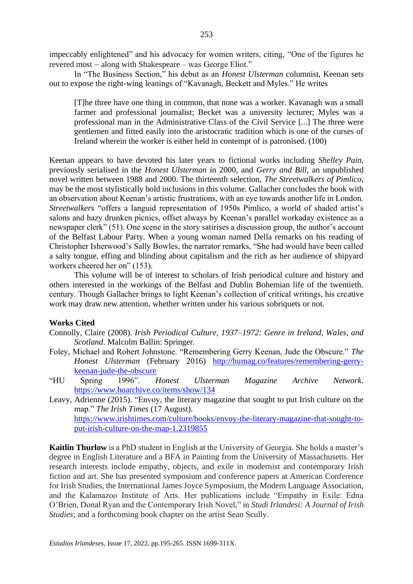impeccably enlightened" and his advocacy for women writers, citing, "One of the figures he revered most − along with Shakespeare – was George Eliot."

In "The Business Section," his debut as an *Honest Ulsterman* columnist, Keenan sets out to expose the right-wing leanings of "Kavanagh, Beckett and Myles." He writes

[T]he three have one thing in common, that none was a worker. Kavanagh was a small farmer and professional journalist; Becket was a university lecturer; Myles was a professional man in the Administrative Class of the Civil Service [...] The three were gentlemen and fitted easily into the aristocratic tradition which is one of the curses of Ireland wherein the worker is either held in contempt of is patronised. (100)

Keenan appears to have devoted his later years to fictional works including *Shelley Pain*, previously serialised in the *Honest Ulsterman* in 2000, and *Gerry and Bill*, an unpublished novel written between 1988 and 2000. The thirteenth selection, *The Streetwalkers of Pimlico*, may be the most stylistically bold inclusions in this volume. Gallacher concludes the book with an observation about Keenan's artistic frustrations, with an eye towards another life in London. *Streetwalkers* "offers a languid representation of 1950s Pimlico, a world of shaded artist's salons and hazy drunken picnics, offset always by Keenan's parallel workaday existence as a newspaper clerk" (51). One scene in the story satirises a discussion group, the author's account of the Belfast Labour Party. When a young woman named Della remarks on his reading of Christopher Isherwood's Sally Bowles, the narrator remarks, "She had would have been called a salty tongue, effing and blinding about capitalism and the rich as her audience of shipyard workers cheered her on" (153).

This volume will be of interest to scholars of Irish periodical culture and history and others interested in the workings of the Belfast and Dublin Bohemian life of the twentieth. century. Though Gallacher brings to light Keenan's collection of critical writings, his creative work may draw new attention, whether written under his various sobriquets or not.

#### **Works Cited**

- Connolly, Claire (2008). *Irish Periodical Culture, 1937–1972: Genre in Ireland, Wales, and Scotland*. Malcolm Ballin: Springer.
- Foley, Michael and Robert Johnstone. "Remembering Gerry Keenan, Jude the Obscure." *The Honest Ulsterman* (February 2016) [http://humag.co/features/remembering-gerry](http://humag.co/features/remembering-gerry-keenan-jude-the-obscure)[keenan-jude-the-obscure](http://humag.co/features/remembering-gerry-keenan-jude-the-obscure)
- "HU Spring 1996". *Honest Ulsterman Magazine Archive Network*. <https://www.huarchive.co/items/show/134>
- Leavy, Adrienne (2015). "Envoy, the literary magazine that sought to put Irish culture on the map." *The Irish Times* (17 August). [https://www.irishtimes.com/culture/books/envoy-the-literary-magazine-that-sought-to](https://www.irishtimes.com/culture/books/envoy-the-literary-magazine-that-sought-to-put-irish-culture-on-the-map-1.2319855)[put-irish-culture-on-the-map-1.2319855](https://www.irishtimes.com/culture/books/envoy-the-literary-magazine-that-sought-to-put-irish-culture-on-the-map-1.2319855)

**Kaitlin Thurlow** is a PhD student in English at the University of Georgia. She holds a master's degree in English Literature and a BFA in Painting from the University of Massachusetts. Her research interests include empathy, objects, and exile in modernist and contemporary Irish fiction and art. She has presented symposium and conference papers at American Conference for Irish Studies, the International James Joyce Symposium, the Modern Language Association, and the Kalamazoo Institute of Arts. Her publications include "Empathy in Exile: Edna O'Brien, Donal Ryan and the Contemporary Irish Novel," in *Studi Irlandesi: A Journal of Irish Studies*; and a forthcoming book chapter on the artist Sean Scully.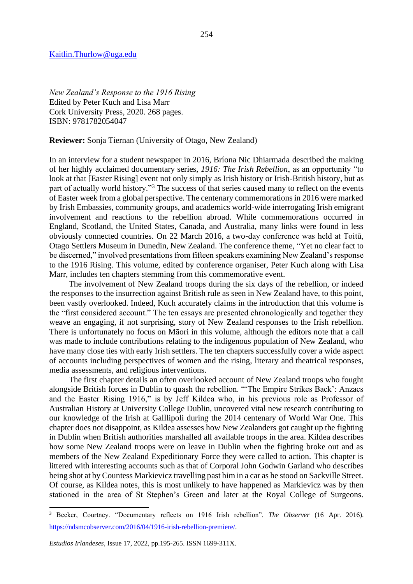#### [Kaitlin.Thurlow@uga.edu](mailto:Kaitlin.Thurlow@uga.edu)

*New Zealand's Response to the 1916 Rising* Edited by Peter Kuch and Lisa Marr Cork University Press, 2020. 268 pages. ISBN: 9781782054047

### **Reviewer:** Sonja Tiernan (University of Otago, New Zealand)

In an interview for a student newspaper in 2016, Bríona Nic Dhiarmada described the making of her highly acclaimed documentary series, *1916: The Irish Rebellion*, as an opportunity "to look at that [Easter Rising] event not only simply as Irish history or Irish-British history, but as part of actually world history."<sup>3</sup> The success of that series caused many to reflect on the events of Easter week from a global perspective. The centenary commemorations in 2016 were marked by Irish Embassies, community groups, and academics world-wide interrogating Irish emigrant involvement and reactions to the rebellion abroad. While commemorations occurred in England, Scotland, the United States, Canada, and Australia, many links were found in less obviously connected countries. On 22 March 2016, a two-day conference was held at Toitū, Otago Settlers Museum in Dunedin, New Zealand. The conference theme, "Yet no clear fact to be discerned," involved presentations from fifteen speakers examining New Zealand's response to the 1916 Rising. This volume, edited by conference organiser, Peter Kuch along with Lisa Marr, includes ten chapters stemming from this commemorative event.

The involvement of New Zealand troops during the six days of the rebellion, or indeed the responses to the insurrection against British rule as seen in New Zealand have, to this point, been vastly overlooked. Indeed, Kuch accurately claims in the introduction that this volume is the "first considered account." The ten essays are presented chronologically and together they weave an engaging, if not surprising, story of New Zealand responses to the Irish rebellion. There is unfortunately no focus on Māori in this volume, although the editors note that a call was made to include contributions relating to the indigenous population of New Zealand, who have many close ties with early Irish settlers. The ten chapters successfully cover a wide aspect of accounts including perspectives of women and the rising, literary and theatrical responses, media assessments, and religious interventions.

The first chapter details an often overlooked account of New Zealand troops who fought alongside British forces in Dublin to quash the rebellion. "'The Empire Strikes Back': Anzacs and the Easter Rising 1916," is by Jeff Kildea who, in his previous role as Professor of Australian History at University College Dublin, uncovered vital new research contributing to our knowledge of the Irish at Galllipoli during the 2014 centenary of World War One. This chapter does not disappoint, as Kildea assesses how New Zealanders got caught up the fighting in Dublin when British authorities marshalled all available troops in the area. Kildea describes how some New Zealand troops were on leave in Dublin when the fighting broke out and as members of the New Zealand Expeditionary Force they were called to action. This chapter is littered with interesting accounts such as that of Corporal John Godwin Garland who describes being shot at by Countess Markievicz travelling past him in a car as he stood on Sackville Street. Of course, as Kildea notes, this is most unlikely to have happened as Markievicz was by then stationed in the area of St Stephen's Green and later at the Royal College of Surgeons.

<sup>3</sup> Becker, Courtney. "Documentary reflects on 1916 Irish rebellion". *The Observer* (16 Apr. 2016). [https://ndsmcobserver.com/2016/04/1916-irish-rebellion-premiere/.](https://ndsmcobserver.com/2016/04/1916-irish-rebellion-premiere/)

*Estudios Irlandeses*, Issue 17, 2022, pp.195-265. ISSN 1699-311X.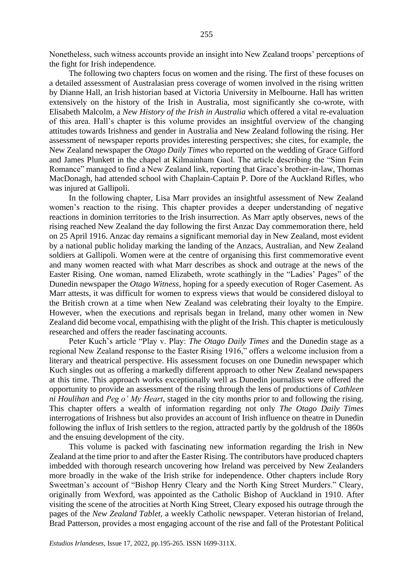Nonetheless, such witness accounts provide an insight into New Zealand troops' perceptions of the fight for Irish independence.

The following two chapters focus on women and the rising. The first of these focuses on a detailed assessment of Australasian press coverage of women involved in the rising written by Dianne Hall, an Irish historian based at Victoria University in Melbourne. Hall has written extensively on the history of the Irish in Australia, most significantly she co-wrote, with Elisabeth Malcolm, a *New History of the Irish in Australia* which offered a vital re-evaluation of this area. Hall's chapter is this volume provides an insightful overview of the changing attitudes towards Irishness and gender in Australia and New Zealand following the rising. Her assessment of newspaper reports provides interesting perspectives; she cites, for example, the New Zealand newspaper the *Otago Daily Times* who reported on the wedding of Grace Gifford and James Plunkett in the chapel at Kilmainham Gaol. The article describing the "Sinn Fein Romance" managed to find a New Zealand link, reporting that Grace's brother-in-law, Thomas MacDonagh, had attended school with Chaplain-Captain P. Dore of the Auckland Rifles, who was injured at Gallipoli.

In the following chapter, Lisa Marr provides an insightful assessment of New Zealand women's reaction to the rising. This chapter provides a deeper understanding of negative reactions in dominion territories to the Irish insurrection. As Marr aptly observes, news of the rising reached New Zealand the day following the first Anzac Day commemoration there, held on 25 April 1916. Anzac day remains a significant memorial day in New Zealand, most evident by a national public holiday marking the landing of the Anzacs, Australian, and New Zealand soldiers at Gallipoli. Women were at the centre of organising this first commemorative event and many women reacted with what Marr describes as shock and outrage at the news of the Easter Rising. One woman, named Elizabeth, wrote scathingly in the "Ladies' Pages" of the Dunedin newspaper the *Otago Witness*, hoping for a speedy execution of Roger Casement. As Marr attests, it was difficult for women to express views that would be considered disloyal to the British crown at a time when New Zealand was celebrating their loyalty to the Empire. However, when the executions and reprisals began in Ireland, many other women in New Zealand did become vocal, empathising with the plight of the Irish. This chapter is meticulously researched and offers the reader fascinating accounts.

Peter Kuch's article "Play v. Play: *The Otago Daily Times* and the Dunedin stage as a regional New Zealand response to the Easter Rising 1916," offers a welcome inclusion from a literary and theatrical perspective. His assessment focuses on one Dunedin newspaper which Kuch singles out as offering a markedly different approach to other New Zealand newspapers at this time. This approach works exceptionally well as Dunedin journalists were offered the opportunity to provide an assessment of the rising through the lens of productions of *Cathleen ni Houlihan* and *Peg o' My Heart*, staged in the city months prior to and following the rising. This chapter offers a wealth of information regarding not only *The Otago Daily Times* interrogations of Irishness but also provides an account of Irish influence on theatre in Dunedin following the influx of Irish settlers to the region, attracted partly by the goldrush of the 1860s and the ensuing development of the city.

This volume is packed with fascinating new information regarding the Irish in New Zealand at the time prior to and after the Easter Rising. The contributors have produced chapters imbedded with thorough research uncovering how Ireland was perceived by New Zealanders more broadly in the wake of the Irish strike for independence. Other chapters include Rory Sweetman's account of "Bishop Henry Cleary and the North King Street Murders." Cleary, originally from Wexford, was appointed as the Catholic Bishop of Auckland in 1910. After visiting the scene of the atrocities at North King Street, Cleary exposed his outrage through the pages of the *New Zealand Tablet,* a weekly Catholic newspaper. Veteran historian of Ireland, Brad Patterson, provides a most engaging account of the rise and fall of the Protestant Political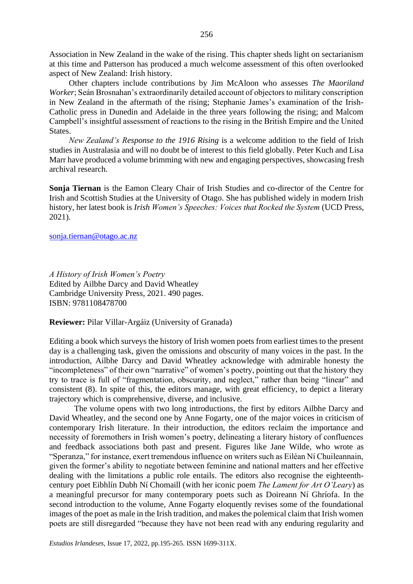Association in New Zealand in the wake of the rising. This chapter sheds light on sectarianism at this time and Patterson has produced a much welcome assessment of this often overlooked aspect of New Zealand: Irish history.

Other chapters include contributions by Jim McAloon who assesses *The Maoriland Worker*; Seán Brosnahan's extraordinarily detailed account of objectors to military conscription in New Zealand in the aftermath of the rising; Stephanie James's examination of the Irish-Catholic press in Dunedin and Adelaide in the three years following the rising; and Malcom Campbell's insightful assessment of reactions to the rising in the British Empire and the United States.

*New Zealand's Response to the 1916 Rising* is a welcome addition to the field of Irish studies in Australasia and will no doubt be of interest to this field globally. Peter Kuch and Lisa Marr have produced a volume brimming with new and engaging perspectives, showcasing fresh archival research.

**Sonja Tiernan** is the Eamon Cleary Chair of Irish Studies and co-director of the Centre for Irish and Scottish Studies at the University of Otago. She has published widely in modern Irish history, her latest book is *Irish Women's Speeches: Voices that Rocked the System* (UCD Press, 2021).

[sonja.tiernan@otago.ac.nz](mailto:sonja.tiernan@otago.ac.nz)

*A History of Irish Women's Poetry* Edited by Ailbhe Darcy and David Wheatley Cambridge University Press, 2021. 490 pages. ISBN: 9781108478700

**Reviewer:** Pilar Villar-Argáiz (University of Granada)

Editing a book which surveys the history of Irish women poets from earliest times to the present day is a challenging task, given the omissions and obscurity of many voices in the past. In the introduction, Ailbhe Darcy and David Wheatley acknowledge with admirable honesty the "incompleteness" of their own "narrative" of women's poetry, pointing out that the history they try to trace is full of "fragmentation, obscurity, and neglect," rather than being "linear" and consistent (8). In spite of this, the editors manage, with great efficiency, to depict a literary trajectory which is comprehensive, diverse, and inclusive.

The volume opens with two long introductions, the first by editors Ailbhe Darcy and David Wheatley, and the second one by Anne Fogarty, one of the major voices in criticism of contemporary Irish literature. In their introduction, the editors reclaim the importance and necessity of foremothers in Irish women's poetry, delineating a literary history of confluences and feedback associations both past and present. Figures like Jane Wilde, who wrote as "Speranza," for instance, exert tremendous influence on writers such as Eiléan Ní Chuileannain, given the former's ability to negotiate between feminine and national matters and her effective dealing with the limitations a public role entails. The editors also recognise the eighteenthcentury poet Eibhlín Dubh Ní Chomaill (with her iconic poem *The Lament for Art O'Leary*) as a meaningful precursor for many contemporary poets such as Doireann Ní Ghríofa. In the second introduction to the volume, Anne Fogarty eloquently revises some of the foundational images of the poet as male in the Irish tradition, and makes the polemical claim that Irish women poets are still disregarded "because they have not been read with any enduring regularity and

*Estudios Irlandeses*, Issue 17, 2022, pp.195-265. ISSN 1699-311X.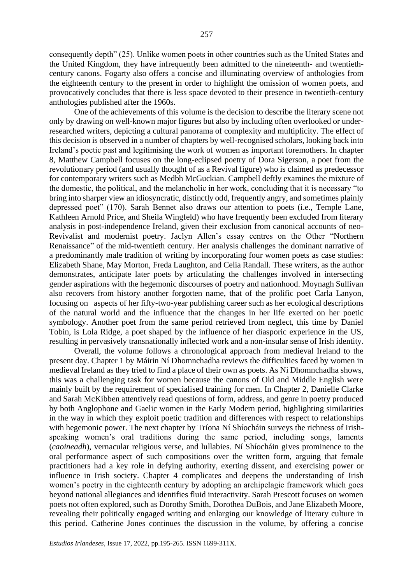consequently depth" (25). Unlike women poets in other countries such as the United States and the United Kingdom, they have infrequently been admitted to the nineteenth- and twentiethcentury canons. Fogarty also offers a concise and illuminating overview of anthologies from the eighteenth century to the present in order to highlight the omission of women poets, and provocatively concludes that there is less space devoted to their presence in twentieth-century anthologies published after the 1960s.

One of the achievements of this volume is the decision to describe the literary scene not only by drawing on well-known major figures but also by including often overlooked or underresearched writers, depicting a cultural panorama of complexity and multiplicity. The effect of this decision is observed in a number of chapters by well-recognised scholars, looking back into Ireland's poetic past and legitimising the work of women as important foremothers. In chapter 8, Matthew Campbell focuses on the long-eclipsed poetry of Dora Sigerson, a poet from the revolutionary period (and usually thought of as a Revival figure) who is claimed as predecessor for contemporary writers such as Medbh McGuckian. Campbell deftly examines the mixture of the domestic, the political, and the melancholic in her work, concluding that it is necessary "to bring into sharper view an idiosyncratic, distinctly odd, frequently angry, and sometimes plainly depressed poet" (170). Sarah Bennet also draws our attention to poets (i.e., Temple Lane, Kathleen Arnold Price, and Sheila Wingfeld) who have frequently been excluded from literary analysis in post-independence Ireland, given their exclusion from canonical accounts of neo-Revivalist and modernist poetry. Jaclyn Allen's essay centres on the Other "Northern Renaissance" of the mid-twentieth century. Her analysis challenges the dominant narrative of a predominantly male tradition of writing by incorporating four women poets as case studies: Elizabeth Shane, May Morton, Freda Laughton, and Celia Randall. These writers, as the author demonstrates, anticipate later poets by articulating the challenges involved in intersecting gender aspirations with the hegemonic discourses of poetry and nationhood. Moynagh Sullivan also recovers from history another forgotten name, that of the prolific poet Carla Lanyon, focusing on aspects of her fifty-two-year publishing career such as her ecological descriptions of the natural world and the influence that the changes in her life exerted on her poetic symbology. Another poet from the same period retrieved from neglect, this time by Daniel Tobin, is Lola Ridge, a poet shaped by the influence of her diasporic experience in the US, resulting in pervasively transnationally inflected work and a non-insular sense of Irish identity.

Overall, the volume follows a chronological approach from medieval Ireland to the present day. Chapter 1 by Máirin Ní Dhomnchadha reviews the difficulties faced by women in medieval Ireland as they tried to find a place of their own as poets. As Ní Dhomnchadha shows, this was a challenging task for women because the canons of Old and Middle English were mainly built by the requirement of specialised training for men. In Chapter 2, Danielle Clarke and Sarah McKibben attentively read questions of form, address, and genre in poetry produced by both Anglophone and Gaelic women in the Early Modern period, highlighting similarities in the way in which they exploit poetic tradition and differences with respect to relationships with hegemonic power. The next chapter by Tríona Ní Shíocháin surveys the richness of Irishspeaking women's oral traditions during the same period, including songs, laments (*caoineadh*), vernacular religious verse, and lullabies. Ní Shíocháin gives prominence to the oral performance aspect of such compositions over the written form, arguing that female practitioners had a key role in defying authority, exerting dissent, and exercising power or influence in Irish society. Chapter 4 complicates and deepens the understanding of Irish women's poetry in the eighteenth century by adopting an archipelagic framework which goes beyond national allegiances and identifies fluid interactivity. Sarah Prescott focuses on women poets not often explored, such as Dorothy Smith, Dorothea DuBois, and Jane Elizabeth Moore, revealing their politically engaged writing and enlarging our knowledge of literary culture in this period. Catherine Jones continues the discussion in the volume, by offering a concise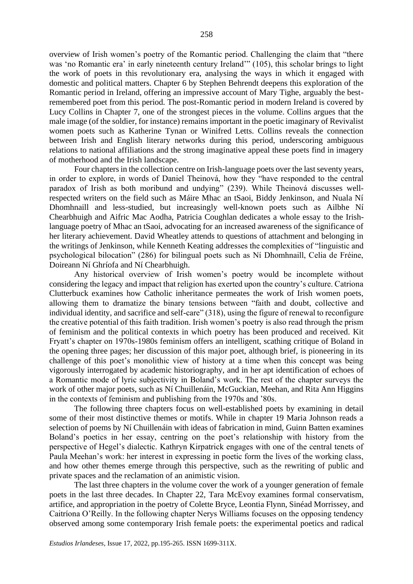overview of Irish women's poetry of the Romantic period. Challenging the claim that "there was 'no Romantic era' in early nineteenth century Ireland'" (105), this scholar brings to light the work of poets in this revolutionary era, analysing the ways in which it engaged with domestic and political matters. Chapter 6 by Stephen Behrendt deepens this exploration of the Romantic period in Ireland, offering an impressive account of Mary Tighe, arguably the bestremembered poet from this period. The post-Romantic period in modern Ireland is covered by Lucy Collins in Chapter 7, one of the strongest pieces in the volume. Collins argues that the male image (of the soldier, for instance) remains important in the poetic imaginary of Revivalist women poets such as Katherine Tynan or Winifred Letts. Collins reveals the connection between Irish and English literary networks during this period, underscoring ambiguous relations to national affiliations and the strong imaginative appeal these poets find in imagery of motherhood and the Irish landscape.

Four chapters in the collection centre on Irish-language poets over the last seventy years, in order to explore, in words of Daniel Theinová, how they "have responded to the central paradox of Irish as both moribund and undying" (239). While Theinová discusses wellrespected writers on the field such as Máire Mhac an tSaoi, Biddy Jenkinson, and Nuala Ní Dhomhnaill and less-studied, but increasingly well-known poets such as Ailbhe Ní Chearbhuigh and Aifric Mac Aodha, Patricia Coughlan dedicates a whole essay to the Irishlanguage poetry of Mhac an tSaoi, advocating for an increased awareness of the significance of her literary achievement. David Wheatley attends to questions of attachment and belonging in the writings of Jenkinson, while Kenneth Keating addresses the complexities of "linguistic and psychological bilocation" (286) for bilingual poets such as Ní Dhomhnaill, Celia de Fréine, Doireann Ní Ghríofa and Ní Chearbhuigh.

Any historical overview of Irish women's poetry would be incomplete without considering the legacy and impact that religion has exerted upon the country's culture. Catriona Clutterbuck examines how Catholic inheritance permeates the work of Irish women poets, allowing them to dramatize the binary tensions between "faith and doubt, collective and individual identity, and sacrifice and self-care" (318), using the figure of renewal to reconfigure the creative potential of this faith tradition. Irish women's poetry is also read through the prism of feminism and the political contexts in which poetry has been produced and received. Kit Fryatt's chapter on 1970s-1980s feminism offers an intelligent, scathing critique of Boland in the opening three pages; her discussion of this major poet, although brief, is pioneering in its challenge of this poet's monolithic view of history at a time when this concept was being vigorously interrogated by academic historiography, and in her apt identification of echoes of a Romantic mode of lyric subjectivity in Boland's work. The rest of the chapter surveys the work of other major poets, such as Ní Chuillenáin, McGuckian, Meehan, and Rita Ann Higgins in the contexts of feminism and publishing from the 1970s and '80s.

The following three chapters focus on well-established poets by examining in detail some of their most distinctive themes or motifs. While in chapter 19 Maria Johnson reads a selection of poems by Ní Chuillenáin with ideas of fabrication in mind, Guinn Batten examines Boland's poetics in her essay, centring on the poet's relationship with history from the perspective of Hegel's dialectic. Kathryn Kirpatrick engages with one of the central tenets of Paula Meehan's work: her interest in expressing in poetic form the lives of the working class, and how other themes emerge through this perspective, such as the rewriting of public and private spaces and the reclamation of an animistic vision.

The last three chapters in the volume cover the work of a younger generation of female poets in the last three decades. In Chapter 22, Tara McEvoy examines formal conservatism, artifice, and appropriation in the poetry of Colette Bryce, Leontia Flynn, Sinéad Morrissey, and Caitríona O'Reilly. In the following chapter Nerys Williams focuses on the opposing tendency observed among some contemporary Irish female poets: the experimental poetics and radical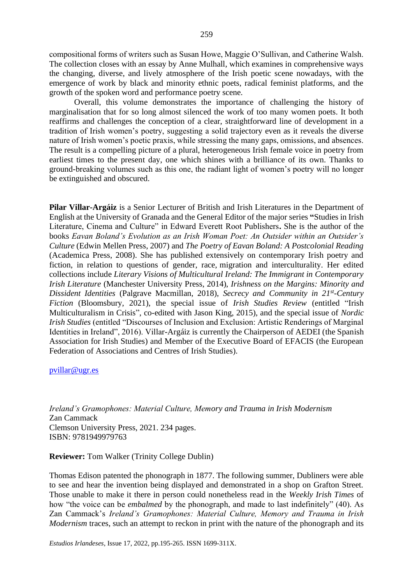259

compositional forms of writers such as Susan Howe, Maggie O'Sullivan, and Catherine Walsh. The collection closes with an essay by Anne Mulhall, which examines in comprehensive ways the changing, diverse, and lively atmosphere of the Irish poetic scene nowadays, with the emergence of work by black and minority ethnic poets, radical feminist platforms, and the growth of the spoken word and performance poetry scene.

Overall, this volume demonstrates the importance of challenging the history of marginalisation that for so long almost silenced the work of too many women poets. It both reaffirms and challenges the conception of a clear, straightforward line of development in a tradition of Irish women's poetry, suggesting a solid trajectory even as it reveals the diverse nature of Irish women's poetic praxis, while stressing the many gaps, omissions, and absences. The result is a compelling picture of a plural, heterogeneous Irish female voice in poetry from earliest times to the present day, one which shines with a brilliance of its own. Thanks to ground-breaking volumes such as this one, the radiant light of women's poetry will no longer be extinguished and obscured.

**Pilar Villar-Argáiz** is a Senior Lecturer of British and Irish Literatures in the Department of English at the University of Granada and the General Editor of the major series **"**Studies in Irish Literature, Cinema and Culture" in Edward Everett Root Publishers**.** She is the author of the books *Eavan Boland's Evolution as an Irish Woman Poet: An Outsider within an Outsider's Culture* (Edwin Mellen Press, 2007) and *The Poetry of Eavan Boland: A Postcolonial Reading* (Academica Press, 2008). She has published extensively on contemporary Irish poetry and fiction, in relation to questions of gender, race, migration and interculturality. Her edited collections include *Literary Visions of Multicultural Ireland: The Immigrant in Contemporary Irish Literature* (Manchester University Press, 2014), *Irishness on the Margins: Minority and Dissident Identities* (Palgrave Macmillan, 2018), *Secrecy and Community in 21st -Century Fiction* (Bloomsbury, 2021), the special issue of *Irish Studies Review* (entitled "Irish Multiculturalism in Crisis", co-edited with Jason King, 2015), and the special issue of *Nordic Irish Studies* (entitled "Discourses of Inclusion and Exclusion: Artistic Renderings of Marginal Identities in Ireland", 2016). Villar-Argáiz is currently the Chairperson of AEDEI (the Spanish Association for Irish Studies) and Member of the Executive Board of EFACIS (the European Federation of Associations and Centres of Irish Studies).

### [pvillar@ugr.es](mailto:pvillar@ugr.es)

*Ireland's Gramophones: Material Culture, Memory and Trauma in Irish Modernism* Zan Cammack Clemson University Press, 2021. 234 pages. ISBN: 9781949979763

**Reviewer:** Tom Walker (Trinity College Dublin)

Thomas Edison patented the phonograph in 1877. The following summer, Dubliners were able to see and hear the invention being displayed and demonstrated in a shop on Grafton Street. Those unable to make it there in person could nonetheless read in the *Weekly Irish Times* of how "the voice can be *embalmed* by the phonograph, and made to last indefinitely" (40). As Zan Cammack's *Ireland's Gramophones: Material Culture, Memory and Trauma in Irish Modernism* traces, such an attempt to reckon in print with the nature of the phonograph and its

*Estudios Irlandeses*, Issue 17, 2022, pp.195-265. ISSN 1699-311X.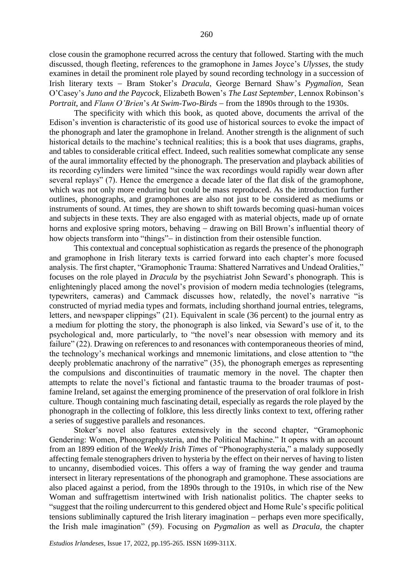close cousin the gramophone recurred across the century that followed. Starting with the much discussed, though fleeting, references to the gramophone in James Joyce's *Ulysses*, the study examines in detail the prominent role played by sound recording technology in a succession of Irish literary texts − Bram Stoker's *Dracula*, George Bernard Shaw's *Pygmalion,* Sean O'Casey's *Juno and the Paycock*, Elizabeth Bowen's *The Last September*, Lennox Robinson's *Portrait*, and *Flann O'Brien*'s *At Swim-Two-Birds* − from the 1890s through to the 1930s.

The specificity with which this book, as quoted above, documents the arrival of the Edison's invention is characteristic of its good use of historical sources to evoke the impact of the phonograph and later the gramophone in Ireland. Another strength is the alignment of such historical details to the machine's technical realities; this is a book that uses diagrams, graphs, and tables to considerable critical effect. Indeed, such realities somewhat complicate any sense of the aural immortality effected by the phonograph. The preservation and playback abilities of its recording cylinders were limited "since the wax recordings would rapidly wear down after several replays" (7). Hence the emergence a decade later of the flat disk of the gramophone, which was not only more enduring but could be mass reproduced. As the introduction further outlines, phonographs, and gramophones are also not just to be considered as mediums or instruments of sound. At times, they are shown to shift towards becoming quasi-human voices and subjects in these texts. They are also engaged with as material objects, made up of ornate horns and explosive spring motors, behaving − drawing on Bill Brown's influential theory of how objects transform into "things"– in distinction from their ostensible function.

This contextual and conceptual sophistication as regards the presence of the phonograph and gramophone in Irish literary texts is carried forward into each chapter's more focused analysis. The first chapter, "Gramophonic Trauma: Shattered Narratives and Undead Oralities," focuses on the role played in *Dracula* by the psychiatrist John Seward's phonograph. This is enlighteningly placed among the novel's provision of modern media technologies (telegrams, typewriters, cameras) and Cammack discusses how, relatedly, the novel's narrative "is constructed of myriad media types and formats, including shorthand journal entries, telegrams, letters, and newspaper clippings" (21). Equivalent in scale (36 percent) to the journal entry as a medium for plotting the story, the phonograph is also linked, via Seward's use of it, to the psychological and, more particularly, to "the novel's near obsession with memory and its failure" (22). Drawing on references to and resonances with contemporaneous theories of mind, the technology's mechanical workings and mnemonic limitations, and close attention to "the deeply problematic anachrony of the narrative" (35), the phonograph emerges as representing the compulsions and discontinuities of traumatic memory in the novel. The chapter then attempts to relate the novel's fictional and fantastic trauma to the broader traumas of postfamine Ireland, set against the emerging prominence of the preservation of oral folklore in Irish culture. Though containing much fascinating detail, especially as regards the role played by the phonograph in the collecting of folklore, this less directly links context to text, offering rather a series of suggestive parallels and resonances.

Stoker's novel also features extensively in the second chapter, "Gramophonic Gendering: Women, Phonographysteria, and the Political Machine." It opens with an account from an 1899 edition of the *Weekly Irish Times* of "Phonographysteria," a malady supposedly affecting female stenographers driven to hysteria by the effect on their nerves of having to listen to uncanny, disembodied voices. This offers a way of framing the way gender and trauma intersect in literary representations of the phonograph and gramophone. These associations are also placed against a period, from the 1890s through to the 1910s, in which rise of the New Woman and suffragettism intertwined with Irish nationalist politics. The chapter seeks to "suggest that the roiling undercurrent to this gendered object and Home Rule's specific political tensions subliminally captured the Irish literary imagination − perhaps even more specifically, the Irish male imagination" (59). Focusing on *Pygmalion* as well as *Dracula*, the chapter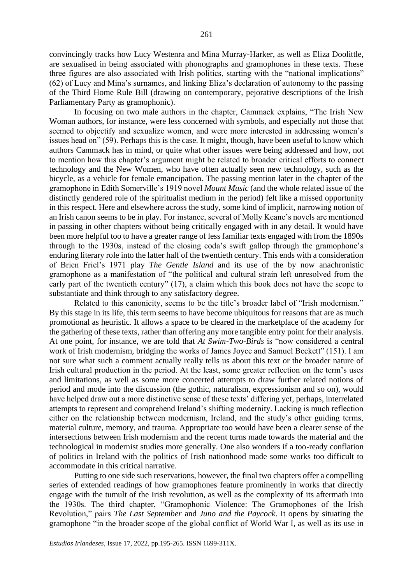convincingly tracks how Lucy Westenra and Mina Murray-Harker, as well as Eliza Doolittle, are sexualised in being associated with phonographs and gramophones in these texts. These three figures are also associated with Irish politics, starting with the "national implications" (62) of Lucy and Mina's surnames, and linking Eliza's declaration of autonomy to the passing of the Third Home Rule Bill (drawing on contemporary, pejorative descriptions of the Irish Parliamentary Party as gramophonic).

In focusing on two male authors in the chapter, Cammack explains, "The Irish New Woman authors, for instance, were less concerned with symbols, and especially not those that seemed to objectify and sexualize women, and were more interested in addressing women's issues head on" (59). Perhaps this is the case. It might, though, have been useful to know which authors Cammack has in mind, or quite what other issues were being addressed and how, not to mention how this chapter's argument might be related to broader critical efforts to connect technology and the New Women, who have often actually seen new technology, such as the bicycle, as a vehicle for female emancipation. The passing mention later in the chapter of the gramophone in Edith Somerville's 1919 novel *Mount Music* (and the whole related issue of the distinctly gendered role of the spiritualist medium in the period) felt like a missed opportunity in this respect. Here and elsewhere across the study, some kind of implicit, narrowing notion of an Irish canon seems to be in play. For instance, several of Molly Keane's novels are mentioned in passing in other chapters without being critically engaged with in any detail. It would have been more helpful too to have a greater range of less familiar texts engaged with from the 1890s through to the 1930s, instead of the closing coda's swift gallop through the gramophone's enduring literary role into the latter half of the twentieth century. This ends with a consideration of Brien Friel's 1971 play *The Gentle Island* and its use of the by now anachronistic gramophone as a manifestation of "the political and cultural strain left unresolved from the early part of the twentieth century" (17), a claim which this book does not have the scope to substantiate and think through to any satisfactory degree.

Related to this canonicity, seems to be the title's broader label of "Irish modernism." By this stage in its life, this term seems to have become ubiquitous for reasons that are as much promotional as heuristic. It allows a space to be cleared in the marketplace of the academy for the gathering of these texts, rather than offering any more tangible entry point for their analysis. At one point, for instance, we are told that *At Swim-Two-Birds* is "now considered a central work of Irish modernism, bridging the works of James Joyce and Samuel Beckett" (151). I am not sure what such a comment actually really tells us about this text or the broader nature of Irish cultural production in the period. At the least, some greater reflection on the term's uses and limitations, as well as some more concerted attempts to draw further related notions of period and mode into the discussion (the gothic, naturalism, expressionism and so on), would have helped draw out a more distinctive sense of these texts' differing yet, perhaps, interrelated attempts to represent and comprehend Ireland's shifting modernity. Lacking is much reflection either on the relationship between modernism, Ireland, and the study's other guiding terms, material culture, memory, and trauma. Appropriate too would have been a clearer sense of the intersections between Irish modernism and the recent turns made towards the material and the technological in modernist studies more generally. One also wonders if a too-ready conflation of politics in Ireland with the politics of Irish nationhood made some works too difficult to accommodate in this critical narrative.

Putting to one side such reservations, however, the final two chapters offer a compelling series of extended readings of how gramophones feature prominently in works that directly engage with the tumult of the Irish revolution, as well as the complexity of its aftermath into the 1930s. The third chapter, "Gramophonic Violence: The Gramophones of the Irish Revolution," pairs *The Last September* and *Juno and the Paycock*. It opens by situating the gramophone "in the broader scope of the global conflict of World War I, as well as its use in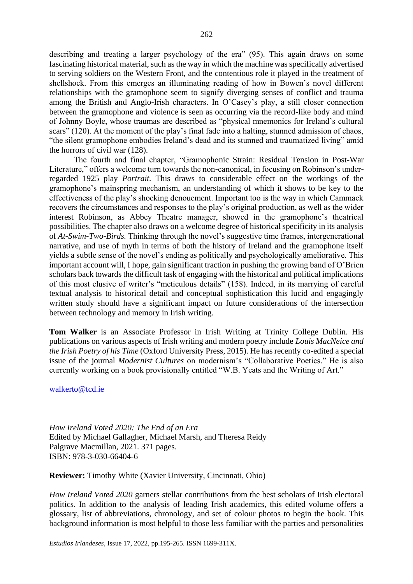describing and treating a larger psychology of the era" (95). This again draws on some fascinating historical material, such as the way in which the machine was specifically advertised to serving soldiers on the Western Front, and the contentious role it played in the treatment of shellshock. From this emerges an illuminating reading of how in Bowen's novel different relationships with the gramophone seem to signify diverging senses of conflict and trauma among the British and Anglo-Irish characters. In O'Casey's play, a still closer connection between the gramophone and violence is seen as occurring via the record-like body and mind of Johnny Boyle, whose traumas are described as "physical mnemonics for Ireland's cultural scars" (120). At the moment of the play's final fade into a halting, stunned admission of chaos, "the silent gramophone embodies Ireland's dead and its stunned and traumatized living" amid the horrors of civil war (128).

The fourth and final chapter, "Gramophonic Strain: Residual Tension in Post-War Literature," offers a welcome turn towards the non-canonical, in focusing on Robinson's underregarded 1925 play *Portrait*. This draws to considerable effect on the workings of the gramophone's mainspring mechanism, an understanding of which it shows to be key to the effectiveness of the play's shocking denouement. Important too is the way in which Cammack recovers the circumstances and responses to the play's original production, as well as the wider interest Robinson, as Abbey Theatre manager, showed in the gramophone's theatrical possibilities. The chapter also draws on a welcome degree of historical specificity in its analysis of *At-Swim-Two-Birds.* Thinking through the novel's suggestive time frames, intergenerational narrative, and use of myth in terms of both the history of Ireland and the gramophone itself yields a subtle sense of the novel's ending as politically and psychologically ameliorative. This important account will, I hope, gain significant traction in pushing the growing band of O'Brien scholars back towards the difficult task of engaging with the historical and political implications of this most elusive of writer's "meticulous details" (158). Indeed, in its marrying of careful textual analysis to historical detail and conceptual sophistication this lucid and engagingly written study should have a significant impact on future considerations of the intersection between technology and memory in Irish writing.

**Tom Walker** is an Associate Professor in Irish Writing at Trinity College Dublin. His publications on various aspects of Irish writing and modern poetry include *Louis MacNeice and the Irish Poetry of his Time* (Oxford University Press, 2015). He has recently co-edited a special issue of the journal *Modernist Cultures* on modernism's "Collaborative Poetics." He is also currently working on a book provisionally entitled "W.B. Yeats and the Writing of Art."

[walkerto@tcd.ie](mailto:walkerto@tcd.ie)

*How Ireland Voted 2020: The End of an Era* Edited by Michael Gallagher, Michael Marsh, and Theresa Reidy Palgrave Macmillan, 2021. 371 pages. ISBN: 978-3-030-66404-6

**Reviewer:** Timothy White (Xavier University, Cincinnati, Ohio)

*How Ireland Voted 2020* garners stellar contributions from the best scholars of Irish electoral politics. In addition to the analysis of leading Irish academics, this edited volume offers a glossary, list of abbreviations, chronology, and set of colour photos to begin the book. This background information is most helpful to those less familiar with the parties and personalities

*Estudios Irlandeses*, Issue 17, 2022, pp.195-265. ISSN 1699-311X.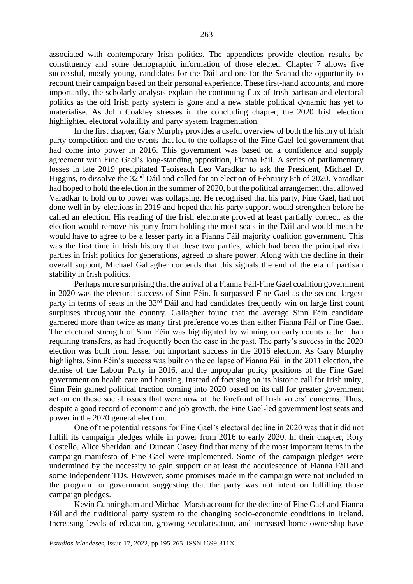associated with contemporary Irish politics. The appendices provide election results by constituency and some demographic information of those elected. Chapter 7 allows five successful, mostly young, candidates for the Dáil and one for the Seanad the opportunity to recount their campaign based on their personal experience. These first-hand accounts, and more importantly, the scholarly analysis explain the continuing flux of Irish partisan and electoral politics as the old Irish party system is gone and a new stable political dynamic has yet to materialise. As John Coakley stresses in the concluding chapter, the 2020 Irish election highlighted electoral volatility and party system fragmentation.

In the first chapter, Gary Murphy provides a useful overview of both the history of Irish party competition and the events that led to the collapse of the Fine Gael-led government that had come into power in 2016. This government was based on a confidence and supply agreement with Fine Gael's long-standing opposition, Fianna Fáil. A series of parliamentary losses in late 2019 precipitated Taoiseach Leo Varadkar to ask the President, Michael D. Higgins, to dissolve the 32nd Dáil and called for an election of February 8th of 2020. Varadkar had hoped to hold the election in the summer of 2020, but the political arrangement that allowed Varadkar to hold on to power was collapsing. He recognised that his party, Fine Gael, had not done well in by-elections in 2019 and hoped that his party support would strengthen before he called an election. His reading of the Irish electorate proved at least partially correct, as the election would remove his party from holding the most seats in the Dáil and would mean he would have to agree to be a lesser party in a Fianna Fáil majority coalition government. This was the first time in Irish history that these two parties, which had been the principal rival parties in Irish politics for generations, agreed to share power. Along with the decline in their overall support, Michael Gallagher contends that this signals the end of the era of partisan stability in Irish politics.

Perhaps more surprising that the arrival of a Fianna Fáil-Fine Gael coalition government in 2020 was the electoral success of Sinn Féin. It surpassed Fine Gael as the second largest party in terms of seats in the 33<sup>rd</sup> Dáil and had candidates frequently win on large first count surpluses throughout the country. Gallagher found that the average Sinn Féin candidate garnered more than twice as many first preference votes than either Fianna Fáil or Fine Gael. The electoral strength of Sinn Féin was highlighted by winning on early counts rather than requiring transfers, as had frequently been the case in the past. The party's success in the 2020 election was built from lesser but important success in the 2016 election. As Gary Murphy highlights, Sinn Féin's success was built on the collapse of Fianna Fáil in the 2011 election, the demise of the Labour Party in 2016, and the unpopular policy positions of the Fine Gael government on health care and housing. Instead of focusing on its historic call for Irish unity, Sinn Féin gained political traction coming into 2020 based on its call for greater government action on these social issues that were now at the forefront of Irish voters' concerns. Thus, despite a good record of economic and job growth, the Fine Gael-led government lost seats and power in the 2020 general election.

One of the potential reasons for Fine Gael's electoral decline in 2020 was that it did not fulfill its campaign pledges while in power from 2016 to early 2020. In their chapter, Rory Costello, Alice Sheridan, and Duncan Casey find that many of the most important items in the campaign manifesto of Fine Gael were implemented. Some of the campaign pledges were undermined by the necessity to gain support or at least the acquiescence of Fianna Fáil and some Independent TDs. However, some promises made in the campaign were not included in the program for government suggesting that the party was not intent on fulfilling those campaign pledges.

Kevin Cunningham and Michael Marsh account for the decline of Fine Gael and Fianna Fáil and the traditional party system to the changing socio-economic conditions in Ireland. Increasing levels of education, growing secularisation, and increased home ownership have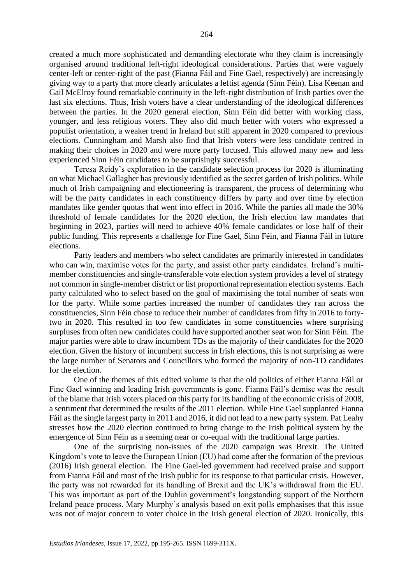created a much more sophisticated and demanding electorate who they claim is increasingly organised around traditional left-right ideological considerations. Parties that were vaguely center-left or center-right of the past (Fianna Fáil and Fine Gael, respectively) are increasingly giving way to a party that more clearly articulates a leftist agenda (Sinn Féin). Lisa Keenan and Gail McElroy found remarkable continuity in the left-right distribution of Irish parties over the last six elections. Thus, Irish voters have a clear understanding of the ideological differences between the parties. In the 2020 general election, Sinn Féin did better with working class, younger, and less religious voters. They also did much better with voters who expressed a populist orientation, a weaker trend in Ireland but still apparent in 2020 compared to previous elections. Cunningham and Marsh also find that Irish voters were less candidate centred in making their choices in 2020 and were more party focused. This allowed many new and less experienced Sinn Féin candidates to be surprisingly successful.

Teresa Reidy's exploration in the candidate selection process for 2020 is illuminating on what Michael Gallagher has previously identified as the secret garden of Irish politics. While much of Irish campaigning and electioneering is transparent, the process of determining who will be the party candidates in each constituency differs by party and over time by election mandates like gender quotas that went into effect in 2016. While the parties all made the 30% threshold of female candidates for the 2020 election, the Irish election law mandates that beginning in 2023, parties will need to achieve 40% female candidates or lose half of their public funding. This represents a challenge for Fine Gael, Sinn Féin, and Fianna Fáil in future elections.

Party leaders and members who select candidates are primarily interested in candidates who can win, maximise votes for the party, and assist other party candidates. Ireland's multimember constituencies and single-transferable vote election system provides a level of strategy not common in single-member district or list proportional representation election systems. Each party calculated who to select based on the goal of maximising the total number of seats won for the party. While some parties increased the number of candidates they ran across the constituencies, Sinn Féin chose to reduce their number of candidates from fifty in 2016 to fortytwo in 2020. This resulted in too few candidates in some constituencies where surprising surpluses from often new candidates could have supported another seat won for Sinn Féin. The major parties were able to draw incumbent TDs as the majority of their candidates for the 2020 election. Given the history of incumbent success in Irish elections, this is not surprising as were the large number of Senators and Councillors who formed the majority of non-TD candidates for the election.

 One of the themes of this edited volume is that the old politics of either Fianna Fáil or Fine Gael winning and leading Irish governments is gone. Fianna Fáil's demise was the result of the blame that Irish voters placed on this party for its handling of the economic crisis of 2008, a sentiment that determined the results of the 2011 election. While Fine Gael supplanted Fianna Fáil as the single largest party in 2011 and 2016, it did not lead to a new party system. Pat Leahy stresses how the 2020 election continued to bring change to the Irish political system by the emergence of Sinn Féin as a seeming near or co-equal with the traditional large parties.

One of the surprising non-issues of the 2020 campaign was Brexit. The United Kingdom's vote to leave the European Union (EU) had come after the formation of the previous (2016) Irish general election. The Fine Gael-led government had received praise and support from Fianna Fáil and most of the Irish public for its response to that particular crisis. However, the party was not rewarded for its handling of Brexit and the UK's withdrawal from the EU. This was important as part of the Dublin government's longstanding support of the Northern Ireland peace process. Mary Murphy's analysis based on exit polls emphasises that this issue was not of major concern to voter choice in the Irish general election of 2020. Ironically, this